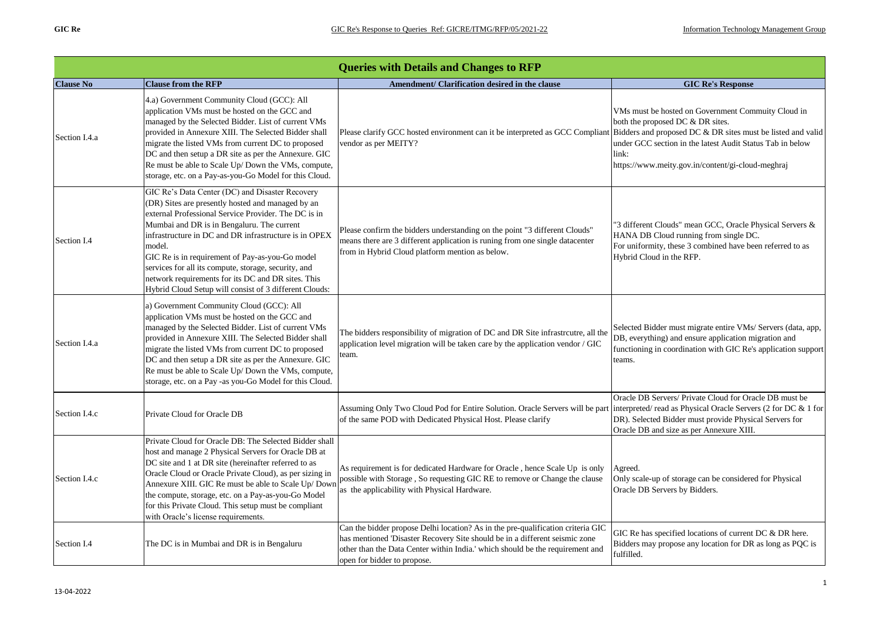|                  | <b>Queries with Details and Changes to RFP</b>                                                                                                                                                                                                                                                                                                                                                                                                                                                           |                                                                                                                                                                                                                                                                                |                                                                                                                                                                                                                               |  |
|------------------|----------------------------------------------------------------------------------------------------------------------------------------------------------------------------------------------------------------------------------------------------------------------------------------------------------------------------------------------------------------------------------------------------------------------------------------------------------------------------------------------------------|--------------------------------------------------------------------------------------------------------------------------------------------------------------------------------------------------------------------------------------------------------------------------------|-------------------------------------------------------------------------------------------------------------------------------------------------------------------------------------------------------------------------------|--|
| <b>Clause No</b> | <b>Clause from the RFP</b>                                                                                                                                                                                                                                                                                                                                                                                                                                                                               | Amendment/ Clarification desired in the clause                                                                                                                                                                                                                                 | <b>GIC Re's Response</b>                                                                                                                                                                                                      |  |
| Section I.4.a    | 4.a) Government Community Cloud (GCC): All<br>application VMs must be hosted on the GCC and<br>managed by the Selected Bidder. List of current VMs<br>provided in Annexure XIII. The Selected Bidder shall<br>migrate the listed VMs from current DC to proposed<br>DC and then setup a DR site as per the Annexure. GIC<br>Re must be able to Scale Up/ Down the VMs, compute,<br>storage, etc. on a Pay-as-you-Go Model for this Cloud.                                                                | Please clarify GCC hosted environment can it be interpreted as GCC Compliant Bidders and proposed DC & DR sites must be listed and valid<br>vendor as per MEITY?                                                                                                               | VMs must be hosted on Government Commuity Cloud in<br>both the proposed DC & DR sites.<br>under GCC section in the latest Audit Status Tab in below<br>link:<br>https://www.meity.gov.in/content/gi-cloud-meghraj             |  |
| Section I.4      | GIC Re's Data Center (DC) and Disaster Recovery<br>(DR) Sites are presently hosted and managed by an<br>external Professional Service Provider. The DC is in<br>Mumbai and DR is in Bengaluru. The current<br>infrastructure in DC and DR infrastructure is in OPEX<br>model.<br>GIC Re is in requirement of Pay-as-you-Go model<br>services for all its compute, storage, security, and<br>network requirements for its DC and DR sites. This<br>Hybrid Cloud Setup will consist of 3 different Clouds: | Please confirm the bidders understanding on the point "3 different Clouds"<br>means there are 3 different application is runing from one single datacenter<br>from in Hybrid Cloud platform mention as below.                                                                  | "3 different Clouds" mean GCC, Oracle Physical Servers &<br>HANA DB Cloud running from single DC.<br>For uniformity, these 3 combined have been referred to as<br>Hybrid Cloud in the RFP.                                    |  |
| Section I.4.a    | a) Government Community Cloud (GCC): All<br>application VMs must be hosted on the GCC and<br>managed by the Selected Bidder. List of current VMs<br>provided in Annexure XIII. The Selected Bidder shall<br>migrate the listed VMs from current DC to proposed<br>DC and then setup a DR site as per the Annexure. GIC<br>Re must be able to Scale Up/Down the VMs, compute,<br>storage, etc. on a Pay -as you-Go Model for this Cloud.                                                                  | The bidders responsibility of migration of DC and DR Site infrastrcutre, all the<br>application level migration will be taken care by the application vendor / GIC<br>team.                                                                                                    | Selected Bidder must migrate entire VMs/Servers (data, app,<br>DB, everything) and ensure application migration and<br>functioning in coordination with GIC Re's application support<br>teams.                                |  |
| Section I.4.c    | Private Cloud for Oracle DB                                                                                                                                                                                                                                                                                                                                                                                                                                                                              | Assuming Only Two Cloud Pod for Entire Solution. Oracle Servers will be part<br>of the same POD with Dedicated Physical Host. Please clarify                                                                                                                                   | Oracle DB Servers/ Private Cloud for Oracle DB must be<br>interpreted/read as Physical Oracle Servers (2 for DC & 1 for<br>DR). Selected Bidder must provide Physical Servers for<br>Oracle DB and size as per Annexure XIII. |  |
| Section I.4.c    | Private Cloud for Oracle DB: The Selected Bidder shall<br>host and manage 2 Physical Servers for Oracle DB at<br>DC site and 1 at DR site (hereinafter referred to as<br>Oracle Cloud or Oracle Private Cloud), as per sizing in<br>Annexure XIII. GIC Re must be able to Scale Up/ Down<br>the compute, storage, etc. on a Pay-as-you-Go Model<br>for this Private Cloud. This setup must be compliant<br>with Oracle's license requirements.                                                           | As requirement is for dedicated Hardware for Oracle, hence Scale Up is only<br>possible with Storage, So requesting GIC RE to remove or Change the clause<br>as the applicability with Physical Hardware.                                                                      | Agreed.<br>Only scale-up of storage can be considered for Physical<br>Oracle DB Servers by Bidders.                                                                                                                           |  |
| Section I.4      | The DC is in Mumbai and DR is in Bengaluru                                                                                                                                                                                                                                                                                                                                                                                                                                                               | Can the bidder propose Delhi location? As in the pre-qualification criteria GIC<br>has mentioned 'Disaster Recovery Site should be in a different seismic zone<br>other than the Data Center within India.' which should be the requirement and<br>open for bidder to propose. | GIC Re has specified locations of current DC & DR here.<br>Bidders may propose any location for DR as long as PQC is<br>fulfilled.                                                                                            |  |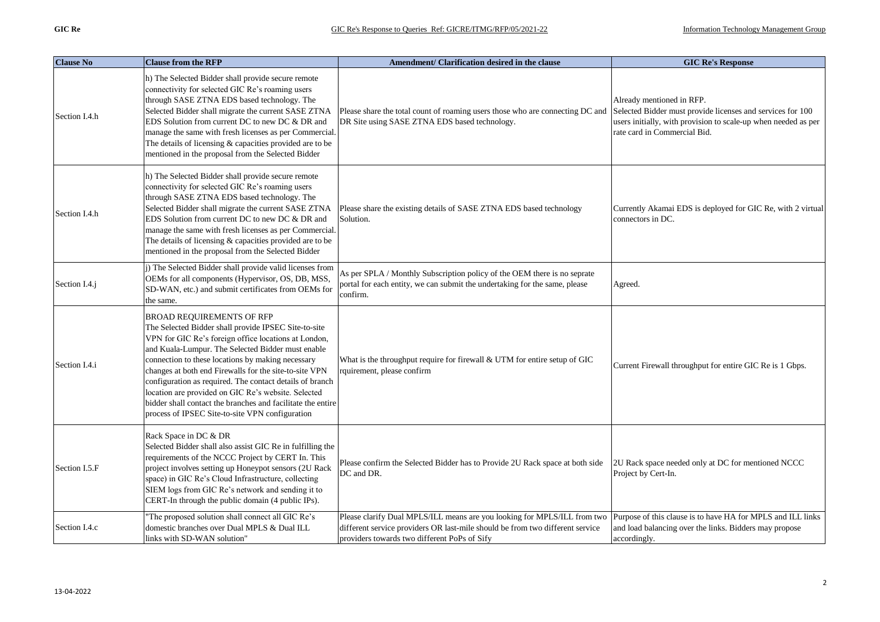| <b>Clause No</b> | <b>Clause from the RFP</b>                                                                                                                                                                                                                                                                                                                                                                                                                                                                                                                                | Amendment/ Clarification desired in the clause                                                                                                                                                            | <b>GIC Re's Response</b>                                                                                                                                                                  |
|------------------|-----------------------------------------------------------------------------------------------------------------------------------------------------------------------------------------------------------------------------------------------------------------------------------------------------------------------------------------------------------------------------------------------------------------------------------------------------------------------------------------------------------------------------------------------------------|-----------------------------------------------------------------------------------------------------------------------------------------------------------------------------------------------------------|-------------------------------------------------------------------------------------------------------------------------------------------------------------------------------------------|
| Section I.4.h    | h) The Selected Bidder shall provide secure remote<br>connectivity for selected GIC Re's roaming users<br>through SASE ZTNA EDS based technology. The<br>Selected Bidder shall migrate the current SASE ZTNA<br>EDS Solution from current DC to new DC & DR and<br>manage the same with fresh licenses as per Commercial.<br>The details of licensing $&$ capacities provided are to be<br>mentioned in the proposal from the Selected Bidder                                                                                                             | Please share the total count of roaming users those who are connecting DC and<br>DR Site using SASE ZTNA EDS based technology.                                                                            | Already mentioned in RFP.<br>Selected Bidder must provide licenses and services for 100<br>users initially, with provision to scale-up when needed as per<br>rate card in Commercial Bid. |
| Section I.4.h    | h) The Selected Bidder shall provide secure remote<br>connectivity for selected GIC Re's roaming users<br>through SASE ZTNA EDS based technology. The<br>Selected Bidder shall migrate the current SASE ZTNA<br>EDS Solution from current DC to new DC & DR and<br>manage the same with fresh licenses as per Commercial.<br>The details of licensing & capacities provided are to be<br>mentioned in the proposal from the Selected Bidder                                                                                                               | Please share the existing details of SASE ZTNA EDS based technology<br>Solution.                                                                                                                          | Currently Akamai EDS is deployed for GIC Re, with 2 virtual<br>connectors in DC.                                                                                                          |
| Section I.4.j    | j) The Selected Bidder shall provide valid licenses from<br>OEMs for all components (Hypervisor, OS, DB, MSS,<br>SD-WAN, etc.) and submit certificates from OEMs for<br>the same.                                                                                                                                                                                                                                                                                                                                                                         | As per SPLA / Monthly Subscription policy of the OEM there is no seprate<br>portal for each entity, we can submit the undertaking for the same, please<br>confirm.                                        | Agreed.                                                                                                                                                                                   |
| Section I.4.i    | <b>BROAD REQUIREMENTS OF RFP</b><br>The Selected Bidder shall provide IPSEC Site-to-site<br>VPN for GIC Re's foreign office locations at London,<br>and Kuala-Lumpur. The Selected Bidder must enable<br>connection to these locations by making necessary<br>changes at both end Firewalls for the site-to-site VPN<br>configuration as required. The contact details of branch<br>location are provided on GIC Re's website. Selected<br>bidder shall contact the branches and facilitate the entire<br>process of IPSEC Site-to-site VPN configuration | What is the throughput require for firewall $\&$ UTM for entire setup of GIC<br>rquirement, please confirm                                                                                                | Current Firewall throughput for entire GIC Re is 1 Gbps.                                                                                                                                  |
| Section I.5.F    | Rack Space in DC & DR<br>Selected Bidder shall also assist GIC Re in fulfilling the<br>requirements of the NCCC Project by CERT In. This<br>project involves setting up Honeypot sensors (2U Rack<br>space) in GIC Re's Cloud Infrastructure, collecting<br>SIEM logs from GIC Re's network and sending it to<br>CERT-In through the public domain (4 public IPs).                                                                                                                                                                                        | Please confirm the Selected Bidder has to Provide 2U Rack space at both side<br>DC and DR.                                                                                                                | 2U Rack space needed only at DC for mentioned NCCC<br>Project by Cert-In.                                                                                                                 |
| Section I.4.c    | The proposed solution shall connect all GIC Re's<br>domestic branches over Dual MPLS & Dual ILL<br>links with SD-WAN solution"                                                                                                                                                                                                                                                                                                                                                                                                                            | Please clarify Dual MPLS/ILL means are you looking for MPLS/ILL from two<br>different service providers OR last-mile should be from two different service<br>providers towards two different PoPs of Sify | Purpose of this clause is to have HA for MPLS and ILL links<br>and load balancing over the links. Bidders may propose<br>accordingly.                                                     |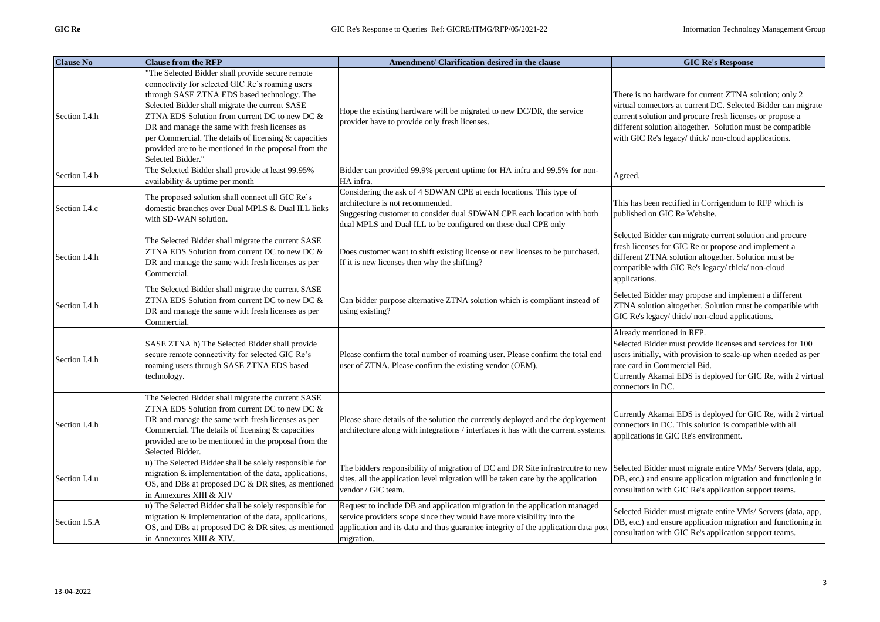| <b>Clause No</b> | <b>Clause from the RFP</b>                                                                                                                                                                                                                                                                                                                                                                                                                    | Amendment/ Clarification desired in the clause                                                                                                                                                                                                           | <b>GIC Re's Response</b>                                                                                                                                                                                                                                                                                |
|------------------|-----------------------------------------------------------------------------------------------------------------------------------------------------------------------------------------------------------------------------------------------------------------------------------------------------------------------------------------------------------------------------------------------------------------------------------------------|----------------------------------------------------------------------------------------------------------------------------------------------------------------------------------------------------------------------------------------------------------|---------------------------------------------------------------------------------------------------------------------------------------------------------------------------------------------------------------------------------------------------------------------------------------------------------|
| Section I.4.h    | The Selected Bidder shall provide secure remote<br>connectivity for selected GIC Re's roaming users<br>through SASE ZTNA EDS based technology. The<br>Selected Bidder shall migrate the current SASE<br>ZTNA EDS Solution from current DC to new DC &<br>DR and manage the same with fresh licenses as<br>per Commercial. The details of licensing & capacities<br>provided are to be mentioned in the proposal from the<br>Selected Bidder." | Hope the existing hardware will be migrated to new DC/DR, the service<br>provider have to provide only fresh licenses.                                                                                                                                   | There is no hardware for current ZTNA solution; only 2<br>virtual connectors at current DC. Selected Bidder can migrate<br>current solution and procure fresh licenses or propose a<br>different solution altogether. Solution must be compatible<br>with GIC Re's legacy/thick/non-cloud applications. |
| Section I.4.b    | The Selected Bidder shall provide at least 99.95%<br>availability & uptime per month                                                                                                                                                                                                                                                                                                                                                          | Bidder can provided 99.9% percent uptime for HA infra and 99.5% for non-<br>HA infra.                                                                                                                                                                    | Agreed.                                                                                                                                                                                                                                                                                                 |
| Section I.4.c    | The proposed solution shall connect all GIC Re's<br>domestic branches over Dual MPLS & Dual ILL links<br>with SD-WAN solution.                                                                                                                                                                                                                                                                                                                | Considering the ask of 4 SDWAN CPE at each locations. This type of<br>architecture is not recommended.<br>Suggesting customer to consider dual SDWAN CPE each location with both<br>dual MPLS and Dual ILL to be configured on these dual CPE only       | This has been rectified in Corrigendum to RFP which is<br>published on GIC Re Website.                                                                                                                                                                                                                  |
| Section I.4.h    | The Selected Bidder shall migrate the current SASE<br>ZTNA EDS Solution from current DC to new DC $\&$<br>DR and manage the same with fresh licenses as per<br>Commercial.                                                                                                                                                                                                                                                                    | Does customer want to shift existing license or new licenses to be purchased.<br>If it is new licenses then why the shifting?                                                                                                                            | Selected Bidder can migrate current solution and procure<br>fresh licenses for GIC Re or propose and implement a<br>different ZTNA solution altogether. Solution must be<br>compatible with GIC Re's legacy/thick/non-cloud<br>applications.                                                            |
| Section I.4.h    | The Selected Bidder shall migrate the current SASE<br>ZTNA EDS Solution from current DC to new DC &<br>DR and manage the same with fresh licenses as per<br>Commercial.                                                                                                                                                                                                                                                                       | Can bidder purpose alternative ZTNA solution which is compliant instead of<br>using existing?                                                                                                                                                            | Selected Bidder may propose and implement a different<br>ZTNA solution altogether. Solution must be compatible with<br>GIC Re's legacy/thick/non-cloud applications.                                                                                                                                    |
| Section I.4.h    | SASE ZTNA h) The Selected Bidder shall provide<br>secure remote connectivity for selected GIC Re's<br>roaming users through SASE ZTNA EDS based<br>technology.                                                                                                                                                                                                                                                                                | Please confirm the total number of roaming user. Please confirm the total end<br>user of ZTNA. Please confirm the existing vendor (OEM).                                                                                                                 | Already mentioned in RFP.<br>Selected Bidder must provide licenses and services for 100<br>users initially, with provision to scale-up when needed as per<br>rate card in Commercial Bid.<br>Currently Akamai EDS is deployed for GIC Re, with 2 virtual<br>connectors in DC.                           |
| Section I.4.h    | The Selected Bidder shall migrate the current SASE<br>ZTNA EDS Solution from current DC to new DC &<br>DR and manage the same with fresh licenses as per<br>Commercial. The details of licensing & capacities<br>provided are to be mentioned in the proposal from the<br>Selected Bidder.                                                                                                                                                    | Please share details of the solution the currently deployed and the deployement<br>architecture along with integrations / interfaces it has with the current systems.                                                                                    | Currently Akamai EDS is deployed for GIC Re, with 2 virtual<br>connectors in DC. This solution is compatible with all<br>applications in GIC Re's environment.                                                                                                                                          |
| Section I.4.u    | u) The Selected Bidder shall be solely responsible for<br>migration & implementation of the data, applications,<br>OS, and DBs at proposed DC & DR sites, as mentioned<br>in Annexures XIII & XIV                                                                                                                                                                                                                                             | The bidders responsibility of migration of DC and DR Site infrastrcutre to new<br>sites, all the application level migration will be taken care by the application<br>vendor / GIC team.                                                                 | Selected Bidder must migrate entire VMs/ Servers (data, app,<br>DB, etc.) and ensure application migration and functioning in<br>consultation with GIC Re's application support teams.                                                                                                                  |
| Section I.5.A    | u) The Selected Bidder shall be solely responsible for<br>migration & implementation of the data, applications,<br>OS, and DBs at proposed DC & DR sites, as mentioned<br>in Annexures XIII & XIV.                                                                                                                                                                                                                                            | Request to include DB and application migration in the application managed<br>service providers scope since they would have more visibility into the<br>application and its data and thus guarantee integrity of the application data post<br>migration. | Selected Bidder must migrate entire VMs/ Servers (data, app,<br>DB, etc.) and ensure application migration and functioning in<br>consultation with GIC Re's application support teams.                                                                                                                  |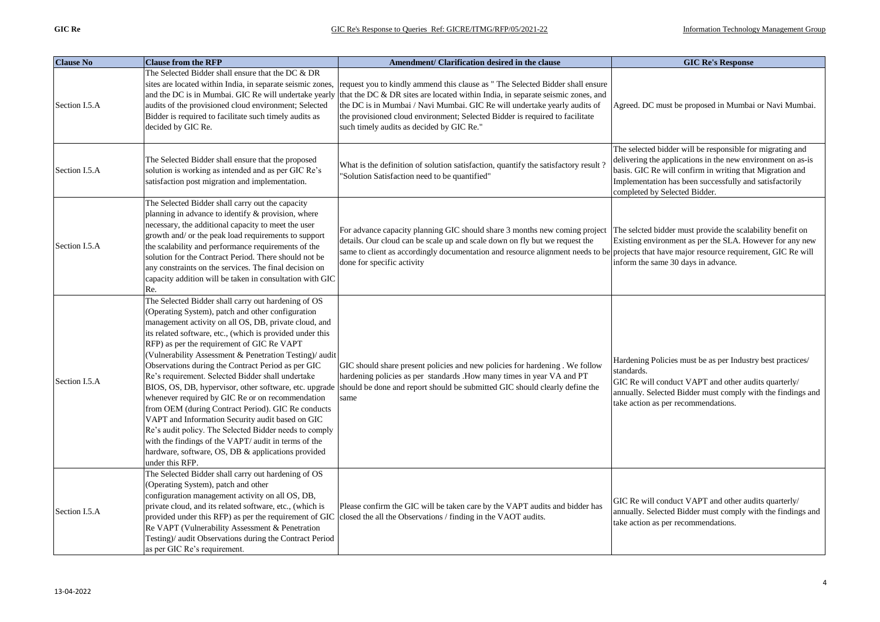| <b>Clause No</b> | <b>Clause from the RFP</b>                                                                                                                                                                                                                                                                                                                                                                                                                                                                                                                                                                                                                                                                                                                                                                                  | Amendment/ Clarification desired in the clause                                                                                                                                                                                                                                                                                                                                                                                   | <b>GIC Re's Response</b>                                                                                                                                                                                                                                                         |
|------------------|-------------------------------------------------------------------------------------------------------------------------------------------------------------------------------------------------------------------------------------------------------------------------------------------------------------------------------------------------------------------------------------------------------------------------------------------------------------------------------------------------------------------------------------------------------------------------------------------------------------------------------------------------------------------------------------------------------------------------------------------------------------------------------------------------------------|----------------------------------------------------------------------------------------------------------------------------------------------------------------------------------------------------------------------------------------------------------------------------------------------------------------------------------------------------------------------------------------------------------------------------------|----------------------------------------------------------------------------------------------------------------------------------------------------------------------------------------------------------------------------------------------------------------------------------|
| Section I.5.A    | The Selected Bidder shall ensure that the DC & DR<br>sites are located within India, in separate seismic zones,<br>audits of the provisioned cloud environment; Selected<br>Bidder is required to facilitate such timely audits as<br>decided by GIC Re.                                                                                                                                                                                                                                                                                                                                                                                                                                                                                                                                                    | request you to kindly ammend this clause as "The Selected Bidder shall ensure<br>and the DC is in Mumbai. GIC Re will undertake yearly that the DC & DR sites are located within India, in separate seismic zones, and<br>the DC is in Mumbai / Navi Mumbai. GIC Re will undertake yearly audits of<br>the provisioned cloud environment; Selected Bidder is required to facilitate<br>such timely audits as decided by GIC Re." | Agreed. DC must be proposed in Mumbai or Navi Mumbai.                                                                                                                                                                                                                            |
| Section I.5.A    | The Selected Bidder shall ensure that the proposed<br>solution is working as intended and as per GIC Re's<br>satisfaction post migration and implementation.                                                                                                                                                                                                                                                                                                                                                                                                                                                                                                                                                                                                                                                | What is the definition of solution satisfaction, quantify the satisfactory result<br>'Solution Satisfaction need to be quantified"                                                                                                                                                                                                                                                                                               | The selected bidder will be responsible for migrating and<br>delivering the applications in the new environment on as-is<br>basis. GIC Re will confirm in writing that Migration and<br>Implementation has been successfully and satisfactorily<br>completed by Selected Bidder. |
| Section I.5.A    | The Selected Bidder shall carry out the capacity<br>planning in advance to identify & provision, where<br>necessary, the additional capacity to meet the user<br>growth and/ or the peak load requirements to support<br>the scalability and performance requirements of the<br>solution for the Contract Period. There should not be<br>any constraints on the services. The final decision on<br>capacity addition will be taken in consultation with GIC<br>Re.                                                                                                                                                                                                                                                                                                                                          | For advance capacity planning GIC should share 3 months new coming project<br>details. Our cloud can be scale up and scale down on fly but we request the<br>same to client as accordingly documentation and resource alignment needs to be<br>done for specific activity                                                                                                                                                        | The selcted bidder must provide the scalability benefit on<br>Existing environment as per the SLA. However for any new<br>projects that have major resource requirement, GIC Re will<br>inform the same 30 days in advance.                                                      |
| Section I.5.A    | The Selected Bidder shall carry out hardening of OS<br>(Operating System), patch and other configuration<br>management activity on all OS, DB, private cloud, and<br>its related software, etc., (which is provided under this<br>RFP) as per the requirement of GIC Re VAPT<br>(Vulnerability Assessment & Penetration Testing)/ audit<br>Observations during the Contract Period as per GIC<br>Re's requirement. Selected Bidder shall undertake<br>whenever required by GIC Re or on recommendation<br>from OEM (during Contract Period). GIC Re conducts<br>VAPT and Information Security audit based on GIC<br>Re's audit policy. The Selected Bidder needs to comply<br>with the findings of the VAPT/ audit in terms of the<br>hardware, software, OS, DB & applications provided<br>under this RFP. | GIC should share present policies and new policies for hardening . We follow<br>hardening policies as per standards . How many times in year VA and PT<br>BIOS, OS, DB, hypervisor, other software, etc. upgrade should be done and report should be submitted GIC should clearly define the<br>same                                                                                                                             | Hardening Policies must be as per Industry best practices/<br>standards.<br>GIC Re will conduct VAPT and other audits quarterly/<br>annually. Selected Bidder must comply with the findings and<br>take action as per recommendations.                                           |
| Section I.5.A    | The Selected Bidder shall carry out hardening of OS<br>(Operating System), patch and other<br>configuration management activity on all OS, DB,<br>private cloud, and its related software, etc., (which is<br>Re VAPT (Vulnerability Assessment & Penetration<br>Testing)/ audit Observations during the Contract Period<br>as per GIC Re's requirement.                                                                                                                                                                                                                                                                                                                                                                                                                                                    | Please confirm the GIC will be taken care by the VAPT audits and bidder has<br>provided under this RFP) as per the requirement of GIC closed the all the Observations / finding in the VAOT audits.                                                                                                                                                                                                                              | GIC Re will conduct VAPT and other audits quarterly/<br>annually. Selected Bidder must comply with the findings and<br>take action as per recommendations.                                                                                                                       |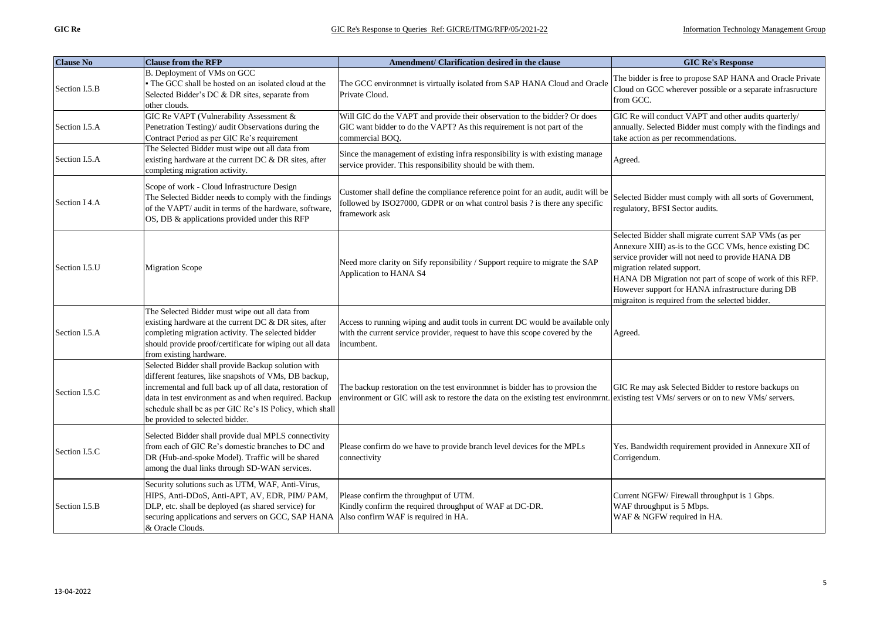| <b>Clause No</b> | <b>Clause from the RFP</b>                                                                                                                                                                                                                                                                                                      | Amendment/ Clarification desired in the clause                                                                                                                                                                          | <b>GIC Re's Response</b>                                                                                                                                                                                                                                                                                                                                               |
|------------------|---------------------------------------------------------------------------------------------------------------------------------------------------------------------------------------------------------------------------------------------------------------------------------------------------------------------------------|-------------------------------------------------------------------------------------------------------------------------------------------------------------------------------------------------------------------------|------------------------------------------------------------------------------------------------------------------------------------------------------------------------------------------------------------------------------------------------------------------------------------------------------------------------------------------------------------------------|
| Section I.5.B    | B. Deployment of VMs on GCC<br>• The GCC shall be hosted on an isolated cloud at the<br>Selected Bidder's DC & DR sites, separate from<br>other clouds.                                                                                                                                                                         | The GCC environmnet is virtually isolated from SAP HANA Cloud and Oracle<br>Private Cloud.                                                                                                                              | The bidder is free to propose SAP HANA and Oracle Private<br>Cloud on GCC wherever possible or a separate infrasructure<br>from GCC.                                                                                                                                                                                                                                   |
| Section I.5.A    | GIC Re VAPT (Vulnerability Assessment &<br>Penetration Testing)/ audit Observations during the<br>Contract Period as per GIC Re's requirement                                                                                                                                                                                   | Will GIC do the VAPT and provide their observation to the bidder? Or does<br>GIC want bidder to do the VAPT? As this requirement is not part of the<br>commercial BOQ.                                                  | GIC Re will conduct VAPT and other audits quarterly/<br>annually. Selected Bidder must comply with the findings and<br>take action as per recommendations.                                                                                                                                                                                                             |
| Section I.5.A    | The Selected Bidder must wipe out all data from<br>existing hardware at the current DC & DR sites, after<br>completing migration activity.                                                                                                                                                                                      | Since the management of existing infra responsibility is with existing manage<br>service provider. This responsibility should be with them.                                                                             | Agreed.                                                                                                                                                                                                                                                                                                                                                                |
| Section I 4.A    | Scope of work - Cloud Infrastructure Design<br>The Selected Bidder needs to comply with the findings<br>of the VAPT/ audit in terms of the hardware, software,<br>OS, DB & applications provided under this RFP                                                                                                                 | Customer shall define the compliance reference point for an audit, audit will be<br>followed by ISO27000, GDPR or on what control basis ? is there any specific<br>framework ask                                        | Selected Bidder must comply with all sorts of Government,<br>regulatory, BFSI Sector audits.                                                                                                                                                                                                                                                                           |
| Section I.5.U    | <b>Migration Scope</b>                                                                                                                                                                                                                                                                                                          | Need more clarity on Sify reponsibility / Support require to migrate the SAP<br>Application to HANA S4                                                                                                                  | Selected Bidder shall migrate current SAP VMs (as per<br>Annexure XIII) as-is to the GCC VMs, hence existing DC<br>service provider will not need to provide HANA DB<br>migration related support.<br>HANA DB Migration not part of scope of work of this RFP.<br>However support for HANA infrastructure during DB<br>migraiton is required from the selected bidder. |
| Section I.5.A    | The Selected Bidder must wipe out all data from<br>existing hardware at the current DC & DR sites, after<br>completing migration activity. The selected bidder<br>should provide proof/certificate for wiping out all data<br>from existing hardware.                                                                           | Access to running wiping and audit tools in current DC would be available only<br>with the current service provider, request to have this scope covered by the<br>incumbent.                                            | Agreed.                                                                                                                                                                                                                                                                                                                                                                |
| Section I.5.C    | Selected Bidder shall provide Backup solution with<br>different features, like snapshots of VMs, DB backup,<br>incremental and full back up of all data, restoration of<br>data in test environment as and when required. Backup<br>schedule shall be as per GIC Re's IS Policy, which shall<br>be provided to selected bidder. | The backup restoration on the test environment is bidder has to provsion the<br>environment or GIC will ask to restore the data on the existing test environment. existing test VMs/ servers or on to new VMs/ servers. | GIC Re may ask Selected Bidder to restore backups on                                                                                                                                                                                                                                                                                                                   |
| Section I.5.C    | Selected Bidder shall provide dual MPLS connectivity<br>from each of GIC Re's domestic branches to DC and<br>DR (Hub-and-spoke Model). Traffic will be shared<br>among the dual links through SD-WAN services.                                                                                                                  | Please confirm do we have to provide branch level devices for the MPLs<br>connectivity                                                                                                                                  | Yes. Bandwidth requirement provided in Annexure XII of<br>Corrigendum.                                                                                                                                                                                                                                                                                                 |
| Section I.5.B    | Security solutions such as UTM, WAF, Anti-Virus,<br>HIPS, Anti-DDoS, Anti-APT, AV, EDR, PIM/PAM,<br>DLP, etc. shall be deployed (as shared service) for<br>securing applications and servers on GCC, SAP HANA<br>& Oracle Clouds.                                                                                               | Please confirm the throughput of UTM.<br>Kindly confirm the required throughput of WAF at DC-DR.<br>Also confirm WAF is required in HA.                                                                                 | Current NGFW/Firewall throughput is 1 Gbps.<br>WAF throughput is 5 Mbps.<br>WAF & NGFW required in HA.                                                                                                                                                                                                                                                                 |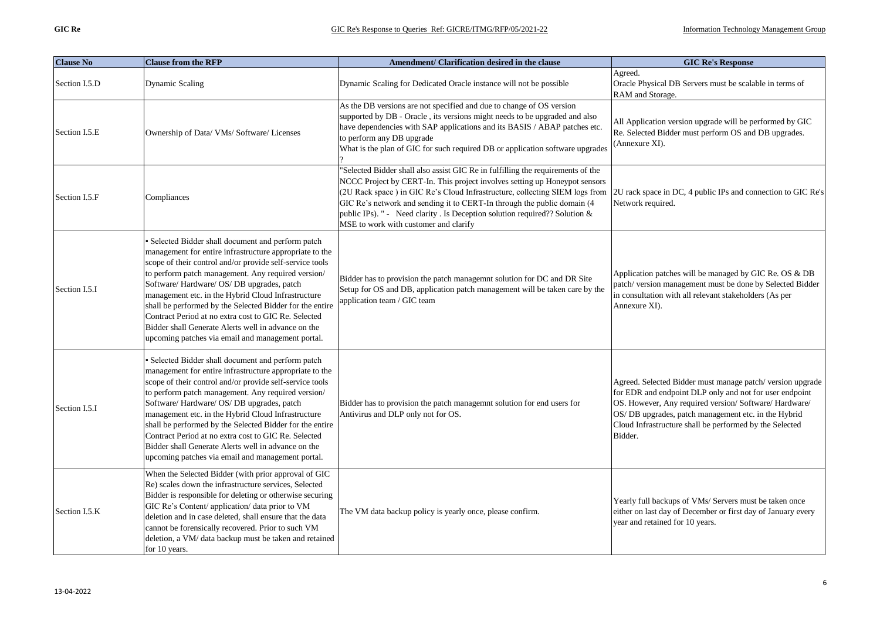| <b>Clause No</b> | <b>Clause from the RFP</b>                                                                                                                                                                                                                                                                                                                                                                                                                                                                                                                                       | Amendment/ Clarification desired in the clause                                                                                                                                                                                                                                                                                                                                                                                                  | <b>GIC Re's Response</b>                                                                                                                                                                                                                                                                                     |
|------------------|------------------------------------------------------------------------------------------------------------------------------------------------------------------------------------------------------------------------------------------------------------------------------------------------------------------------------------------------------------------------------------------------------------------------------------------------------------------------------------------------------------------------------------------------------------------|-------------------------------------------------------------------------------------------------------------------------------------------------------------------------------------------------------------------------------------------------------------------------------------------------------------------------------------------------------------------------------------------------------------------------------------------------|--------------------------------------------------------------------------------------------------------------------------------------------------------------------------------------------------------------------------------------------------------------------------------------------------------------|
| Section I.5.D    | Dynamic Scaling                                                                                                                                                                                                                                                                                                                                                                                                                                                                                                                                                  | Dynamic Scaling for Dedicated Oracle instance will not be possible                                                                                                                                                                                                                                                                                                                                                                              | Agreed.<br>Oracle Physical DB Servers must be scalable in terms of<br>RAM and Storage.                                                                                                                                                                                                                       |
| Section I.5.E    | Ownership of Data/ VMs/ Software/ Licenses                                                                                                                                                                                                                                                                                                                                                                                                                                                                                                                       | As the DB versions are not specified and due to change of OS version<br>supported by DB - Oracle, its versions might needs to be upgraded and also<br>have dependencies with SAP applications and its BASIS / ABAP patches etc.<br>to perform any DB upgrade<br>What is the plan of GIC for such required DB or application software upgrades                                                                                                   | All Application version upgrade will be performed by GIC<br>Re. Selected Bidder must perform OS and DB upgrades.<br>(Annexure XI).                                                                                                                                                                           |
| Section I.5.F    | Compliances                                                                                                                                                                                                                                                                                                                                                                                                                                                                                                                                                      | "Selected Bidder shall also assist GIC Re in fulfilling the requirements of the<br>NCCC Project by CERT-In. This project involves setting up Honeypot sensors<br>(2U Rack space) in GIC Re's Cloud Infrastructure, collecting SIEM logs from<br>GIC Re's network and sending it to CERT-In through the public domain (4<br>public IPs). " - Need clarity . Is Deception solution required?? Solution &<br>MSE to work with customer and clarify | 2U rack space in DC, 4 public IPs and connection to GIC Re's<br>Network required.                                                                                                                                                                                                                            |
| Section I.5.I    | · Selected Bidder shall document and perform patch<br>management for entire infrastructure appropriate to the<br>scope of their control and/or provide self-service tools<br>to perform patch management. Any required version/<br>Software/Hardware/OS/DB upgrades, patch<br>management etc. in the Hybrid Cloud Infrastructure<br>shall be performed by the Selected Bidder for the entire<br>Contract Period at no extra cost to GIC Re. Selected<br>Bidder shall Generate Alerts well in advance on the<br>upcoming patches via email and management portal. | Bidder has to provision the patch managemnt solution for DC and DR Site<br>Setup for OS and DB, application patch management will be taken care by the<br>application team / GIC team                                                                                                                                                                                                                                                           | Application patches will be managed by GIC Re. OS & DB<br>patch/version management must be done by Selected Bidder<br>in consultation with all relevant stakeholders (As per<br>Annexure XI).                                                                                                                |
| Section I.5.I    | · Selected Bidder shall document and perform patch<br>management for entire infrastructure appropriate to the<br>scope of their control and/or provide self-service tools<br>to perform patch management. Any required version/<br>Software/Hardware/OS/DB upgrades, patch<br>management etc. in the Hybrid Cloud Infrastructure<br>shall be performed by the Selected Bidder for the entire<br>Contract Period at no extra cost to GIC Re. Selected<br>Bidder shall Generate Alerts well in advance on the<br>upcoming patches via email and management portal. | Bidder has to provision the patch managemnt solution for end users for<br>Antivirus and DLP only not for OS.                                                                                                                                                                                                                                                                                                                                    | Agreed. Selected Bidder must manage patch/version upgrade<br>for EDR and endpoint DLP only and not for user endpoint<br>OS. However, Any required version/ Software/ Hardware/<br>OS/ DB upgrades, patch management etc. in the Hybrid<br>Cloud Infrastructure shall be performed by the Selected<br>Bidder. |
| Section I.5.K    | When the Selected Bidder (with prior approval of GIC<br>Re) scales down the infrastructure services, Selected<br>Bidder is responsible for deleting or otherwise securing<br>GIC Re's Content/ application/ data prior to VM<br>deletion and in case deleted, shall ensure that the data<br>cannot be forensically recovered. Prior to such VM<br>deletion, a VM/ data backup must be taken and retained<br>for 10 years.                                                                                                                                        | The VM data backup policy is yearly once, please confirm.                                                                                                                                                                                                                                                                                                                                                                                       | Yearly full backups of VMs/ Servers must be taken once<br>either on last day of December or first day of January every<br>year and retained for 10 years.                                                                                                                                                    |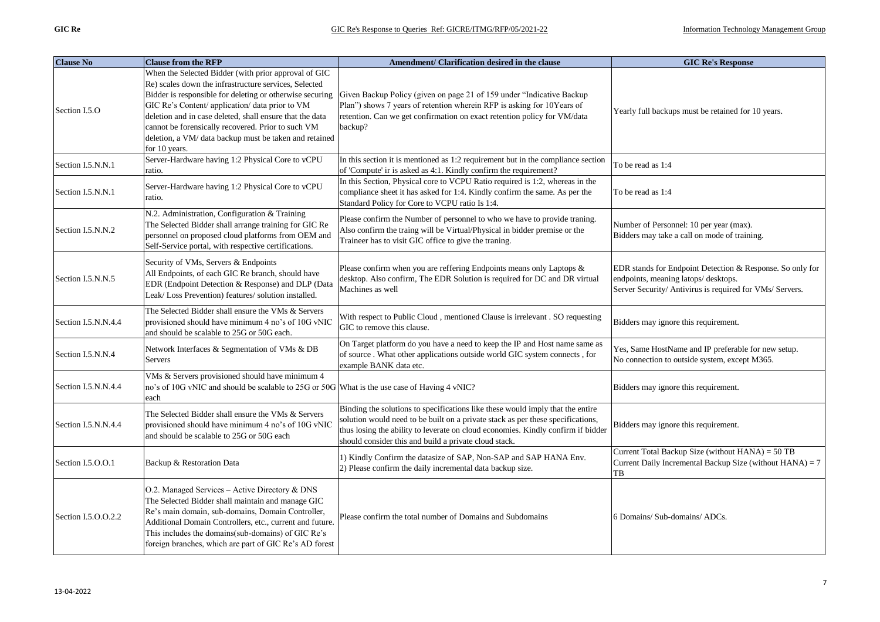| <b>Clause No</b>    | <b>Clause from the RFP</b>                                                                                                                                                                                                                                                                                                                                                                               | Amendment/ Clarification desired in the clause                                                                                                                                                                                                                                                                 | <b>GIC Re's Response</b>                                                                                                                                     |
|---------------------|----------------------------------------------------------------------------------------------------------------------------------------------------------------------------------------------------------------------------------------------------------------------------------------------------------------------------------------------------------------------------------------------------------|----------------------------------------------------------------------------------------------------------------------------------------------------------------------------------------------------------------------------------------------------------------------------------------------------------------|--------------------------------------------------------------------------------------------------------------------------------------------------------------|
| Section I.5.O       | When the Selected Bidder (with prior approval of GIC<br>Re) scales down the infrastructure services, Selected<br>Bidder is responsible for deleting or otherwise securing<br>GIC Re's Content/ application/ data prior to VM<br>deletion and in case deleted, shall ensure that the data<br>cannot be forensically recovered. Prior to such VM<br>deletion, a VM/ data backup must be taken and retained | Given Backup Policy (given on page 21 of 159 under "Indicative Backup<br>Plan") shows 7 years of retention wherein RFP is asking for 10Years of<br>retention. Can we get confirmation on exact retention policy for VM/data<br>backup?                                                                         | Yearly full backups must be retained for 10 years.                                                                                                           |
| Section I.5.N.N.1   | for 10 years.<br>Server-Hardware having 1:2 Physical Core to vCPU<br>ratio.                                                                                                                                                                                                                                                                                                                              | In this section it is mentioned as 1:2 requirement but in the compliance section<br>of 'Compute' ir is asked as 4:1. Kindly confirm the requirement?                                                                                                                                                           | To be read as 1:4                                                                                                                                            |
| Section I.5.N.N.1   | Server-Hardware having 1:2 Physical Core to vCPU<br>ratio.                                                                                                                                                                                                                                                                                                                                               | In this Section, Physical core to VCPU Ratio required is 1:2, whereas in the<br>compliance sheet it has asked for 1:4. Kindly confirm the same. As per the<br>Standard Policy for Core to VCPU ratio Is 1:4.                                                                                                   | To be read as 1:4                                                                                                                                            |
| Section I.5.N.N.2   | N.2. Administration, Configuration & Training<br>The Selected Bidder shall arrange training for GIC Re<br>personnel on proposed cloud platforms from OEM and<br>Self-Service portal, with respective certifications.                                                                                                                                                                                     | Please confirm the Number of personnel to who we have to provide traning.<br>Also confirm the traing will be Virtual/Physical in bidder premise or the<br>Traineer has to visit GIC office to give the traning.                                                                                                | Number of Personnel: 10 per year (max).<br>Bidders may take a call on mode of training.                                                                      |
| Section I.5.N.N.5   | Security of VMs, Servers & Endpoints<br>All Endpoints, of each GIC Re branch, should have<br>EDR (Endpoint Detection & Response) and DLP (Data<br>Leak/Loss Prevention) features/ solution installed.                                                                                                                                                                                                    | Please confirm when you are reffering Endpoints means only Laptops &<br>desktop. Also confirm, The EDR Solution is required for DC and DR virtual<br>Machines as well                                                                                                                                          | EDR stands for Endpoint Detection & Response. So only for<br>endpoints, meaning latops/desktops.<br>Server Security/ Antivirus is required for VMs/ Servers. |
| Section I.5.N.N.4.4 | The Selected Bidder shall ensure the VMs & Servers<br>provisioned should have minimum 4 no's of 10G vNIC<br>and should be scalable to 25G or 50G each.                                                                                                                                                                                                                                                   | With respect to Public Cloud, mentioned Clause is irrelevant. SO requesting<br>GIC to remove this clause.                                                                                                                                                                                                      | Bidders may ignore this requirement.                                                                                                                         |
| Section I.5.N.N.4   | Network Interfaces & Segmentation of VMs & DB<br>Servers                                                                                                                                                                                                                                                                                                                                                 | On Target platform do you have a need to keep the IP and Host name same as<br>of source. What other applications outside world GIC system connects, for<br>example BANK data etc.                                                                                                                              | Yes, Same HostName and IP preferable for new setup.<br>No connection to outside system, except M365.                                                         |
| Section I.5.N.N.4.4 | VMs & Servers provisioned should have minimum 4<br>no's of 10G vNIC and should be scalable to 25G or 50G What is the use case of Having 4 vNIC?<br>each                                                                                                                                                                                                                                                  |                                                                                                                                                                                                                                                                                                                | Bidders may ignore this requirement.                                                                                                                         |
| Section I.5.N.N.4.4 | The Selected Bidder shall ensure the VMs & Servers<br>provisioned should have minimum 4 no's of 10G vNIC<br>and should be scalable to 25G or 50G each                                                                                                                                                                                                                                                    | Binding the solutions to specifications like these would imply that the entire<br>solution would need to be built on a private stack as per these specifications,<br>thus losing the ability to leverate on cloud economies. Kindly confirm if bidder<br>should consider this and build a private cloud stack. | Bidders may ignore this requirement.                                                                                                                         |
| Section I.5.O.O.1   | Backup & Restoration Data                                                                                                                                                                                                                                                                                                                                                                                | 1) Kindly Confirm the datasize of SAP, Non-SAP and SAP HANA Env.<br>2) Please confirm the daily incremental data backup size.                                                                                                                                                                                  | Current Total Backup Size (without HANA) = 50 TB<br>Current Daily Incremental Backup Size (without HANA) = 7<br>TB                                           |
| Section I.5.O.O.2.2 | O.2. Managed Services - Active Directory & DNS<br>The Selected Bidder shall maintain and manage GIC<br>Re's main domain, sub-domains, Domain Controller,<br>Additional Domain Controllers, etc., current and future.<br>This includes the domains(sub-domains) of GIC Re's<br>foreign branches, which are part of GIC Re's AD forest                                                                     | Please confirm the total number of Domains and Subdomains                                                                                                                                                                                                                                                      | 6 Domains/ Sub-domains/ ADCs.                                                                                                                                |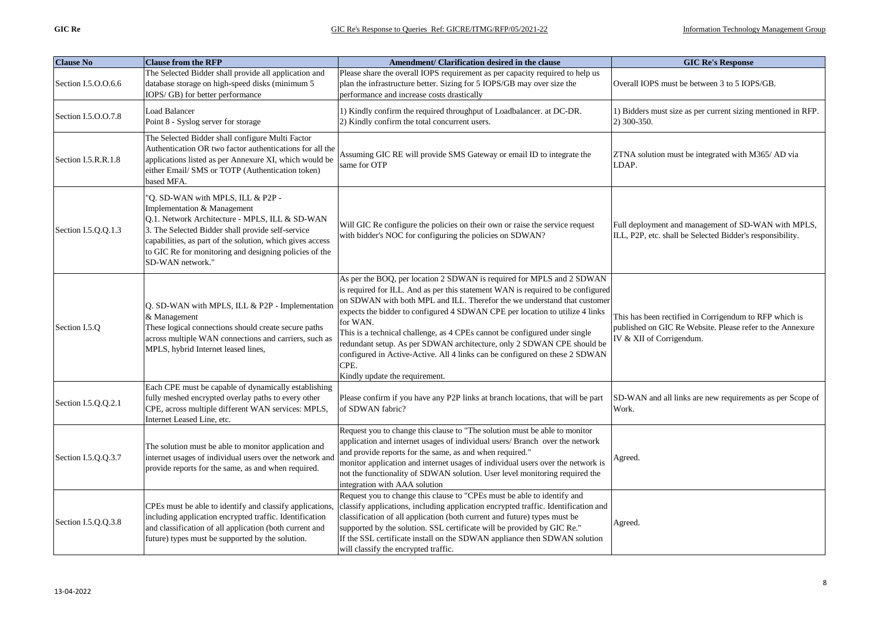| <b>Clause No</b>    | <b>Clause from the RFP</b>                                                                                                                                                                                                                                                                                         | Amendment/ Clarification desired in the clause                                                                                                                                                                                                                                                                                                                                                                                                                                                                                                                                                                    | <b>GIC Re's Response</b>                                                                                                                        |
|---------------------|--------------------------------------------------------------------------------------------------------------------------------------------------------------------------------------------------------------------------------------------------------------------------------------------------------------------|-------------------------------------------------------------------------------------------------------------------------------------------------------------------------------------------------------------------------------------------------------------------------------------------------------------------------------------------------------------------------------------------------------------------------------------------------------------------------------------------------------------------------------------------------------------------------------------------------------------------|-------------------------------------------------------------------------------------------------------------------------------------------------|
| Section I.5.O.O.6.6 | The Selected Bidder shall provide all application and<br>database storage on high-speed disks (minimum 5<br>IOPS/GB) for better performance                                                                                                                                                                        | Please share the overall IOPS requirement as per capacity required to help us<br>plan the infrastructure better. Sizing for 5 IOPS/GB may over size the<br>performance and increase costs drastically                                                                                                                                                                                                                                                                                                                                                                                                             | Overall IOPS must be between 3 to 5 IOPS/GB.                                                                                                    |
| Section I.5.O.O.7.8 | Load Balancer<br>Point 8 - Syslog server for storage                                                                                                                                                                                                                                                               | 1) Kindly confirm the required throughput of Loadbalancer. at DC-DR.<br>2) Kindly confirm the total concurrent users.                                                                                                                                                                                                                                                                                                                                                                                                                                                                                             | 1) Bidders must size as per current sizing mentioned in RFP.<br>2) 300-350.                                                                     |
| Section I.5.R.R.1.8 | The Selected Bidder shall configure Multi Factor<br>Authentication OR two factor authentications for all the<br>applications listed as per Annexure XI, which would be<br>either Email/ SMS or TOTP (Authentication token)<br>based MFA.                                                                           | Assuming GIC RE will provide SMS Gateway or email ID to integrate the<br>same for OTP                                                                                                                                                                                                                                                                                                                                                                                                                                                                                                                             | ZTNA solution must be integrated with M365/AD via<br>LDAP.                                                                                      |
| Section I.5.Q.Q.1.3 | "Q. SD-WAN with MPLS, ILL & P2P -<br>Implementation & Management<br>Q.1. Network Architecture - MPLS, ILL & SD-WAN<br>3. The Selected Bidder shall provide self-service<br>capabilities, as part of the solution, which gives access<br>to GIC Re for monitoring and designing policies of the<br>SD-WAN network." | Will GIC Re configure the policies on their own or raise the service request<br>with bidder's NOC for configuring the policies on SDWAN?                                                                                                                                                                                                                                                                                                                                                                                                                                                                          | Full deployment and management of SD-WAN with MPLS,<br>ILL, P2P, etc. shall be Selected Bidder's responsibility.                                |
| Section I.5.Q       | Q. SD-WAN with MPLS, ILL & P2P - Implementation<br>& Management<br>These logical connections should create secure paths<br>across multiple WAN connections and carriers, such as<br>MPLS, hybrid Internet leased lines,                                                                                            | As per the BOQ, per location 2 SDWAN is required for MPLS and 2 SDWAN<br>is required for ILL. And as per this statement WAN is required to be configured<br>on SDWAN with both MPL and ILL. Therefor the we understand that customer<br>expects the bidder to configured 4 SDWAN CPE per location to utilize 4 links<br>for WAN.<br>This is a technical challenge, as 4 CPEs cannot be configured under single<br>redundant setup. As per SDWAN architecture, only 2 SDWAN CPE should be<br>configured in Active-Active. All 4 links can be configured on these 2 SDWAN<br>CPE.<br>Kindly update the requirement. | This has been rectified in Corrigendum to RFP which is<br>published on GIC Re Website. Please refer to the Annexure<br>IV & XII of Corrigendum. |
| Section I.5.Q.Q.2.1 | Each CPE must be capable of dynamically establishing<br>fully meshed encrypted overlay paths to every other<br>CPE, across multiple different WAN services: MPLS,<br>Internet Leased Line, etc.                                                                                                                    | Please confirm if you have any P2P links at branch locations, that will be part<br>of SDWAN fabric?                                                                                                                                                                                                                                                                                                                                                                                                                                                                                                               | SD-WAN and all links are new requirements as per Scope of<br>Work.                                                                              |
| Section I.5.Q.Q.3.7 | The solution must be able to monitor application and<br>internet usages of individual users over the network and<br>provide reports for the same, as and when required.                                                                                                                                            | Request you to change this clause to "The solution must be able to monitor<br>application and internet usages of individual users/ Branch over the network<br>and provide reports for the same, as and when required."<br>monitor application and internet usages of individual users over the network is<br>not the functionality of SDWAN solution. User level monitoring required the<br>integration with AAA solution                                                                                                                                                                                         | Agreed.                                                                                                                                         |
| Section I.5.Q.Q.3.8 | CPEs must be able to identify and classify applications<br>including application encrypted traffic. Identification<br>and classification of all application (both current and<br>future) types must be supported by the solution.                                                                                  | Request you to change this clause to "CPEs must be able to identify and<br>classify applications, including application encrypted traffic. Identification and<br>classification of all application (both current and future) types must be<br>supported by the solution. SSL certificate will be provided by GIC Re."<br>If the SSL certificate install on the SDWAN appliance then SDWAN solution<br>will classify the encrypted traffic.                                                                                                                                                                        | Agreed.                                                                                                                                         |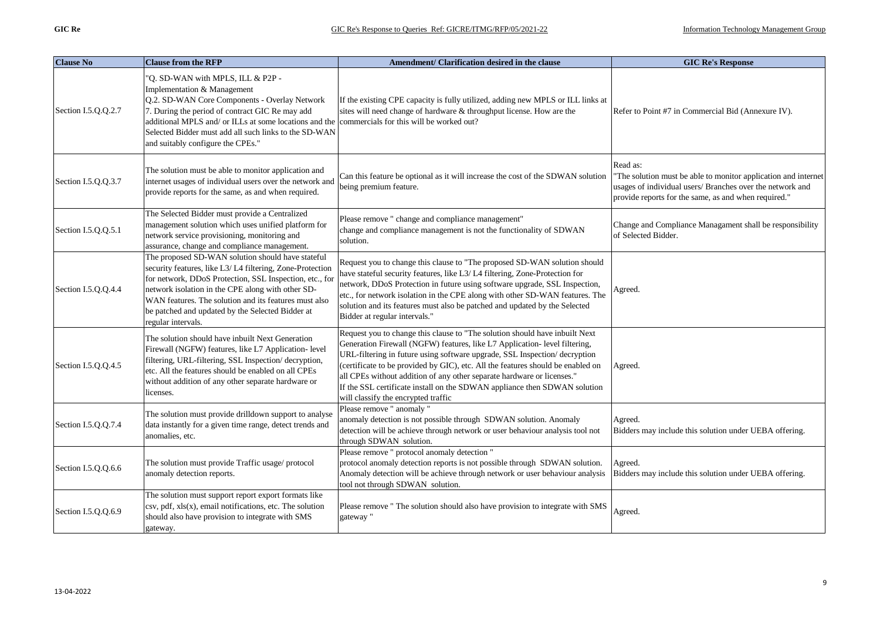| <b>Clause No</b>    | <b>Clause from the RFP</b>                                                                                                                                                                                                                                                                                                                                            | Amendment/ Clarification desired in the clause                                                                                                                                                                                                                                                                                                                                                                                                                                                                          | <b>GIC Re's Response</b>                                                                                                                                                                        |
|---------------------|-----------------------------------------------------------------------------------------------------------------------------------------------------------------------------------------------------------------------------------------------------------------------------------------------------------------------------------------------------------------------|-------------------------------------------------------------------------------------------------------------------------------------------------------------------------------------------------------------------------------------------------------------------------------------------------------------------------------------------------------------------------------------------------------------------------------------------------------------------------------------------------------------------------|-------------------------------------------------------------------------------------------------------------------------------------------------------------------------------------------------|
| Section I.5.Q.Q.2.7 | "Q. SD-WAN with MPLS, ILL & P2P -<br>Implementation & Management<br>Q.2. SD-WAN Core Components - Overlay Network<br>7. During the period of contract GIC Re may add<br>additional MPLS and/ or ILLs at some locations and the commercials for this will be worked out?<br>Selected Bidder must add all such links to the SD-WAN<br>and suitably configure the CPEs." | If the existing CPE capacity is fully utilized, adding new MPLS or ILL links at<br>sites will need change of hardware & throughput license. How are the                                                                                                                                                                                                                                                                                                                                                                 | Refer to Point #7 in Commercial Bid (Annexure IV).                                                                                                                                              |
| Section I.5.Q.Q.3.7 | The solution must be able to monitor application and<br>internet usages of individual users over the network and<br>provide reports for the same, as and when required.                                                                                                                                                                                               | Can this feature be optional as it will increase the cost of the SDWAN solution<br>being premium feature.                                                                                                                                                                                                                                                                                                                                                                                                               | Read as:<br>"The solution must be able to monitor application and internet<br>usages of individual users/ Branches over the network and<br>provide reports for the same, as and when required." |
| Section I.5.Q.Q.5.1 | The Selected Bidder must provide a Centralized<br>management solution which uses unified platform for<br>network service provisioning, monitoring and<br>assurance, change and compliance management.                                                                                                                                                                 | Please remove " change and compliance management"<br>change and compliance management is not the functionality of SDWAN<br>solution.                                                                                                                                                                                                                                                                                                                                                                                    | Change and Compliance Managament shall be responsibility<br>of Selected Bidder.                                                                                                                 |
| Section I.5.Q.Q.4.4 | The proposed SD-WAN solution should have stateful<br>security features, like L3/L4 filtering, Zone-Protection<br>for network, DDoS Protection, SSL Inspection, etc., for<br>network isolation in the CPE along with other SD-<br>WAN features. The solution and its features must also<br>be patched and updated by the Selected Bidder at<br>regular intervals.      | Request you to change this clause to "The proposed SD-WAN solution should<br>have stateful security features, like L3/L4 filtering, Zone-Protection for<br>network, DDoS Protection in future using software upgrade, SSL Inspection,<br>etc., for network isolation in the CPE along with other SD-WAN features. The<br>solution and its features must also be patched and updated by the Selected<br>Bidder at regular intervals."                                                                                    | Agreed.                                                                                                                                                                                         |
| Section I.5.Q.Q.4.5 | The solution should have inbuilt Next Generation<br>Firewall (NGFW) features, like L7 Application- level<br>filtering, URL-filtering, SSL Inspection/decryption,<br>etc. All the features should be enabled on all CPEs<br>without addition of any other separate hardware or<br>licenses.                                                                            | Request you to change this clause to "The solution should have inbuilt Next<br>Generation Firewall (NGFW) features, like L7 Application- level filtering,<br>URL-filtering in future using software upgrade, SSL Inspection/decryption<br>(certificate to be provided by GIC), etc. All the features should be enabled on<br>all CPEs without addition of any other separate hardware or licenses."<br>If the SSL certificate install on the SDWAN appliance then SDWAN solution<br>will classify the encrypted traffic | Agreed.                                                                                                                                                                                         |
| Section I.5.Q.Q.7.4 | The solution must provide drilldown support to analyse<br>data instantly for a given time range, detect trends and<br>anomalies, etc.                                                                                                                                                                                                                                 | Please remove " anomaly "<br>anomaly detection is not possible through SDWAN solution. Anomaly<br>detection will be achieve through network or user behaviour analysis tool not<br>through SDWAN solution.                                                                                                                                                                                                                                                                                                              | Agreed.<br>Bidders may include this solution under UEBA offering.                                                                                                                               |
| Section I.5.Q.Q.6.6 | The solution must provide Traffic usage/ protocol<br>anomaly detection reports.                                                                                                                                                                                                                                                                                       | Please remove " protocol anomaly detection "<br>protocol anomaly detection reports is not possible through SDWAN solution.<br>Anomaly detection will be achieve through network or user behaviour analysis<br>tool not through SDWAN solution.                                                                                                                                                                                                                                                                          | Agreed.<br>Bidders may include this solution under UEBA offering.                                                                                                                               |
| Section I.5.Q.Q.6.9 | The solution must support report export formats like<br>csv, pdf, xls(x), email notifications, etc. The solution<br>should also have provision to integrate with SMS<br>gateway.                                                                                                                                                                                      | Please remove " The solution should also have provision to integrate with SMS<br>gateway"                                                                                                                                                                                                                                                                                                                                                                                                                               | Agreed.                                                                                                                                                                                         |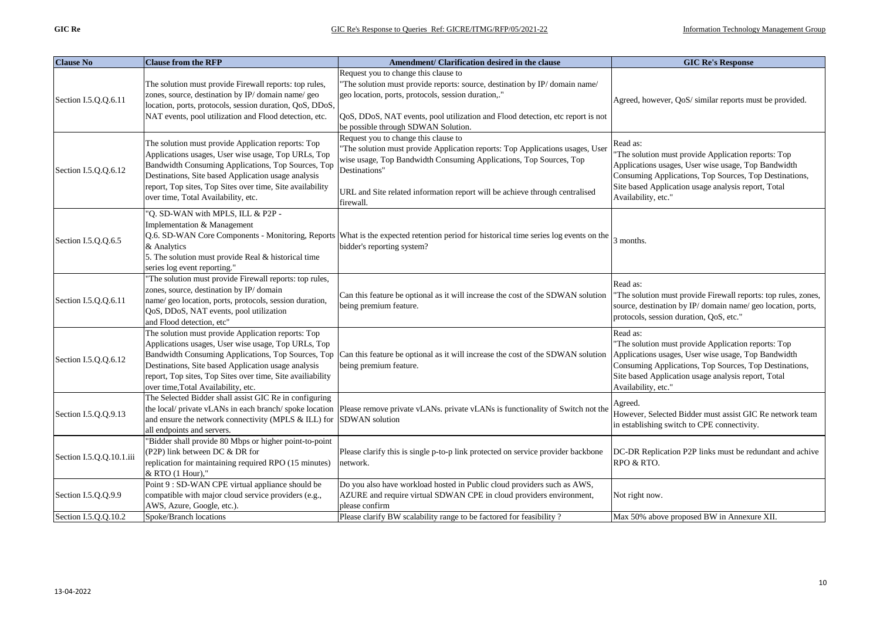| <b>Clause No</b>         | <b>Clause from the RFP</b>                                                                                                                                                                                                                                                                                                 | Amendment/ Clarification desired in the clause                                                                                                                                                                                                                                                           | <b>GIC Re's Response</b>                                                                                                                                                                                                                                       |
|--------------------------|----------------------------------------------------------------------------------------------------------------------------------------------------------------------------------------------------------------------------------------------------------------------------------------------------------------------------|----------------------------------------------------------------------------------------------------------------------------------------------------------------------------------------------------------------------------------------------------------------------------------------------------------|----------------------------------------------------------------------------------------------------------------------------------------------------------------------------------------------------------------------------------------------------------------|
| Section I.5.Q.Q.6.11     | The solution must provide Firewall reports: top rules,<br>zones, source, destination by IP/domain name/geo<br>location, ports, protocols, session duration, QoS, DDoS,<br>NAT events, pool utilization and Flood detection, etc.                                                                                           | Request you to change this clause to<br>'The solution must provide reports: source, destination by IP/domain name/<br>geo location, ports, protocols, session duration,."<br>QoS, DDoS, NAT events, pool utilization and Flood detection, etc report is not<br>be possible through SDWAN Solution.       | Agreed, however, QoS/ similar reports must be provided.                                                                                                                                                                                                        |
| Section I.5.Q.Q.6.12     | The solution must provide Application reports: Top<br>Applications usages, User wise usage, Top URLs, Top<br>Bandwidth Consuming Applications, Top Sources, Top<br>Destinations, Site based Application usage analysis<br>report, Top sites, Top Sites over time, Site availability<br>over time, Total Availability, etc. | Request you to change this clause to<br>'The solution must provide Application reports: Top Applications usages, User<br>wise usage, Top Bandwidth Consuming Applications, Top Sources, Top<br>Destinations"<br>URL and Site related information report will be achieve through centralised<br>firewall. | Read as:<br>"The solution must provide Application reports: Top<br>Applications usages, User wise usage, Top Bandwidth<br>Consuming Applications, Top Sources, Top Destinations,<br>Site based Application usage analysis report, Total<br>Availability, etc." |
| Section I.5.Q.Q.6.5      | "Q. SD-WAN with MPLS, ILL & P2P -<br>Implementation & Management<br>& Analytics<br>5. The solution must provide Real & historical time<br>series log event reporting."                                                                                                                                                     | Q.6. SD-WAN Core Components - Monitoring, Reports What is the expected retention period for historical time series log events on the<br>bidder's reporting system?                                                                                                                                       | 3 months.                                                                                                                                                                                                                                                      |
| Section I.5.Q.Q.6.11     | "The solution must provide Firewall reports: top rules,<br>zones, source, destination by IP/domain<br>name/ geo location, ports, protocols, session duration,<br>QoS, DDoS, NAT events, pool utilization<br>and Flood detection, etc"                                                                                      | Can this feature be optional as it will increase the cost of the SDWAN solution<br>being premium feature.                                                                                                                                                                                                | Read as:<br>"The solution must provide Firewall reports: top rules, zones,<br>source, destination by IP/domain name/geo location, ports,<br>protocols, session duration, QoS, etc."                                                                            |
| Section I.5.Q.Q.6.12     | The solution must provide Application reports: Top<br>Applications usages, User wise usage, Top URLs, Top<br>Destinations, Site based Application usage analysis<br>report, Top sites, Top Sites over time, Site availiability<br>over time, Total Availability, etc.                                                      | Bandwidth Consuming Applications, Top Sources, Top Can this feature be optional as it will increase the cost of the SDWAN solution<br>being premium feature.                                                                                                                                             | Read as:<br>"The solution must provide Application reports: Top<br>Applications usages, User wise usage, Top Bandwidth<br>Consuming Applications, Top Sources, Top Destinations,<br>Site based Application usage analysis report, Total<br>Availability, etc." |
| Section I.5.Q.Q.9.13     | The Selected Bidder shall assist GIC Re in configuring<br>and ensure the network connectivity (MPLS & ILL) for SDWAN solution<br>all endpoints and servers.                                                                                                                                                                | the local/private vLANs in each branch/spoke location  Please remove private vLANs. private vLANs is functionality of Switch not the                                                                                                                                                                     | Agreed.<br>However, Selected Bidder must assist GIC Re network team<br>in establishing switch to CPE connectivity.                                                                                                                                             |
| Section I.5.Q.Q.10.1.iii | "Bidder shall provide 80 Mbps or higher point-to-point<br>(P2P) link between DC & DR for<br>replication for maintaining required RPO (15 minutes)<br>& RTO (1 Hour),"                                                                                                                                                      | Please clarify this is single p-to-p link protected on service provider backbone<br>network.                                                                                                                                                                                                             | DC-DR Replication P2P links must be redundant and achive<br>RPO & RTO.                                                                                                                                                                                         |
| Section I.5.Q.Q.9.9      | Point 9 : SD-WAN CPE virtual appliance should be<br>compatible with major cloud service providers (e.g.,<br>AWS, Azure, Google, etc.).                                                                                                                                                                                     | Do you also have workload hosted in Public cloud providers such as AWS,<br>AZURE and require virtual SDWAN CPE in cloud providers environment,<br>please confirm                                                                                                                                         | Not right now.                                                                                                                                                                                                                                                 |
| Section I.5.Q.Q.10.2     | Spoke/Branch locations                                                                                                                                                                                                                                                                                                     | Please clarify BW scalability range to be factored for feasibility?                                                                                                                                                                                                                                      | Max 50% above proposed BW in Annexure XII.                                                                                                                                                                                                                     |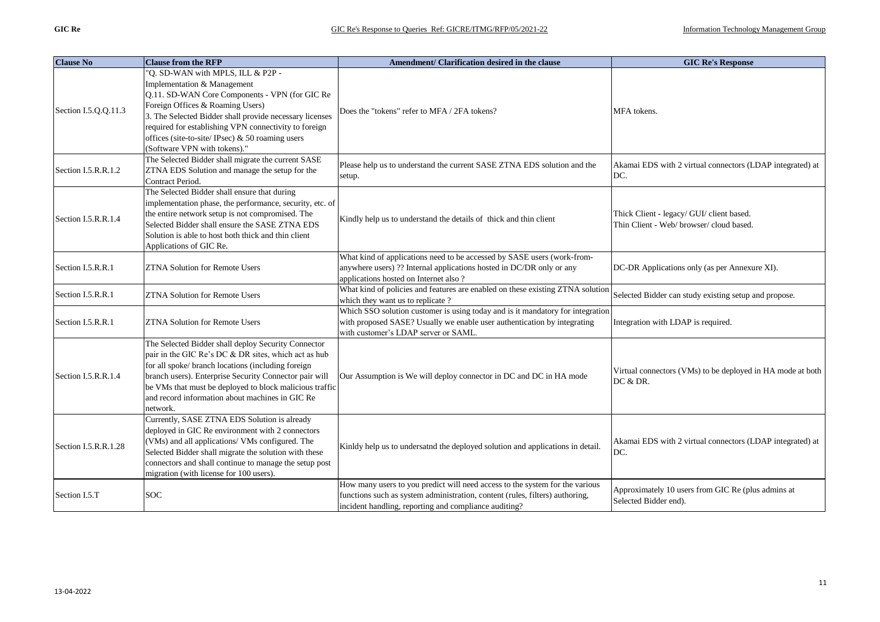| <b>Clause No</b>     | <b>Clause from the RFP</b>                                                                                                                                                                                                                                                                                                                                       | Amendment/ Clarification desired in the clause                                                                                                                                                                        | <b>GIC Re's Response</b>                                                              |
|----------------------|------------------------------------------------------------------------------------------------------------------------------------------------------------------------------------------------------------------------------------------------------------------------------------------------------------------------------------------------------------------|-----------------------------------------------------------------------------------------------------------------------------------------------------------------------------------------------------------------------|---------------------------------------------------------------------------------------|
| Section I.5.Q.Q.11.3 | "Q. SD-WAN with MPLS, ILL & P2P -<br>Implementation & Management<br>Q.11. SD-WAN Core Components - VPN (for GIC Re<br>Foreign Offices & Roaming Users)<br>3. The Selected Bidder shall provide necessary licenses<br>required for establishing VPN connectivity to foreign<br>offices (site-to-site/IPsec) $\&$ 50 roaming users<br>(Software VPN with tokens)." | Does the "tokens" refer to MFA / 2FA tokens?                                                                                                                                                                          | MFA tokens.                                                                           |
| Section I.5.R.R.1.2  | The Selected Bidder shall migrate the current SASE<br>ZTNA EDS Solution and manage the setup for the<br>Contract Period.                                                                                                                                                                                                                                         | Please help us to understand the current SASE ZTNA EDS solution and the<br>setup.                                                                                                                                     | Akamai EDS with 2 virtual connectors (LDAP integrated) at<br>DC.                      |
| Section I.5.R.R.1.4  | The Selected Bidder shall ensure that during<br>implementation phase, the performance, security, etc. of<br>the entire network setup is not compromised. The<br>Selected Bidder shall ensure the SASE ZTNA EDS<br>Solution is able to host both thick and thin client<br>Applications of GIC Re.                                                                 | Kindly help us to understand the details of thick and thin client                                                                                                                                                     | Thick Client - legacy/ GUI/ client based.<br>Thin Client - Web/ browser/ cloud based. |
| Section I.5.R.R.1    | <b>ZTNA Solution for Remote Users</b>                                                                                                                                                                                                                                                                                                                            | What kind of applications need to be accessed by SASE users (work-from-<br>anywhere users) ?? Internal applications hosted in DC/DR only or any<br>applications hosted on Internet also ?                             | DC-DR Applications only (as per Annexure XI).                                         |
| Section I.5.R.R.1    | <b>ZTNA Solution for Remote Users</b>                                                                                                                                                                                                                                                                                                                            | What kind of policies and features are enabled on these existing ZTNA solution<br>which they want us to replicate?                                                                                                    | Selected Bidder can study existing setup and propose.                                 |
| Section I.5.R.R.1    | <b>ZTNA Solution for Remote Users</b>                                                                                                                                                                                                                                                                                                                            | Which SSO solution customer is using today and is it mandatory for integration<br>with proposed SASE? Usually we enable user authentication by integrating<br>with customer's LDAP server or SAML.                    | Integration with LDAP is required.                                                    |
| Section I.5.R.R.1.4  | The Selected Bidder shall deploy Security Connector<br>pair in the GIC Re's DC & DR sites, which act as hub<br>for all spoke/ branch locations (including foreign<br>branch users). Enterprise Security Connector pair will<br>be VMs that must be deployed to block malicious traffic<br>and record information about machines in GIC Re<br>network.            | Our Assumption is We will deploy connector in DC and DC in HA mode                                                                                                                                                    | Virtual connectors (VMs) to be deployed in HA mode at both<br>DC & DR.                |
| Section I.5.R.R.1.28 | Currently, SASE ZTNA EDS Solution is already<br>deployed in GIC Re environment with 2 connectors<br>(VMs) and all applications/ VMs configured. The<br>Selected Bidder shall migrate the solution with these<br>connectors and shall continue to manage the setup post<br>migration (with license for 100 users).                                                | Kinldy help us to undersatnd the deployed solution and applications in detail.                                                                                                                                        | Akamai EDS with 2 virtual connectors (LDAP integrated) at<br>DC.                      |
| Section I.5.T        | <b>SOC</b>                                                                                                                                                                                                                                                                                                                                                       | How many users to you predict will need access to the system for the various<br>functions such as system administration, content (rules, filters) authoring,<br>incident handling, reporting and compliance auditing? | Approximately 10 users from GIC Re (plus admins at<br>Selected Bidder end).           |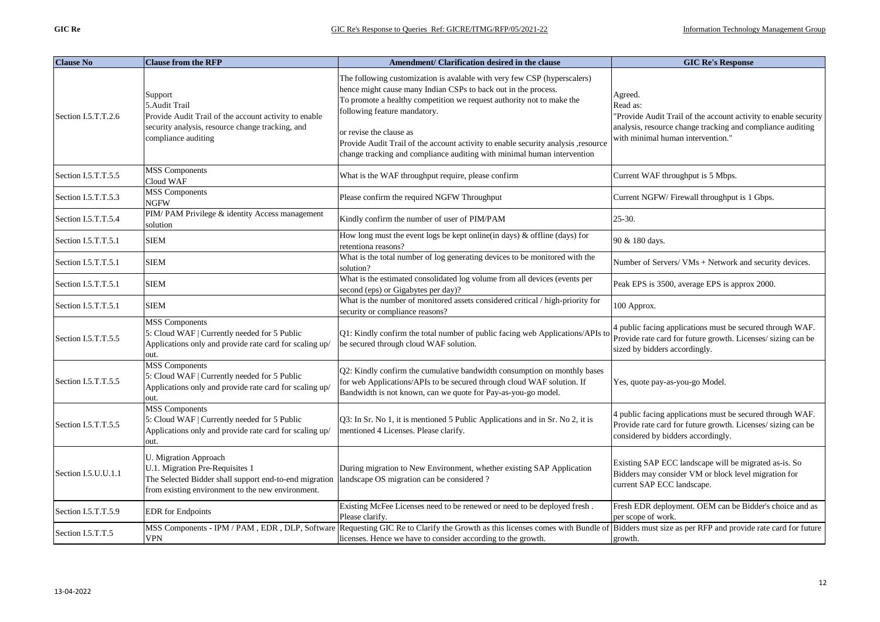| <b>Clause No</b>    | <b>Clause from the RFP</b>                                                                                                                                              | Amendment/ Clarification desired in the clause                                                                                                                                                                                                      | <b>GIC Re's Response</b>                                                                                                                                        |
|---------------------|-------------------------------------------------------------------------------------------------------------------------------------------------------------------------|-----------------------------------------------------------------------------------------------------------------------------------------------------------------------------------------------------------------------------------------------------|-----------------------------------------------------------------------------------------------------------------------------------------------------------------|
| Section I.5.T.T.2.6 | Support<br>5. Audit Trail<br>Provide Audit Trail of the account activity to enable<br>security analysis, resource change tracking, and                                  | The following customization is avalable with very few CSP (hyperscalers)<br>hence might cause many Indian CSPs to back out in the process.<br>To promote a healthy competition we request authority not to make the<br>following feature mandatory. | Agreed.<br>Read as:<br>'Provide Audit Trail of the account activity to enable security<br>analysis, resource change tracking and compliance auditing            |
|                     | compliance auditing                                                                                                                                                     | or revise the clause as<br>Provide Audit Trail of the account activity to enable security analysis , resource<br>change tracking and compliance auditing with minimal human intervention                                                            | with minimal human intervention."                                                                                                                               |
| Section I.5.T.T.5.5 | <b>MSS</b> Components<br>Cloud WAF                                                                                                                                      | What is the WAF throughput require, please confirm                                                                                                                                                                                                  | Current WAF throughput is 5 Mbps.                                                                                                                               |
| Section I.5.T.T.5.3 | <b>MSS</b> Components<br>NGFW                                                                                                                                           | Please confirm the required NGFW Throughput                                                                                                                                                                                                         | Current NGFW/Firewall throughput is 1 Gbps.                                                                                                                     |
| Section I.5.T.T.5.4 | PIM/PAM Privilege & identity Access management<br>solution                                                                                                              | Kindly confirm the number of user of PIM/PAM                                                                                                                                                                                                        | 25-30.                                                                                                                                                          |
| Section I.5.T.T.5.1 | <b>SIEM</b>                                                                                                                                                             | How long must the event logs be kept online(in days) & offline (days) for<br>retentiona reasons?                                                                                                                                                    | 90 & 180 days.                                                                                                                                                  |
| Section I.5.T.T.5.1 | SIEM                                                                                                                                                                    | What is the total number of log generating devices to be monitored with the<br>solution?                                                                                                                                                            | Number of Servers/ VMs + Network and security devices.                                                                                                          |
| Section I.5.T.T.5.1 | <b>SIEM</b>                                                                                                                                                             | What is the estimated consolidated log volume from all devices (events per<br>second (eps) or Gigabytes per day)?                                                                                                                                   | Peak EPS is 3500, average EPS is approx 2000.                                                                                                                   |
| Section I.5.T.T.5.1 | SIEM                                                                                                                                                                    | What is the number of monitored assets considered critical / high-priority for<br>security or compliance reasons?                                                                                                                                   | 100 Approx.                                                                                                                                                     |
| Section I.5.T.T.5.5 | <b>MSS</b> Components<br>5: Cloud WAF   Currently needed for 5 Public<br>Applications only and provide rate card for scaling up/<br>out.                                | Q1: Kindly confirm the total number of public facing web Applications/APIs to<br>be secured through cloud WAF solution.                                                                                                                             | 4 public facing applications must be secured through WAF.<br>Provide rate card for future growth. Licenses/ sizing can be<br>sized by bidders accordingly.      |
| Section I.5.T.T.5.5 | <b>MSS</b> Components<br>5: Cloud WAF   Currently needed for 5 Public<br>Applications only and provide rate card for scaling up/<br>out.                                | Q2: Kindly confirm the cumulative bandwidth consumption on monthly bases<br>for web Applications/APIs to be secured through cloud WAF solution. If<br>Bandwidth is not known, can we quote for Pay-as-you-go model.                                 | Yes, quote pay-as-you-go Model.                                                                                                                                 |
| Section I.5.T.T.5.5 | <b>MSS</b> Components<br>5: Cloud WAF   Currently needed for 5 Public<br>Applications only and provide rate card for scaling up/<br>out.                                | Q3: In Sr. No 1, it is mentioned 5 Public Applications and in Sr. No 2, it is<br>mentioned 4 Licenses. Please clarify.                                                                                                                              | 4 public facing applications must be secured through WAF.<br>Provide rate card for future growth. Licenses/ sizing can be<br>considered by bidders accordingly. |
| Section I.5.U.U.1.1 | U. Migration Approach<br>U.1. Migration Pre-Requisites 1<br>The Selected Bidder shall support end-to-end migration<br>from existing environment to the new environment. | During migration to New Environment, whether existing SAP Application<br>landscape OS migration can be considered?                                                                                                                                  | Existing SAP ECC landscape will be migrated as-is. So<br>Bidders may consider VM or block level migration for<br>current SAP ECC landscape.                     |
| Section I.5.T.T.5.9 | <b>EDR</b> for Endpoints                                                                                                                                                | Existing McFee Licenses need to be renewed or need to be deployed fresh.<br>Please clarify.                                                                                                                                                         | Fresh EDR deployment. OEM can be Bidder's choice and as<br>per scope of work.                                                                                   |
| Section I.5.T.T.5   | VPN                                                                                                                                                                     | MSS Components - IPM / PAM, EDR, DLP, Software Requesting GIC Re to Clarify the Growth as this licenses comes with Bundle of<br>licenses. Hence we have to consider according to the growth.                                                        | Bidders must size as per RFP and provide rate card for future<br>growth.                                                                                        |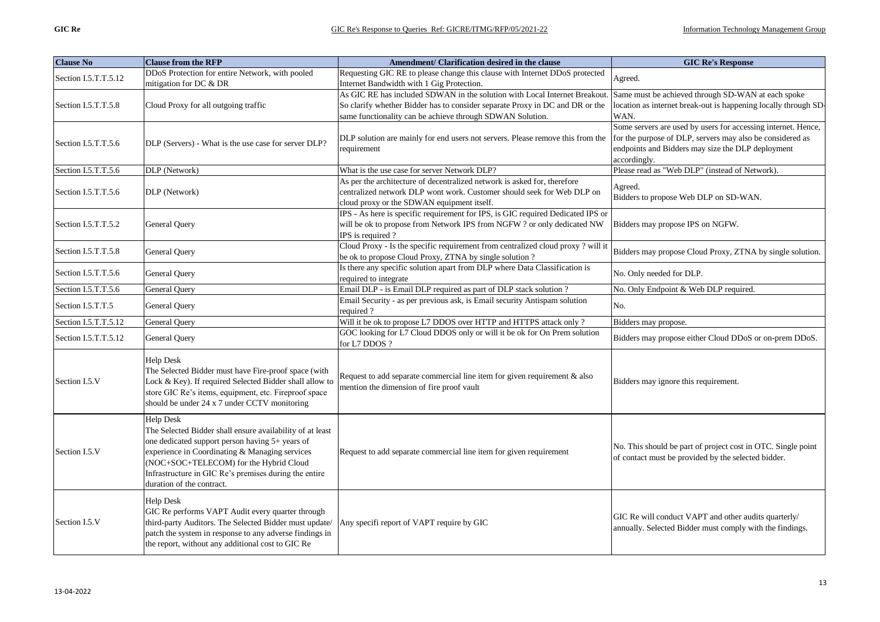| <b>Clause No</b>     | <b>Clause from the RFP</b>                                | Amendment/ Clarification desired in the clause                                   | <b>GIC Re's Response</b>                                        |
|----------------------|-----------------------------------------------------------|----------------------------------------------------------------------------------|-----------------------------------------------------------------|
| Section I.5.T.T.5.12 | DDoS Protection for entire Network, with pooled           | Requesting GIC RE to please change this clause with Internet DDoS protected      | Agreed.                                                         |
|                      | mitigation for DC & DR                                    | Internet Bandwidth with 1 Gig Protection.                                        |                                                                 |
|                      |                                                           | As GIC RE has included SDWAN in the solution with Local Internet Breakout.       | Same must be achieved through SD-WAN at each spoke              |
| Section I.5.T.T.5.8  | Cloud Proxy for all outgoing traffic                      | So clarify whether Bidder has to consider separate Proxy in DC and DR or the     | location as internet break-out is happening locally through SD- |
|                      |                                                           | same functionality can be achieve through SDWAN Solution.                        | WAN.                                                            |
|                      |                                                           |                                                                                  | Some servers are used by users for accessing internet. Hence,   |
| Section I.5.T.T.5.6  | DLP (Servers) - What is the use case for server DLP?      | DLP solution are mainly for end users not servers. Please remove this from the   | for the purpose of DLP, servers may also be considered as       |
|                      |                                                           | requirement                                                                      | endpoints and Bidders may size the DLP deployment               |
| Section I.5.T.T.5.6  | DLP (Network)                                             | What is the use case for server Network DLP?                                     | accordingly.<br>Please read as "Web DLP" (instead of Network).  |
|                      |                                                           | As per the architecture of decentralized network is asked for, therefore         |                                                                 |
| Section I.5.T.T.5.6  | DLP (Network)                                             | centralized network DLP wont work. Customer should seek for Web DLP on           | Agreed.                                                         |
|                      |                                                           | cloud proxy or the SDWAN equipment itself.                                       | Bidders to propose Web DLP on SD-WAN.                           |
|                      |                                                           | IPS - As here is specific requirement for IPS, is GIC required Dedicated IPS or  |                                                                 |
| Section I.5.T.T.5.2  | General Query                                             | will be ok to propose from Network IPS from NGFW ? or only dedicated NW          | Bidders may propose IPS on NGFW.                                |
|                      |                                                           | IPS is required?                                                                 |                                                                 |
|                      |                                                           | Cloud Proxy - Is the specific requirement from centralized cloud proxy ? will it |                                                                 |
| Section I.5.T.T.5.8  | General Query                                             | be ok to propose Cloud Proxy, ZTNA by single solution ?                          | Bidders may propose Cloud Proxy, ZTNA by single solution.       |
|                      |                                                           | Is there any specific solution apart from DLP where Data Classification is       |                                                                 |
| Section I.5.T.T.5.6  | <b>General Query</b>                                      | required to integrate                                                            | No. Only needed for DLP.                                        |
| Section I.5.T.T.5.6  | <b>General Query</b>                                      | Email DLP - is Email DLP required as part of DLP stack solution ?                | No. Only Endpoint & Web DLP required.                           |
| Section I.5.T.T.5    | <b>General Query</b>                                      | Email Security - as per previous ask, is Email security Antispam solution        | No.                                                             |
|                      |                                                           | required?                                                                        |                                                                 |
| Section I.5.T.T.5.12 | General Query                                             | Will it be ok to propose L7 DDOS over HTTP and HTTPS attack only ?               | Bidders may propose.                                            |
| Section I.5.T.T.5.12 | General Query                                             | GOC looking for L7 Cloud DDOS only or will it be ok for On Prem solution         | Bidders may propose either Cloud DDoS or on-prem DDoS.          |
|                      |                                                           | for L7 DDOS?                                                                     |                                                                 |
|                      | <b>Help Desk</b>                                          |                                                                                  |                                                                 |
|                      | The Selected Bidder must have Fire-proof space (with      | Request to add separate commercial line item for given requirement $\&$ also     |                                                                 |
| Section I.5.V        | Lock & Key). If required Selected Bidder shall allow to   | mention the dimension of fire proof vault                                        | Bidders may ignore this requirement.                            |
|                      | store GIC Re's items, equipment, etc. Fireproof space     |                                                                                  |                                                                 |
|                      | should be under 24 x 7 under CCTV monitoring              |                                                                                  |                                                                 |
|                      | <b>Help Desk</b>                                          |                                                                                  |                                                                 |
|                      | The Selected Bidder shall ensure availability of at least |                                                                                  |                                                                 |
|                      | one dedicated support person having 5+ years of           |                                                                                  |                                                                 |
| Section I.5.V        | experience in Coordinating & Managing services            | Request to add separate commercial line item for given requirement               | No. This should be part of project cost in OTC. Single point    |
|                      | (NOC+SOC+TELECOM) for the Hybrid Cloud                    |                                                                                  | of contact must be provided by the selected bidder.             |
|                      | Infrastructure in GIC Re's premises during the entire     |                                                                                  |                                                                 |
|                      | duration of the contract.                                 |                                                                                  |                                                                 |
|                      | <b>Help Desk</b>                                          |                                                                                  |                                                                 |
|                      | GIC Re performs VAPT Audit every quarter through          |                                                                                  |                                                                 |
| Section I.5.V        | third-party Auditors. The Selected Bidder must update/    | Any specifi report of VAPT require by GIC                                        | GIC Re will conduct VAPT and other audits quarterly/            |
|                      | patch the system in response to any adverse findings in   |                                                                                  | annually. Selected Bidder must comply with the findings.        |
|                      | the report, without any additional cost to GIC Re         |                                                                                  |                                                                 |
|                      |                                                           |                                                                                  |                                                                 |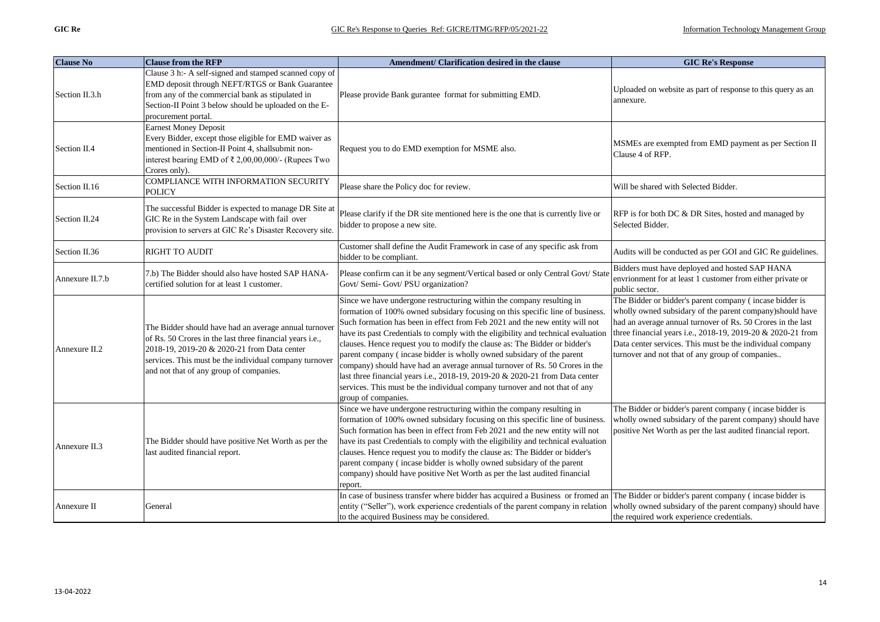| <b>Clause No</b> | <b>Clause from the RFP</b>                                                                                                                                                                                                                                            | Amendment/ Clarification desired in the clause                                                                                                                                                                                                                                                                                                                                                                                                                                                                                                                                                                                                                                                                                                        | <b>GIC Re's Response</b>                                                                                                                                                                                                                                                                                                                                          |
|------------------|-----------------------------------------------------------------------------------------------------------------------------------------------------------------------------------------------------------------------------------------------------------------------|-------------------------------------------------------------------------------------------------------------------------------------------------------------------------------------------------------------------------------------------------------------------------------------------------------------------------------------------------------------------------------------------------------------------------------------------------------------------------------------------------------------------------------------------------------------------------------------------------------------------------------------------------------------------------------------------------------------------------------------------------------|-------------------------------------------------------------------------------------------------------------------------------------------------------------------------------------------------------------------------------------------------------------------------------------------------------------------------------------------------------------------|
| Section II.3.h   | Clause 3 h:- A self-signed and stamped scanned copy of<br>EMD deposit through NEFT/RTGS or Bank Guarantee<br>from any of the commercial bank as stipulated in<br>Section-II Point 3 below should be uploaded on the E-<br>procurement portal.                         | Please provide Bank gurantee format for submitting EMD.                                                                                                                                                                                                                                                                                                                                                                                                                                                                                                                                                                                                                                                                                               | Uploaded on website as part of response to this query as an<br>annexure.                                                                                                                                                                                                                                                                                          |
| Section II.4     | <b>Earnest Money Deposit</b><br>Every Bidder, except those eligible for EMD waiver as<br>mentioned in Section-II Point 4, shallsubmit non-<br>interest bearing EMD of ₹ 2,00,00,000/- (Rupees Two<br>Crores only).                                                    | Request you to do EMD exemption for MSME also.                                                                                                                                                                                                                                                                                                                                                                                                                                                                                                                                                                                                                                                                                                        | MSMEs are exempted from EMD payment as per Section II<br>Clause 4 of RFP.                                                                                                                                                                                                                                                                                         |
| Section II.16    | COMPLIANCE WITH INFORMATION SECURITY<br><b>POLICY</b>                                                                                                                                                                                                                 | Please share the Policy doc for review.                                                                                                                                                                                                                                                                                                                                                                                                                                                                                                                                                                                                                                                                                                               | Will be shared with Selected Bidder.                                                                                                                                                                                                                                                                                                                              |
| Section II.24    | The successful Bidder is expected to manage DR Site at<br>GIC Re in the System Landscape with fail over<br>provision to servers at GIC Re's Disaster Recovery site.                                                                                                   | Please clarify if the DR site mentioned here is the one that is currently live or<br>bidder to propose a new site.                                                                                                                                                                                                                                                                                                                                                                                                                                                                                                                                                                                                                                    | RFP is for both DC & DR Sites, hosted and managed by<br>Selected Bidder.                                                                                                                                                                                                                                                                                          |
| Section II.36    | <b>RIGHT TO AUDIT</b>                                                                                                                                                                                                                                                 | Customer shall define the Audit Framework in case of any specific ask from<br>bidder to be compliant.                                                                                                                                                                                                                                                                                                                                                                                                                                                                                                                                                                                                                                                 | Audits will be conducted as per GOI and GIC Re guidelines.                                                                                                                                                                                                                                                                                                        |
| Annexure II.7.b  | 7.b) The Bidder should also have hosted SAP HANA-<br>certified solution for at least 1 customer.                                                                                                                                                                      | Please confirm can it be any segment/Vertical based or only Central Govt/State<br>Govt/ Semi- Govt/ PSU organization?                                                                                                                                                                                                                                                                                                                                                                                                                                                                                                                                                                                                                                 | Bidders must have deployed and hosted SAP HANA<br>envrionment for at least 1 customer from either private or<br>public sector.                                                                                                                                                                                                                                    |
| Annexure II.2    | The Bidder should have had an average annual turnover<br>of Rs. 50 Crores in the last three financial years i.e.,<br>2018-19, 2019-20 & 2020-21 from Data center<br>services. This must be the individual company turnover<br>and not that of any group of companies. | Since we have undergone restructuring within the company resulting in<br>formation of 100% owned subsidary focusing on this specific line of business.<br>Such formation has been in effect from Feb 2021 and the new entity will not<br>have its past Credentials to comply with the eligibility and technical evaluation<br>clauses. Hence request you to modify the clause as: The Bidder or bidder's<br>parent company (incase bidder is wholly owned subsidary of the parent<br>company) should have had an average annual turnover of Rs. 50 Crores in the<br>last three financial years i.e., 2018-19, 2019-20 & 2020-21 from Data center<br>services. This must be the individual company turnover and not that of any<br>group of companies. | The Bidder or bidder's parent company (incase bidder is<br>wholly owned subsidary of the parent company)should have<br>had an average annual turnover of Rs. 50 Crores in the last<br>three financial years i.e., 2018-19, 2019-20 & 2020-21 from<br>Data center services. This must be the individual company<br>turnover and not that of any group of companies |
| Annexure II.3    | The Bidder should have positive Net Worth as per the<br>last audited financial report.                                                                                                                                                                                | Since we have undergone restructuring within the company resulting in<br>formation of 100% owned subsidary focusing on this specific line of business<br>Such formation has been in effect from Feb 2021 and the new entity will not<br>have its past Credentials to comply with the eligibility and technical evaluation<br>clauses. Hence request you to modify the clause as: The Bidder or bidder's<br>parent company (incase bidder is wholly owned subsidary of the parent<br>company) should have positive Net Worth as per the last audited financial<br>report.                                                                                                                                                                              | The Bidder or bidder's parent company (incase bidder is<br>wholly owned subsidary of the parent company) should have<br>positive Net Worth as per the last audited financial report.                                                                                                                                                                              |
| Annexure II      | General                                                                                                                                                                                                                                                               | In case of business transfer where bidder has acquired a Business or fromed an<br>entity ("Seller"), work experience credentials of the parent company in relation<br>to the acquired Business may be considered.                                                                                                                                                                                                                                                                                                                                                                                                                                                                                                                                     | The Bidder or bidder's parent company (incase bidder is<br>wholly owned subsidary of the parent company) should have<br>the required work experience credentials.                                                                                                                                                                                                 |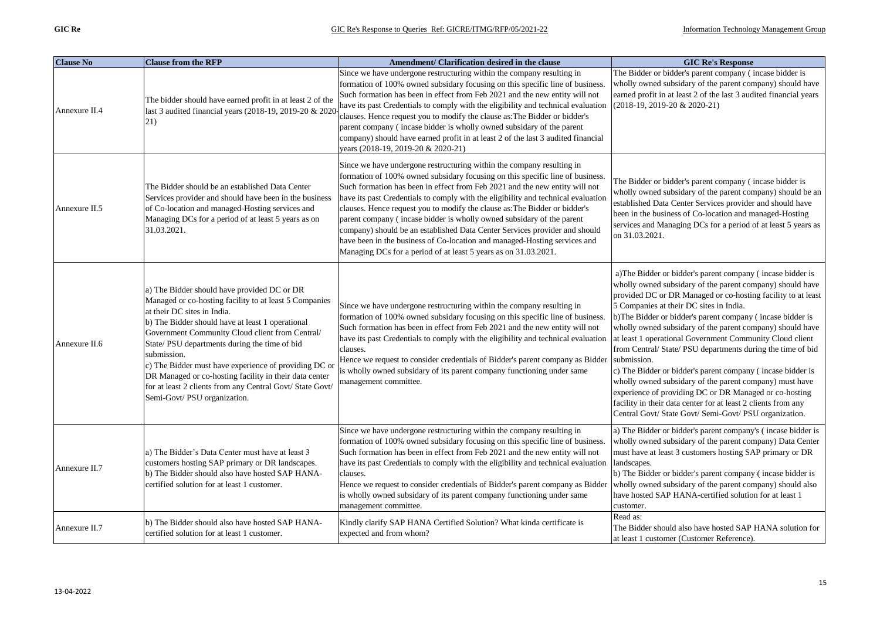| <b>Clause No</b> | <b>Clause from the RFP</b>                                                                                                                                                                                                                                                                                                                                                                                                                                                                                                 | Amendment/ Clarification desired in the clause                                                                                                                                                                                                                                                                                                                                                                                                                                                                                                                                                                                                                                                                  | <b>GIC Re's Response</b>                                                                                                                                                                                                                                                                                                                                                                                                                                                                                                                                                                                                                                                                                                                                                                                           |
|------------------|----------------------------------------------------------------------------------------------------------------------------------------------------------------------------------------------------------------------------------------------------------------------------------------------------------------------------------------------------------------------------------------------------------------------------------------------------------------------------------------------------------------------------|-----------------------------------------------------------------------------------------------------------------------------------------------------------------------------------------------------------------------------------------------------------------------------------------------------------------------------------------------------------------------------------------------------------------------------------------------------------------------------------------------------------------------------------------------------------------------------------------------------------------------------------------------------------------------------------------------------------------|--------------------------------------------------------------------------------------------------------------------------------------------------------------------------------------------------------------------------------------------------------------------------------------------------------------------------------------------------------------------------------------------------------------------------------------------------------------------------------------------------------------------------------------------------------------------------------------------------------------------------------------------------------------------------------------------------------------------------------------------------------------------------------------------------------------------|
| Annexure II.4    | The bidder should have earned profit in at least 2 of the<br>last 3 audited financial years (2018-19, 2019-20 & 2020<br>21)                                                                                                                                                                                                                                                                                                                                                                                                | Since we have undergone restructuring within the company resulting in<br>formation of 100% owned subsidary focusing on this specific line of business.<br>Such formation has been in effect from Feb 2021 and the new entity will not<br>have its past Credentials to comply with the eligibility and technical evaluation<br>clauses. Hence request you to modify the clause as: The Bidder or bidder's<br>parent company (incase bidder is wholly owned subsidary of the parent<br>company) should have earned profit in at least 2 of the last 3 audited financial<br>years (2018-19, 2019-20 & 2020-21)                                                                                                     | The Bidder or bidder's parent company (incase bidder is<br>wholly owned subsidary of the parent company) should have<br>earned profit in at least 2 of the last 3 audited financial years<br>$(2018-19, 2019-20 & 2020-21)$                                                                                                                                                                                                                                                                                                                                                                                                                                                                                                                                                                                        |
| Annexure II.5    | The Bidder should be an established Data Center<br>Services provider and should have been in the business<br>of Co-location and managed-Hosting services and<br>Managing DCs for a period of at least 5 years as on<br>31.03.2021.                                                                                                                                                                                                                                                                                         | Since we have undergone restructuring within the company resulting in<br>formation of 100% owned subsidary focusing on this specific line of business.<br>Such formation has been in effect from Feb 2021 and the new entity will not<br>have its past Credentials to comply with the eligibility and technical evaluation<br>clauses. Hence request you to modify the clause as: The Bidder or bidder's<br>parent company (incase bidder is wholly owned subsidary of the parent<br>company) should be an established Data Center Services provider and should<br>have been in the business of Co-location and managed-Hosting services and<br>Managing DCs for a period of at least 5 years as on 31.03.2021. | The Bidder or bidder's parent company (incase bidder is<br>wholly owned subsidary of the parent company) should be an<br>established Data Center Services provider and should have<br>been in the business of Co-location and managed-Hosting<br>services and Managing DCs for a period of at least 5 years as<br>on 31.03.2021.                                                                                                                                                                                                                                                                                                                                                                                                                                                                                   |
| Annexure II.6    | a) The Bidder should have provided DC or DR<br>Managed or co-hosting facility to at least 5 Companies<br>at their DC sites in India.<br>b) The Bidder should have at least 1 operational<br>Government Community Cloud client from Central/<br>State/PSU departments during the time of bid<br>submission.<br>c) The Bidder must have experience of providing DC or<br>DR Managed or co-hosting facility in their data center<br>for at least 2 clients from any Central Govt/ State Govt/<br>Semi-Govt/ PSU organization. | Since we have undergone restructuring within the company resulting in<br>formation of 100% owned subsidary focusing on this specific line of business.<br>Such formation has been in effect from Feb 2021 and the new entity will not<br>have its past Credentials to comply with the eligibility and technical evaluation<br>clauses.<br>Hence we request to consider credentials of Bidder's parent company as Bidder<br>is wholly owned subsidary of its parent company functioning under same<br>management committee.                                                                                                                                                                                      | a) The Bidder or bidder's parent company (incase bidder is<br>wholly owned subsidary of the parent company) should have<br>provided DC or DR Managed or co-hosting facility to at least<br>5 Companies at their DC sites in India.<br>b)The Bidder or bidder's parent company (incase bidder is<br>wholly owned subsidary of the parent company) should have<br>at least 1 operational Government Community Cloud client<br>from Central/State/PSU departments during the time of bid<br>submission.<br>c) The Bidder or bidder's parent company (incase bidder is<br>wholly owned subsidary of the parent company) must have<br>experience of providing DC or DR Managed or co-hosting<br>facility in their data center for at least 2 clients from any<br>Central Govt/ State Govt/ Semi-Govt/ PSU organization. |
| Annexure II.7    | a) The Bidder's Data Center must have at least 3<br>customers hosting SAP primary or DR landscapes.<br>b) The Bidder should also have hosted SAP HANA-<br>certified solution for at least 1 customer.                                                                                                                                                                                                                                                                                                                      | Since we have undergone restructuring within the company resulting in<br>formation of 100% owned subsidary focusing on this specific line of business.<br>Such formation has been in effect from Feb 2021 and the new entity will not<br>have its past Credentials to comply with the eligibility and technical evaluation<br>clauses.<br>Hence we request to consider credentials of Bidder's parent company as Bidder<br>is wholly owned subsidary of its parent company functioning under same<br>management committee.                                                                                                                                                                                      | a) The Bidder or bidder's parent company's (incase bidder is<br>wholly owned subsidary of the parent company) Data Center<br>must have at least 3 customers hosting SAP primary or DR<br>landscapes.<br>b) The Bidder or bidder's parent company (incase bidder is<br>wholly owned subsidary of the parent company) should also<br>have hosted SAP HANA-certified solution for at least 1<br>customer.                                                                                                                                                                                                                                                                                                                                                                                                             |
| Annexure II.7    | b) The Bidder should also have hosted SAP HANA-<br>certified solution for at least 1 customer.                                                                                                                                                                                                                                                                                                                                                                                                                             | Kindly clarify SAP HANA Certified Solution? What kinda certificate is<br>expected and from whom?                                                                                                                                                                                                                                                                                                                                                                                                                                                                                                                                                                                                                | Read as:<br>The Bidder should also have hosted SAP HANA solution for<br>at least 1 customer (Customer Reference).                                                                                                                                                                                                                                                                                                                                                                                                                                                                                                                                                                                                                                                                                                  |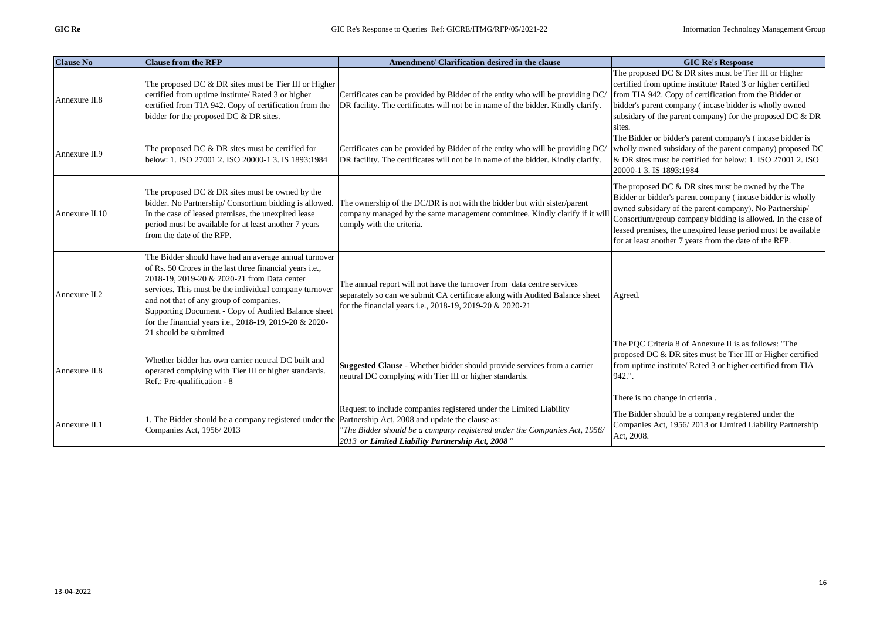| <b>Clause No</b> | <b>Clause from the RFP</b>                                                                                                                                                                                                                                                                                                                                                                                       | Amendment/ Clarification desired in the clause                                                                                                                                                                    | <b>GIC Re's Response</b>                                                                                                                                                                                                                                                                                                                                                 |
|------------------|------------------------------------------------------------------------------------------------------------------------------------------------------------------------------------------------------------------------------------------------------------------------------------------------------------------------------------------------------------------------------------------------------------------|-------------------------------------------------------------------------------------------------------------------------------------------------------------------------------------------------------------------|--------------------------------------------------------------------------------------------------------------------------------------------------------------------------------------------------------------------------------------------------------------------------------------------------------------------------------------------------------------------------|
| Annexure II.8    | The proposed DC & DR sites must be Tier III or Higher<br>certified from uptime institute/ Rated 3 or higher<br>certified from TIA 942. Copy of certification from the<br>bidder for the proposed DC & DR sites.                                                                                                                                                                                                  | Certificates can be provided by Bidder of the entity who will be providing DC/<br>DR facility. The certificates will not be in name of the bidder. Kindly clarify.                                                | The proposed DC & DR sites must be Tier III or Higher<br>certified from uptime institute/Rated 3 or higher certified<br>from TIA 942. Copy of certification from the Bidder or<br>bidder's parent company (incase bidder is wholly owned<br>subsidary of the parent company) for the proposed DC & DR<br>sites.                                                          |
| Annexure II.9    | The proposed DC $\&$ DR sites must be certified for<br>below: 1. ISO 27001 2. ISO 20000-1 3. IS 1893:1984                                                                                                                                                                                                                                                                                                        | Certificates can be provided by Bidder of the entity who will be providing DC/<br>DR facility. The certificates will not be in name of the bidder. Kindly clarify.                                                | The Bidder or bidder's parent company's (incase bidder is<br>wholly owned subsidary of the parent company) proposed DC<br>& DR sites must be certified for below: 1. ISO 27001 2. ISO<br>20000-1 3. IS 1893:1984                                                                                                                                                         |
| Annexure II.10   | The proposed DC & DR sites must be owned by the<br>bidder. No Partnership/Consortium bidding is allowed.<br>In the case of leased premises, the unexpired lease<br>period must be available for at least another 7 years<br>from the date of the RFP.                                                                                                                                                            | The ownership of the DC/DR is not with the bidder but with sister/parent<br>company managed by the same management committee. Kindly clarify if it will<br>comply with the criteria.                              | The proposed DC $&$ DR sites must be owned by the The<br>Bidder or bidder's parent company (incase bidder is wholly<br>owned subsidary of the parent company). No Partnership/<br>Consortium/group company bidding is allowed. In the case of<br>leased premises, the unexpired lease period must be available<br>for at least another 7 years from the date of the RFP. |
| Annexure II.2    | The Bidder should have had an average annual turnover<br>of Rs. 50 Crores in the last three financial years i.e.,<br>2018-19, 2019-20 & 2020-21 from Data center<br>services. This must be the individual company turnover<br>and not that of any group of companies.<br>Supporting Document - Copy of Audited Balance sheet<br>for the financial years i.e., 2018-19, 2019-20 & 2020-<br>21 should be submitted | The annual report will not have the turnover from data centre services<br>separately so can we submit CA certificate along with Audited Balance sheet<br>for the financial years i.e., 2018-19, 2019-20 & 2020-21 | Agreed.                                                                                                                                                                                                                                                                                                                                                                  |
| Annexure II.8    | Whether bidder has own carrier neutral DC built and<br>operated complying with Tier III or higher standards.<br>Ref.: Pre-qualification - 8                                                                                                                                                                                                                                                                      | Suggested Clause - Whether bidder should provide services from a carrier<br>neutral DC complying with Tier III or higher standards.                                                                               | The PQC Criteria 8 of Annexure II is as follows: "The<br>proposed DC & DR sites must be Tier III or Higher certified<br>from uptime institute/ Rated 3 or higher certified from TIA<br>942.".<br>There is no change in crietria.                                                                                                                                         |
| Annexure II.1    | 1. The Bidder should be a company registered under the Partnership Act, 2008 and update the clause as:<br>Companies Act, 1956/2013                                                                                                                                                                                                                                                                               | Request to include companies registered under the Limited Liability<br>"The Bidder should be a company registered under the Companies Act, 1956/<br>2013 or Limited Liability Partnership Act, 2008"              | The Bidder should be a company registered under the<br>Companies Act, 1956/2013 or Limited Liability Partnership<br>Act, 2008.                                                                                                                                                                                                                                           |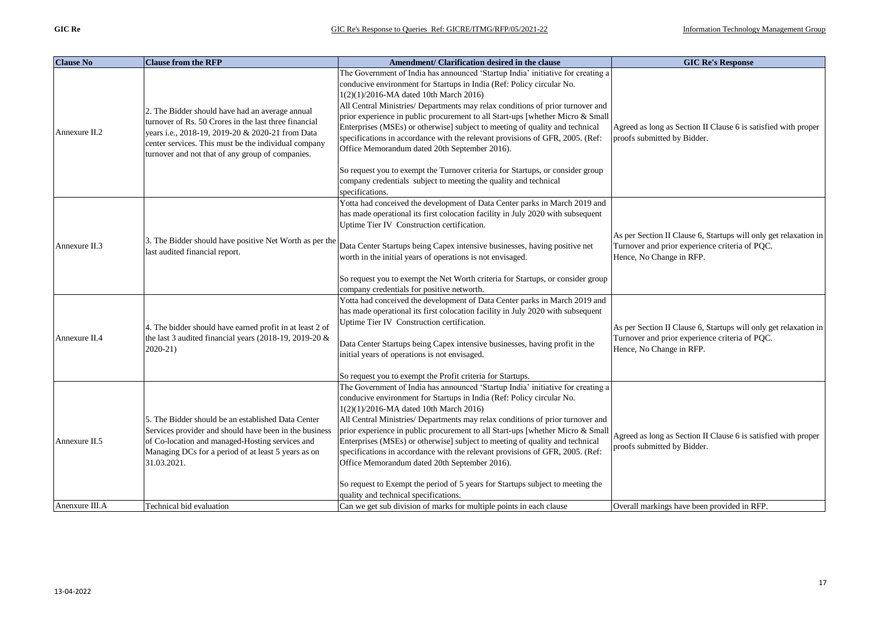| <b>Clause No</b> | <b>Clause from the RFP</b>                                                                                                                                                                                                                                               | Amendment/ Clarification desired in the clause                                                                                                                                                                                                                                                                                                                                                                                                                                                                                                                                                                                                                                                                                                                       | <b>GIC Re's Response</b>                                                                                                                       |
|------------------|--------------------------------------------------------------------------------------------------------------------------------------------------------------------------------------------------------------------------------------------------------------------------|----------------------------------------------------------------------------------------------------------------------------------------------------------------------------------------------------------------------------------------------------------------------------------------------------------------------------------------------------------------------------------------------------------------------------------------------------------------------------------------------------------------------------------------------------------------------------------------------------------------------------------------------------------------------------------------------------------------------------------------------------------------------|------------------------------------------------------------------------------------------------------------------------------------------------|
| Annexure II.2    | 2. The Bidder should have had an average annual<br>turnover of Rs. 50 Crores in the last three financial<br>years i.e., 2018-19, 2019-20 & 2020-21 from Data<br>center services. This must be the individual company<br>turnover and not that of any group of companies. | The Government of India has announced 'Startup India' initiative for creating a<br>conducive environment for Startups in India (Ref: Policy circular No.<br>$1(2)(1)/2016$ -MA dated 10th March 2016)<br>All Central Ministries/ Departments may relax conditions of prior turnover and<br>prior experience in public procurement to all Start-ups [whether Micro & Small<br>Enterprises (MSEs) or otherwise] subject to meeting of quality and technical<br>specifications in accordance with the relevant provisions of GFR, 2005. (Ref:<br>Office Memorandum dated 20th September 2016).<br>So request you to exempt the Turnover criteria for Startups, or consider group<br>company credentials subject to meeting the quality and technical<br>specifications. | Agreed as long as Section II Clause 6 is satisfied with proper<br>proofs submitted by Bidder.                                                  |
| Annexure II.3    | 3. The Bidder should have positive Net Worth as per the<br>last audited financial report.                                                                                                                                                                                | Yotta had conceived the development of Data Center parks in March 2019 and<br>has made operational its first colocation facility in July 2020 with subsequent<br>Uptime Tier IV Construction certification.<br>Data Center Startups being Capex intensive businesses, having positive net<br>worth in the initial years of operations is not envisaged.<br>So request you to exempt the Net Worth criteria for Startups, or consider group<br>company credentials for positive networth.                                                                                                                                                                                                                                                                             | As per Section II Clause 6, Startups will only get relaxation in<br>Turnover and prior experience criteria of PQC.<br>Hence, No Change in RFP. |
| Annexure II.4    | 4. The bidder should have earned profit in at least 2 of<br>the last 3 audited financial years (2018-19, 2019-20 &<br>2020-21)                                                                                                                                           | Yotta had conceived the development of Data Center parks in March 2019 and<br>has made operational its first colocation facility in July 2020 with subsequent<br>Uptime Tier IV Construction certification.<br>Data Center Startups being Capex intensive businesses, having profit in the<br>initial years of operations is not envisaged.<br>So request you to exempt the Profit criteria for Startups.                                                                                                                                                                                                                                                                                                                                                            | As per Section II Clause 6, Startups will only get relaxation in<br>Turnover and prior experience criteria of PQC.<br>Hence, No Change in RFP. |
| Annexure II.5    | 5. The Bidder should be an established Data Center<br>Services provider and should have been in the business<br>of Co-location and managed-Hosting services and<br>Managing DCs for a period of at least 5 years as on<br>31.03.2021.                                    | The Government of India has announced 'Startup India' initiative for creating a<br>conducive environment for Startups in India (Ref: Policy circular No.<br>1(2)(1)/2016-MA dated 10th March 2016)<br>All Central Ministries/ Departments may relax conditions of prior turnover and<br>prior experience in public procurement to all Start-ups [whether Micro & Small<br>Enterprises (MSEs) or otherwise] subject to meeting of quality and technical<br>specifications in accordance with the relevant provisions of GFR, 2005. (Ref:<br>Office Memorandum dated 20th September 2016).<br>So request to Exempt the period of 5 years for Startups subject to meeting the<br>quality and technical specifications.                                                  | Agreed as long as Section II Clause 6 is satisfied with proper<br>proofs submitted by Bidder.                                                  |
| Anenxure III.A   | Technical bid evaluation                                                                                                                                                                                                                                                 | Can we get sub division of marks for multiple points in each clause                                                                                                                                                                                                                                                                                                                                                                                                                                                                                                                                                                                                                                                                                                  | Overall markings have been provided in RFP.                                                                                                    |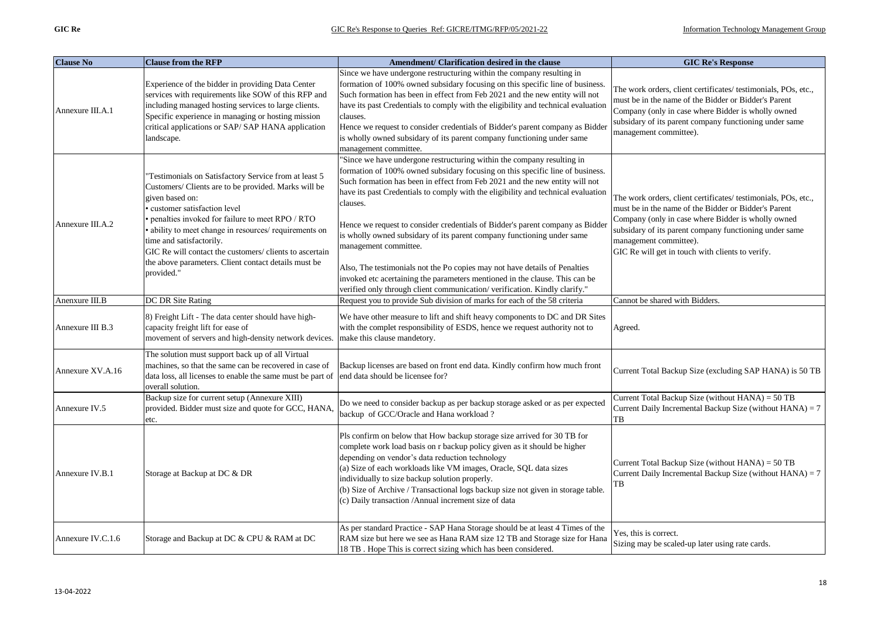| <b>Clause No</b>  | <b>Clause from the RFP</b>                                                                                                                                                                                                                                                                                                                                                                                                               | Amendment/ Clarification desired in the clause                                                                                                                                                                                                                                                                                                                                                                                                                                                                                                                                                                                                                                                                                                                        | <b>GIC Re's Response</b>                                                                                                                                                                                                                                                                                             |
|-------------------|------------------------------------------------------------------------------------------------------------------------------------------------------------------------------------------------------------------------------------------------------------------------------------------------------------------------------------------------------------------------------------------------------------------------------------------|-----------------------------------------------------------------------------------------------------------------------------------------------------------------------------------------------------------------------------------------------------------------------------------------------------------------------------------------------------------------------------------------------------------------------------------------------------------------------------------------------------------------------------------------------------------------------------------------------------------------------------------------------------------------------------------------------------------------------------------------------------------------------|----------------------------------------------------------------------------------------------------------------------------------------------------------------------------------------------------------------------------------------------------------------------------------------------------------------------|
| Annexure III.A.1  | Experience of the bidder in providing Data Center<br>services with requirements like SOW of this RFP and<br>including managed hosting services to large clients.<br>Specific experience in managing or hosting mission<br>critical applications or SAP/SAP HANA application<br>landscape.                                                                                                                                                | Since we have undergone restructuring within the company resulting in<br>formation of 100% owned subsidary focusing on this specific line of business.<br>Such formation has been in effect from Feb 2021 and the new entity will not<br>have its past Credentials to comply with the eligibility and technical evaluation<br>clauses.<br>Hence we request to consider credentials of Bidder's parent company as Bidder<br>is wholly owned subsidary of its parent company functioning under same<br>management committee.                                                                                                                                                                                                                                            | The work orders, client certificates/ testimonials, POs, etc.,<br>must be in the name of the Bidder or Bidder's Parent<br>Company (only in case where Bidder is wholly owned<br>subsidary of its parent company functioning under same<br>management committee).                                                     |
| Annexure III.A.2  | Testimonials on Satisfactory Service from at least 5<br>Customers/ Clients are to be provided. Marks will be<br>given based on:<br>customer satisfaction level<br>penalties invoked for failure to meet RPO / RTO<br>· ability to meet change in resources/ requirements on<br>time and satisfactorily.<br>GIC Re will contact the customers/ clients to ascertain<br>the above parameters. Client contact details must be<br>provided." | 'Since we have undergone restructuring within the company resulting in<br>formation of 100% owned subsidary focusing on this specific line of business.<br>Such formation has been in effect from Feb 2021 and the new entity will not<br>have its past Credentials to comply with the eligibility and technical evaluation<br>clauses.<br>Hence we request to consider credentials of Bidder's parent company as Bidder<br>is wholly owned subsidary of its parent company functioning under same<br>management committee.<br>Also, The testimonials not the Po copies may not have details of Penalties<br>invoked etc acertaining the parameters mentioned in the clause. This can be<br>verified only through client communication/verification. Kindly clarify." | The work orders, client certificates/ testimonials, POs, etc.,<br>must be in the name of the Bidder or Bidder's Parent<br>Company (only in case where Bidder is wholly owned<br>subsidary of its parent company functioning under same<br>management committee).<br>GIC Re will get in touch with clients to verify. |
| Anenxure III.B    | DC DR Site Rating                                                                                                                                                                                                                                                                                                                                                                                                                        | Request you to provide Sub division of marks for each of the 58 criteria                                                                                                                                                                                                                                                                                                                                                                                                                                                                                                                                                                                                                                                                                              | Cannot be shared with Bidders.                                                                                                                                                                                                                                                                                       |
| Annexure III B.3  | 8) Freight Lift - The data center should have high-<br>capacity freight lift for ease of<br>movement of servers and high-density network devices.                                                                                                                                                                                                                                                                                        | We have other measure to lift and shift heavy components to DC and DR Sites<br>with the complet responsibility of ESDS, hence we request authority not to<br>make this clause mandetory.                                                                                                                                                                                                                                                                                                                                                                                                                                                                                                                                                                              | Agreed.                                                                                                                                                                                                                                                                                                              |
| Annexure XV.A.16  | The solution must support back up of all Virtual<br>machines, so that the same can be recovered in case of<br>data loss, all licenses to enable the same must be part of<br>overall solution.                                                                                                                                                                                                                                            | Backup licenses are based on front end data. Kindly confirm how much front<br>end data should be licensee for?                                                                                                                                                                                                                                                                                                                                                                                                                                                                                                                                                                                                                                                        | Current Total Backup Size (excluding SAP HANA) is 50 TB                                                                                                                                                                                                                                                              |
| Annexure IV.5     | Backup size for current setup (Annexure XIII)<br>provided. Bidder must size and quote for GCC, HANA,<br>etc.                                                                                                                                                                                                                                                                                                                             | Do we need to consider backup as per backup storage asked or as per expected<br>backup of GCC/Oracle and Hana workload?                                                                                                                                                                                                                                                                                                                                                                                                                                                                                                                                                                                                                                               | Current Total Backup Size (without HANA) = 50 TB<br>Current Daily Incremental Backup Size (without $HANA$ ) = 7<br>TB                                                                                                                                                                                                |
| Annexure IV.B.1   | Storage at Backup at DC & DR                                                                                                                                                                                                                                                                                                                                                                                                             | Pls confirm on below that How backup storage size arrived for 30 TB for<br>complete work load basis on r backup policy given as it should be higher<br>depending on vendor's data reduction technology<br>(a) Size of each workloads like VM images, Oracle, SQL data sizes<br>individually to size backup solution properly.<br>(b) Size of Archive / Transactional logs backup size not given in storage table.<br>(c) Daily transaction / Annual increment size of data                                                                                                                                                                                                                                                                                            | Current Total Backup Size (without HANA) = 50 TB<br>Current Daily Incremental Backup Size (without $HANA$ ) = 7<br>TB                                                                                                                                                                                                |
| Annexure IV.C.1.6 | Storage and Backup at DC & CPU & RAM at DC                                                                                                                                                                                                                                                                                                                                                                                               | As per standard Practice - SAP Hana Storage should be at least 4 Times of the<br>RAM size but here we see as Hana RAM size 12 TB and Storage size for Hana<br>18 TB. Hope This is correct sizing which has been considered.                                                                                                                                                                                                                                                                                                                                                                                                                                                                                                                                           | Yes, this is correct.<br>Sizing may be scaled-up later using rate cards.                                                                                                                                                                                                                                             |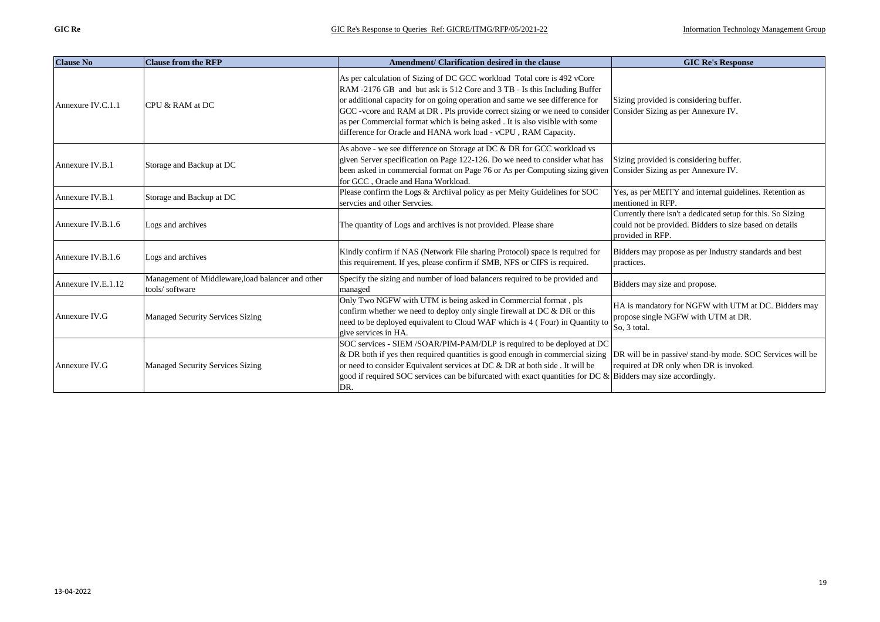| <b>Clause No</b>   | <b>Clause from the RFP</b>                                          | Amendment/ Clarification desired in the clause                                                                                                                                                                                                                                                                                                                                                                                                                                                           | <b>GIC Re's Response</b>                                                                                                                   |
|--------------------|---------------------------------------------------------------------|----------------------------------------------------------------------------------------------------------------------------------------------------------------------------------------------------------------------------------------------------------------------------------------------------------------------------------------------------------------------------------------------------------------------------------------------------------------------------------------------------------|--------------------------------------------------------------------------------------------------------------------------------------------|
| Annexure IV.C.1.1  | CPU & RAM at DC                                                     | As per calculation of Sizing of DC GCC workload Total core is 492 vCore<br>RAM -2176 GB and but ask is 512 Core and 3 TB - Is this Including Buffer<br>or additional capacity for on going operation and same we see difference for<br>GCC -vcore and RAM at DR . Pls provide correct sizing or we need to consider Consider Sizing as per Annexure IV.<br>as per Commercial format which is being asked. It is also visible with some<br>difference for Oracle and HANA work load - vCPU, RAM Capacity. | Sizing provided is considering buffer.                                                                                                     |
| Annexure IV.B.1    | Storage and Backup at DC                                            | As above - we see difference on Storage at DC & DR for GCC workload vs<br>given Server specification on Page 122-126. Do we need to consider what has<br>been asked in commercial format on Page 76 or As per Computing sizing given<br>for GCC, Oracle and Hana Workload.                                                                                                                                                                                                                               | Sizing provided is considering buffer.<br>Consider Sizing as per Annexure IV.                                                              |
| Annexure IV.B.1    | Storage and Backup at DC                                            | Please confirm the Logs & Archival policy as per Meity Guidelines for SOC<br>servcies and other Servcies.                                                                                                                                                                                                                                                                                                                                                                                                | Yes, as per MEITY and internal guidelines. Retention as<br>mentioned in RFP.                                                               |
| Annexure IV.B.1.6  | Logs and archives                                                   | The quantity of Logs and archives is not provided. Please share                                                                                                                                                                                                                                                                                                                                                                                                                                          | Currently there isn't a dedicated setup for this. So Sizing<br>could not be provided. Bidders to size based on details<br>provided in RFP. |
| Annexure IV.B.1.6  | Logs and archives                                                   | Kindly confirm if NAS (Network File sharing Protocol) space is required for<br>this requirement. If yes, please confirm if SMB, NFS or CIFS is required.                                                                                                                                                                                                                                                                                                                                                 | Bidders may propose as per Industry standards and best<br>practices.                                                                       |
| Annexure IV.E.1.12 | Management of Middleware, load balancer and other<br>tools/software | Specify the sizing and number of load balancers required to be provided and<br>managed                                                                                                                                                                                                                                                                                                                                                                                                                   | Bidders may size and propose.                                                                                                              |
| Annexure IV.G      | Managed Security Services Sizing                                    | Only Two NGFW with UTM is being asked in Commercial format, pls<br>confirm whether we need to deploy only single firewall at DC & DR or this<br>need to be deployed equivalent to Cloud WAF which is 4 (Four) in Quantity to<br>give services in HA.                                                                                                                                                                                                                                                     | HA is mandatory for NGFW with UTM at DC. Bidders may<br>propose single NGFW with UTM at DR.<br>So, 3 total.                                |
| Annexure IV.G      | Managed Security Services Sizing                                    | SOC services - SIEM /SOAR/PIM-PAM/DLP is required to be deployed at DC<br>$\&$ DR both if yes then required quantities is good enough in commercial sizing<br>or need to consider Equivalent services at DC & DR at both side . It will be<br>good if required SOC services can be bifurcated with exact quantities for DC & Bidders may size accordingly.<br>DR.                                                                                                                                        | DR will be in passive/stand-by mode. SOC Services will be<br>required at DR only when DR is invoked.                                       |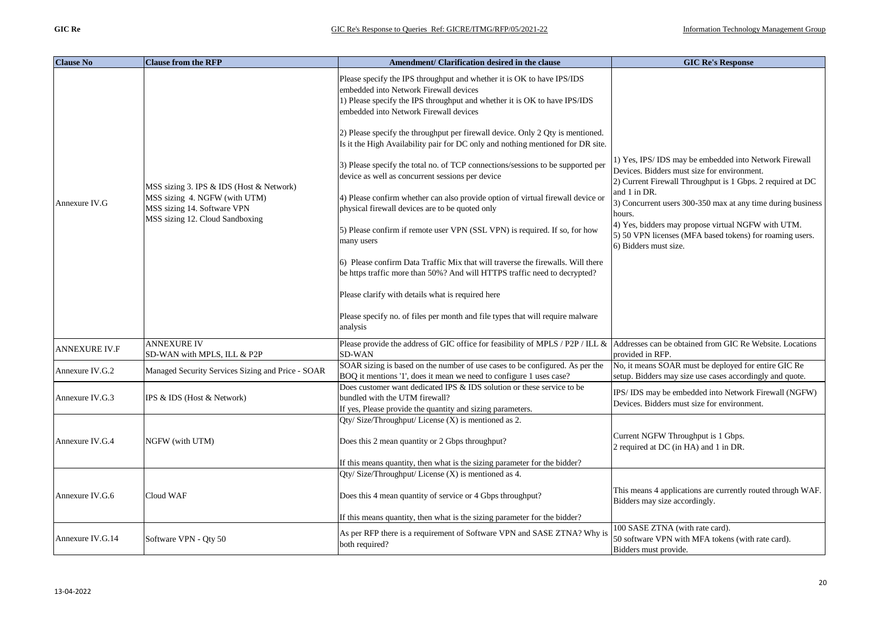| <b>Clause No</b> | <b>Clause from the RFP</b>                                                                      | Amendment/ Clarification desired in the clause                                                                                                                                                                                          | <b>GIC Re's Response</b>                                                                                                                                           |
|------------------|-------------------------------------------------------------------------------------------------|-----------------------------------------------------------------------------------------------------------------------------------------------------------------------------------------------------------------------------------------|--------------------------------------------------------------------------------------------------------------------------------------------------------------------|
|                  |                                                                                                 | Please specify the IPS throughput and whether it is OK to have IPS/IDS<br>embedded into Network Firewall devices<br>1) Please specify the IPS throughput and whether it is OK to have IPS/IDS<br>embedded into Network Firewall devices |                                                                                                                                                                    |
|                  |                                                                                                 | 2) Please specify the throughput per firewall device. Only 2 Qty is mentioned.<br>Is it the High Availability pair for DC only and nothing mentioned for DR site.                                                                       |                                                                                                                                                                    |
|                  | MSS sizing 3. IPS & IDS (Host & Network)                                                        | 3) Please specify the total no. of TCP connections/sessions to be supported per<br>device as well as concurrent sessions per device                                                                                                     | 1) Yes, IPS/IDS may be embedded into Network Firewall<br>Devices. Bidders must size for environment.<br>2) Current Firewall Throughput is 1 Gbps. 2 required at DC |
| Annexure IV.G    | MSS sizing 4. NGFW (with UTM)<br>MSS sizing 14. Software VPN<br>MSS sizing 12. Cloud Sandboxing | 4) Please confirm whether can also provide option of virtual firewall device or<br>physical firewall devices are to be quoted only                                                                                                      | and 1 in DR.<br>3) Concurrent users 300-350 max at any time during business<br>hours.                                                                              |
|                  |                                                                                                 | 5) Please confirm if remote user VPN (SSL VPN) is required. If so, for how<br>many users                                                                                                                                                | 4) Yes, bidders may propose virtual NGFW with UTM.<br>5) 50 VPN licenses (MFA based tokens) for roaming users.<br>6) Bidders must size.                            |
|                  |                                                                                                 | 6) Please confirm Data Traffic Mix that will traverse the firewalls. Will there<br>be https traffic more than 50%? And will HTTPS traffic need to decrypted?                                                                            |                                                                                                                                                                    |
|                  |                                                                                                 | Please clarify with details what is required here                                                                                                                                                                                       |                                                                                                                                                                    |
|                  |                                                                                                 | Please specify no. of files per month and file types that will require malware<br>analysis                                                                                                                                              |                                                                                                                                                                    |
| ANNEXURE IV.F    | <b>ANNEXURE IV</b><br>SD-WAN with MPLS, ILL & P2P                                               | Please provide the address of GIC office for feasibility of MPLS / P2P / ILL &<br><b>SD-WAN</b>                                                                                                                                         | Addresses can be obtained from GIC Re Website. Locations<br>provided in RFP.                                                                                       |
| Annexure IV.G.2  | Managed Security Services Sizing and Price - SOAR                                               | SOAR sizing is based on the number of use cases to be configured. As per the<br>BOQ it mentions '1', does it mean we need to configure 1 uses case?                                                                                     | No, it means SOAR must be deployed for entire GIC Re<br>setup. Bidders may size use cases accordingly and quote.                                                   |
| Annexure IV.G.3  | IPS & IDS (Host & Network)                                                                      | Does customer want dedicated IPS & IDS solution or these service to be<br>bundled with the UTM firewall?<br>If yes, Please provide the quantity and sizing parameters.                                                                  | IPS/ IDS may be embedded into Network Firewall (NGFW)<br>Devices. Bidders must size for environment.                                                               |
|                  |                                                                                                 | Qty/ Size/Throughput/ License (X) is mentioned as 2.                                                                                                                                                                                    |                                                                                                                                                                    |
| Annexure IV.G.4  | NGFW (with UTM)                                                                                 | Does this 2 mean quantity or 2 Gbps throughput?                                                                                                                                                                                         | Current NGFW Throughput is 1 Gbps.<br>2 required at DC (in HA) and 1 in DR.                                                                                        |
|                  |                                                                                                 | If this means quantity, then what is the sizing parameter for the bidder?                                                                                                                                                               |                                                                                                                                                                    |
|                  |                                                                                                 | Qty/Size/Throughput/License $(X)$ is mentioned as 4.                                                                                                                                                                                    |                                                                                                                                                                    |
| Annexure IV.G.6  | Cloud WAF                                                                                       | Does this 4 mean quantity of service or 4 Gbps throughput?                                                                                                                                                                              | This means 4 applications are currently routed through WAF.<br>Bidders may size accordingly.                                                                       |
|                  |                                                                                                 | If this means quantity, then what is the sizing parameter for the bidder?                                                                                                                                                               |                                                                                                                                                                    |
| Annexure IV.G.14 | Software VPN - Qty 50                                                                           | As per RFP there is a requirement of Software VPN and SASE ZTNA? Why is<br>both required?                                                                                                                                               | 100 SASE ZTNA (with rate card).<br>50 software VPN with MFA tokens (with rate card).<br>Bidders must provide.                                                      |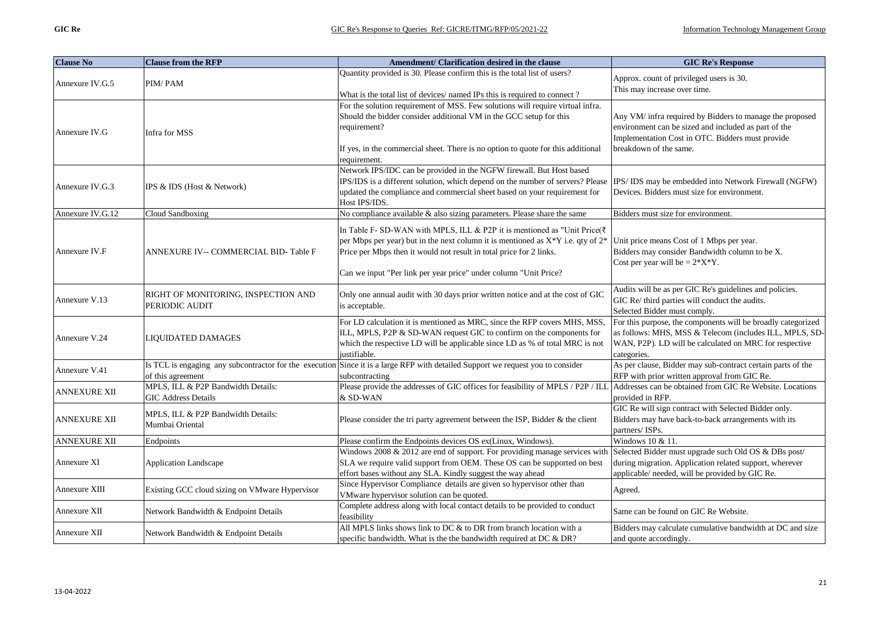| <b>Clause No</b>    | <b>Clause from the RFP</b>                                       | Amendment/ Clarification desired in the clause                                                                                                                                                                                                                                                                             | <b>GIC Re's Response</b>                                                                                                                                                                         |
|---------------------|------------------------------------------------------------------|----------------------------------------------------------------------------------------------------------------------------------------------------------------------------------------------------------------------------------------------------------------------------------------------------------------------------|--------------------------------------------------------------------------------------------------------------------------------------------------------------------------------------------------|
| Annexure IV.G.5     | PIM/PAM                                                          | Quantity provided is 30. Please confirm this is the total list of users?<br>What is the total list of devices/ named IPs this is required to connect?                                                                                                                                                                      | Approx. count of privileged users is 30.<br>This may increase over time.                                                                                                                         |
| Annexure IV.G       | Infra for MSS                                                    | For the solution requirement of MSS. Few solutions will require virtual infra.<br>Should the bidder consider additional VM in the GCC setup for this<br>requirement?<br>If yes, in the commercial sheet. There is no option to quote for this additional<br>requirement.                                                   | Any VM/ infra required by Bidders to manage the proposed<br>environment can be sized and included as part of the<br>Implementation Cost in OTC. Bidders must provide<br>breakdown of the same.   |
| Annexure IV.G.3     | IPS & IDS (Host & Network)                                       | Network IPS/IDC can be provided in the NGFW firewall. But Host based<br>IPS/IDS is a different solution, which depend on the number of servers? Please<br>updated the compliance and commercial sheet based on your requirement for<br>Host IPS/IDS.                                                                       | IPS/IDS may be embedded into Network Firewall (NGFW)<br>Devices. Bidders must size for environment.                                                                                              |
| Annexure IV.G.12    | Cloud Sandboxing                                                 | No compliance available & also sizing parameters. Please share the same                                                                                                                                                                                                                                                    | Bidders must size for environment.                                                                                                                                                               |
| Annexure IV.F       | ANNEXURE IV-- COMMERCIAL BID-Table F                             | In Table F- SD-WAN with MPLS, ILL & P2P it is mentioned as "Unit Price( $\bar{\tau}$ )<br>per Mbps per year) but in the next column it is mentioned as $X^*Y$ i.e. qty of $2^*$<br>Price per Mbps then it would not result in total price for 2 links.<br>Can we input "Per link per year price" under column "Unit Price? | Unit price means Cost of 1 Mbps per year.<br>Bidders may consider Bandwidth column to be X.<br>Cost per year will be $= 2*X*Y$ .                                                                 |
| Annexure V.13       | RIGHT OF MONITORING, INSPECTION AND<br>PERIODIC AUDIT            | Only one annual audit with 30 days prior written notice and at the cost of GIC<br>is acceptable.                                                                                                                                                                                                                           | Audits will be as per GIC Re's guidelines and policies.<br>GIC Re/ third parties will conduct the audits.<br>Selected Bidder must comply.                                                        |
| Annexure V.24       | <b>LIQUIDATED DAMAGES</b>                                        | For LD calculation it is mentioned as MRC, since the RFP covers MHS, MSS.<br>ILL, MPLS, P2P & SD-WAN request GIC to confirm on the components for<br>which the respective LD will be applicable since LD as % of total MRC is not<br>justifiable.                                                                          | For this purpose, the components will be broadly categorized<br>as follows: MHS, MSS & Telecom (includes ILL, MPLS, SD-<br>WAN, P2P). LD will be calculated on MRC for respective<br>categories. |
| Annexure V.41       | of this agreement                                                | Is TCL is engaging any subcontractor for the execution Since it is a large RFP with detailed Support we request you to consider<br>subcontracting                                                                                                                                                                          | As per clause, Bidder may sub-contract certain parts of the<br>RFP with prior written approval from GIC Re.                                                                                      |
| ANNEXURE XII        | MPLS, ILL & P2P Bandwidth Details:<br><b>GIC Address Details</b> | Please provide the addresses of GIC offices for feasibility of MPLS / P2P / ILL<br>& SD-WAN                                                                                                                                                                                                                                | Addresses can be obtained from GIC Re Website. Locations<br>provided in RFP.                                                                                                                     |
| ANNEXURE XII        | MPLS, ILL & P2P Bandwidth Details:<br>Mumbai Oriental            | Please consider the tri party agreement between the ISP, Bidder & the client                                                                                                                                                                                                                                               | GIC Re will sign contract with Selected Bidder only.<br>Bidders may have back-to-back arrangements with its<br>partners/ ISPs.                                                                   |
| <b>ANNEXURE XII</b> | Endpoints                                                        | Please confirm the Endpoints devices OS ex(Linux, Windows).                                                                                                                                                                                                                                                                | Windows 10 & 11.                                                                                                                                                                                 |
| Annexure XI         | <b>Application Landscape</b>                                     | Windows 2008 & 2012 are end of support. For providing manage services with<br>SLA we require valid support from OEM. These OS can be supported on best<br>effort bases without any SLA. Kindly suggest the way ahead                                                                                                       | Selected Bidder must upgrade such Old OS & DBs post/<br>during migration. Application related support, wherever<br>applicable/ needed, will be provided by GIC Re.                               |
| Annexure XIII       | Existing GCC cloud sizing on VMware Hypervisor                   | Since Hypervisor Compliance details are given so hypervisor other than<br>VMware hypervisor solution can be quoted.                                                                                                                                                                                                        | Agreed.                                                                                                                                                                                          |
| Annexure XII        | Network Bandwidth & Endpoint Details                             | Complete address along with local contact details to be provided to conduct<br>feasibility                                                                                                                                                                                                                                 | Same can be found on GIC Re Website.                                                                                                                                                             |
| Annexure XII        | Network Bandwidth & Endpoint Details                             | All MPLS links shows link to DC & to DR from branch location with a<br>specific bandwidth. What is the the bandwidth required at DC $\&$ DR?                                                                                                                                                                               | Bidders may calculate cumulative bandwidth at DC and size<br>and quote accordingly.                                                                                                              |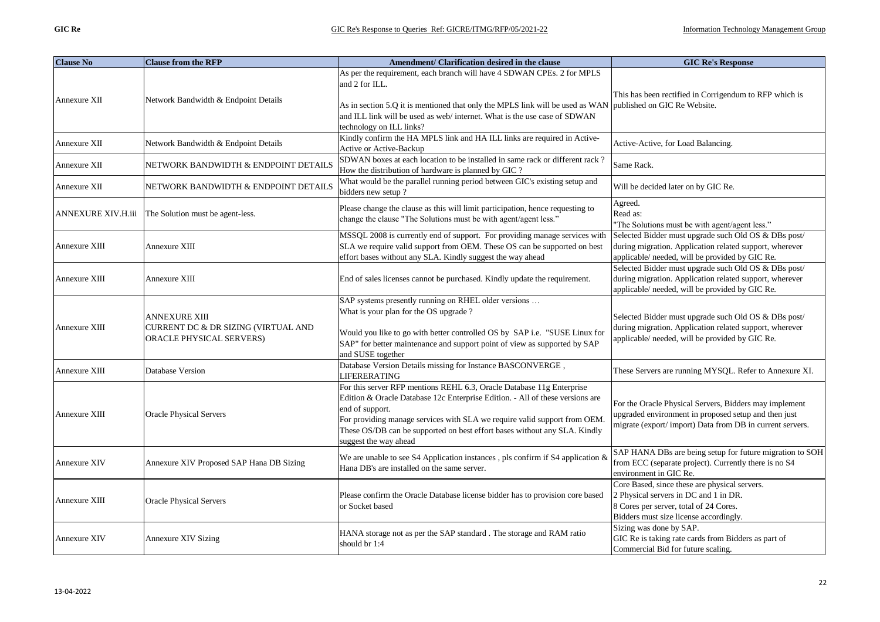| <b>Clause No</b>          | <b>Clause from the RFP</b>                                                       | Amendment/ Clarification desired in the clause                                                                                                                                                                                                                                                                                                               | <b>GIC Re's Response</b>                                                                                                                                                   |
|---------------------------|----------------------------------------------------------------------------------|--------------------------------------------------------------------------------------------------------------------------------------------------------------------------------------------------------------------------------------------------------------------------------------------------------------------------------------------------------------|----------------------------------------------------------------------------------------------------------------------------------------------------------------------------|
|                           |                                                                                  | As per the requirement, each branch will have 4 SDWAN CPEs. 2 for MPLS<br>and 2 for ILL.                                                                                                                                                                                                                                                                     |                                                                                                                                                                            |
| Annexure XII              | Network Bandwidth & Endpoint Details                                             | As in section 5.Q it is mentioned that only the MPLS link will be used as WAN published on GIC Re Website.<br>and ILL link will be used as web/internet. What is the use case of SDWAN<br>technology on ILL links?                                                                                                                                           | This has been rectified in Corrigendum to RFP which is                                                                                                                     |
| Annexure XII              | Network Bandwidth & Endpoint Details                                             | Kindly confirm the HA MPLS link and HA ILL links are required in Active-<br>Active or Active-Backup                                                                                                                                                                                                                                                          | Active-Active, for Load Balancing.                                                                                                                                         |
| Annexure XII              | NETWORK BANDWIDTH & ENDPOINT DETAILS                                             | SDWAN boxes at each location to be installed in same rack or different rack?<br>How the distribution of hardware is planned by GIC ?                                                                                                                                                                                                                         | Same Rack.                                                                                                                                                                 |
| Annexure XII              | NETWORK BANDWIDTH & ENDPOINT DETAILS                                             | What would be the parallel running period between GIC's existing setup and<br>bidders new setup?                                                                                                                                                                                                                                                             | Will be decided later on by GIC Re.                                                                                                                                        |
| <b>ANNEXURE XIV.H.iii</b> | The Solution must be agent-less.                                                 | Please change the clause as this will limit participation, hence requesting to<br>change the clause "The Solutions must be with agent/agent less."                                                                                                                                                                                                           | Agreed.<br>Read as:<br>"The Solutions must be with agent/agent less."                                                                                                      |
| Annexure XIII             | Annexure XIII                                                                    | MSSQL 2008 is currently end of support. For providing manage services with<br>SLA we require valid support from OEM. These OS can be supported on best<br>effort bases without any SLA. Kindly suggest the way ahead                                                                                                                                         | Selected Bidder must upgrade such Old OS & DBs post/<br>during migration. Application related support, wherever<br>applicable/ needed, will be provided by GIC Re.         |
| Annexure XIII             | Annexure XIII                                                                    | End of sales licenses cannot be purchased. Kindly update the requirement.                                                                                                                                                                                                                                                                                    | Selected Bidder must upgrade such Old OS & DBs post/<br>during migration. Application related support, wherever<br>applicable/ needed, will be provided by GIC Re.         |
| Annexure XIII             | ANNEXURE XIII<br>CURRENT DC & DR SIZING (VIRTUAL AND<br>ORACLE PHYSICAL SERVERS) | SAP systems presently running on RHEL older versions<br>What is your plan for the OS upgrade?<br>Would you like to go with better controlled OS by SAP i.e. "SUSE Linux for<br>SAP" for better maintenance and support point of view as supported by SAP<br>and SUSE together                                                                                | Selected Bidder must upgrade such Old OS & DBs post/<br>during migration. Application related support, wherever<br>applicable/ needed, will be provided by GIC Re.         |
| Annexure XIII             | Database Version                                                                 | Database Version Details missing for Instance BASCONVERGE,<br><b>LIFERERATING</b>                                                                                                                                                                                                                                                                            | These Servers are running MYSQL. Refer to Annexure XI.                                                                                                                     |
| Annexure XIII             | <b>Oracle Physical Servers</b>                                                   | For this server RFP mentions REHL 6.3, Oracle Database 11g Enterprise<br>Edition & Oracle Database 12c Enterprise Edition. - All of these versions are<br>end of support.<br>For providing manage services with SLA we require valid support from OEM.<br>These OS/DB can be supported on best effort bases without any SLA. Kindly<br>suggest the way ahead | For the Oracle Physical Servers, Bidders may implement<br>upgraded environment in proposed setup and then just<br>migrate (export/import) Data from DB in current servers. |
| Annexure XIV              | Annexure XIV Proposed SAP Hana DB Sizing                                         | We are unable to see S4 Application instances, pls confirm if S4 application $\&$<br>Hana DB's are installed on the same server.                                                                                                                                                                                                                             | SAP HANA DBs are being setup for future migration to SOH<br>from ECC (separate project). Currently there is no S4<br>environment in GIC Re.                                |
| Annexure XIII             | <b>Oracle Physical Servers</b>                                                   | Please confirm the Oracle Database license bidder has to provision core based<br>or Socket based                                                                                                                                                                                                                                                             | Core Based, since these are physical servers.<br>2 Physical servers in DC and 1 in DR.<br>8 Cores per server, total of 24 Cores.<br>Bidders must size license accordingly. |
| Annexure XIV              | <b>Annexure XIV Sizing</b>                                                       | HANA storage not as per the SAP standard. The storage and RAM ratio<br>should br 1:4                                                                                                                                                                                                                                                                         | Sizing was done by SAP.<br>GIC Re is taking rate cards from Bidders as part of<br>Commercial Bid for future scaling.                                                       |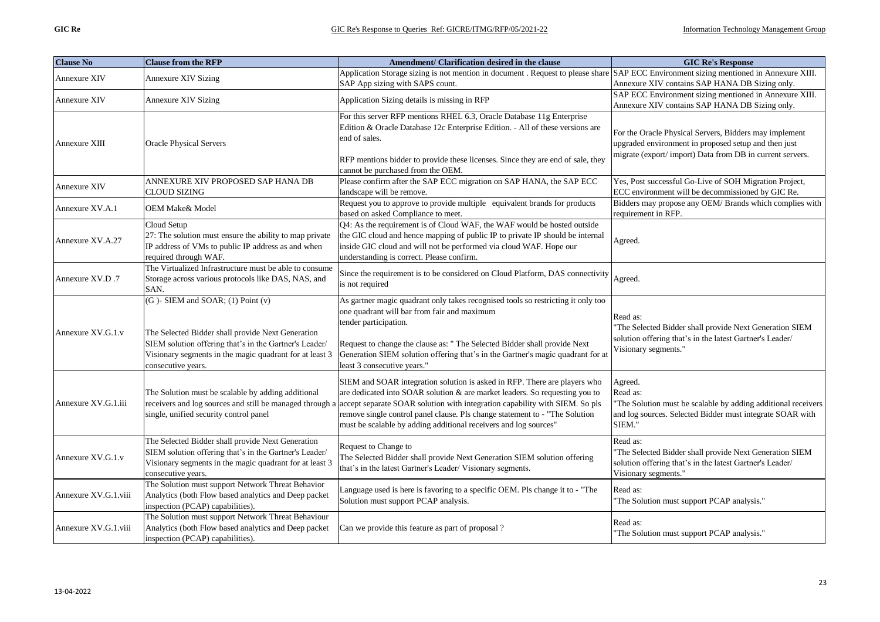| <b>Clause No</b>     | <b>Clause from the RFP</b>                                                                                                                                                                                                       | Amendment/ Clarification desired in the clause                                                                                                                                                                                                                                                                                                                                                                                                      | <b>GIC Re's Response</b>                                                                                                                                                   |
|----------------------|----------------------------------------------------------------------------------------------------------------------------------------------------------------------------------------------------------------------------------|-----------------------------------------------------------------------------------------------------------------------------------------------------------------------------------------------------------------------------------------------------------------------------------------------------------------------------------------------------------------------------------------------------------------------------------------------------|----------------------------------------------------------------------------------------------------------------------------------------------------------------------------|
| Annexure XIV         | <b>Annexure XIV Sizing</b>                                                                                                                                                                                                       | Application Storage sizing is not mention in document . Request to please share SAP ECC Environment sizing mentioned in Annexure XIII.<br>SAP App sizing with SAPS count.                                                                                                                                                                                                                                                                           | Annexure XIV contains SAP HANA DB Sizing only.                                                                                                                             |
| Annexure XIV         | Annexure XIV Sizing                                                                                                                                                                                                              | Application Sizing details is missing in RFP                                                                                                                                                                                                                                                                                                                                                                                                        | SAP ECC Environment sizing mentioned in Annexure XIII.<br>Annexure XIV contains SAP HANA DB Sizing only.                                                                   |
| Annexure XIII        | <b>Oracle Physical Servers</b>                                                                                                                                                                                                   | For this server RFP mentions RHEL 6.3, Oracle Database 11g Enterprise<br>Edition & Oracle Database 12c Enterprise Edition. - All of these versions are<br>end of sales.<br>RFP mentions bidder to provide these licenses. Since they are end of sale, they<br>cannot be purchased from the OEM.                                                                                                                                                     | For the Oracle Physical Servers, Bidders may implement<br>upgraded environment in proposed setup and then just<br>migrate (export/import) Data from DB in current servers. |
| Annexure XIV         | ANNEXURE XIV PROPOSED SAP HANA DB<br><b>CLOUD SIZING</b>                                                                                                                                                                         | Please confirm after the SAP ECC migration on SAP HANA, the SAP ECC<br>landscape will be remove.                                                                                                                                                                                                                                                                                                                                                    | Yes, Post successful Go-Live of SOH Migration Project,<br>ECC environment will be decommissioned by GIC Re.                                                                |
| Annexure XV.A.1      | <b>OEM Make&amp; Model</b>                                                                                                                                                                                                       | Request you to approve to provide multiple equivalent brands for products<br>based on asked Compliance to meet.                                                                                                                                                                                                                                                                                                                                     | Bidders may propose any OEM/ Brands which complies with<br>requirement in RFP.                                                                                             |
| Annexure XV.A.27     | Cloud Setup<br>27: The solution must ensure the ability to map private<br>IP address of VMs to public IP address as and when<br>required through WAF.                                                                            | Q4: As the requirement is of Cloud WAF, the WAF would be hosted outside<br>the GIC cloud and hence mapping of public IP to private IP should be internal<br>inside GIC cloud and will not be performed via cloud WAF. Hope our<br>understanding is correct. Please confirm.                                                                                                                                                                         | Agreed.                                                                                                                                                                    |
| Annexure XV.D.7      | The Virtualized Infrastructure must be able to consume<br>Storage across various protocols like DAS, NAS, and<br>SAN.                                                                                                            | Since the requirement is to be considered on Cloud Platform, DAS connectivity<br>is not required                                                                                                                                                                                                                                                                                                                                                    | Agreed.                                                                                                                                                                    |
| Annexure XV.G.1.v    | (G)-SIEM and SOAR; (1) Point (v)<br>The Selected Bidder shall provide Next Generation<br>SIEM solution offering that's in the Gartner's Leader/<br>Visionary segments in the magic quadrant for at least 3<br>consecutive years. | As gartner magic quadrant only takes recognised tools so restricting it only too<br>one quadrant will bar from fair and maximum<br>tender participation.<br>Request to change the clause as: " The Selected Bidder shall provide Next<br>Generation SIEM solution offering that's in the Gartner's magic quadrant for at<br>least 3 consecutive years."                                                                                             | Read as:<br>The Selected Bidder shall provide Next Generation SIEM<br>solution offering that's in the latest Gartner's Leader/<br>Visionary segments."                     |
| Annexure XV.G.1.iii  | The Solution must be scalable by adding additional<br>single, unified security control panel                                                                                                                                     | SIEM and SOAR integration solution is asked in RFP. There are players who<br>are dedicated into SOAR solution & are market leaders. So requesting you to<br>receivers and log sources and still be managed through a accept separate SOAR solution with integration capability with SIEM. So pls<br>remove single control panel clause. Pls change statement to - "The Solution<br>must be scalable by adding additional receivers and log sources" | Agreed.<br>Read as:<br>"The Solution must be scalable by adding additional receivers<br>and log sources. Selected Bidder must integrate SOAR with<br>SIEM."                |
| Annexure XV.G.1.v    | The Selected Bidder shall provide Next Generation<br>SIEM solution offering that's in the Gartner's Leader/<br>Visionary segments in the magic quadrant for at least 3<br>consecutive years.                                     | Request to Change to<br>The Selected Bidder shall provide Next Generation SIEM solution offering<br>that's in the latest Gartner's Leader/ Visionary segments.                                                                                                                                                                                                                                                                                      | Read as:<br>The Selected Bidder shall provide Next Generation SIEM<br>solution offering that's in the latest Gartner's Leader/<br>Visionary segments."                     |
| Annexure XV.G.1.viii | The Solution must support Network Threat Behavior<br>Analytics (both Flow based analytics and Deep packet<br>inspection (PCAP) capabilities).                                                                                    | Language used is here is favoring to a specific OEM. Pls change it to - "The<br>Solution must support PCAP analysis.                                                                                                                                                                                                                                                                                                                                | Read as:<br>"The Solution must support PCAP analysis."                                                                                                                     |
| Annexure XV.G.1.viii | The Solution must support Network Threat Behaviour<br>Analytics (both Flow based analytics and Deep packet<br>inspection (PCAP) capabilities).                                                                                   | Can we provide this feature as part of proposal?                                                                                                                                                                                                                                                                                                                                                                                                    | Read as:<br>"The Solution must support PCAP analysis."                                                                                                                     |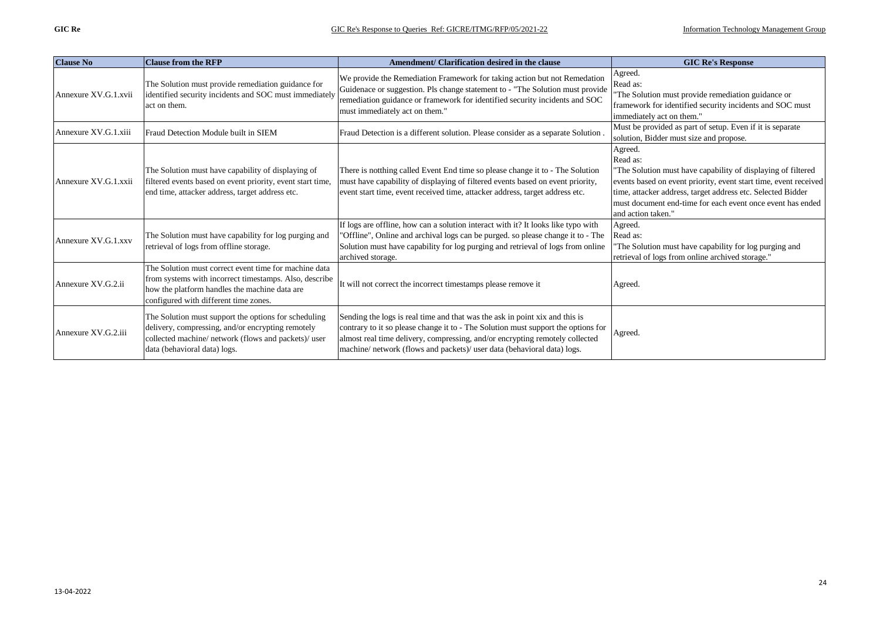| <b>Clause No</b>     | <b>Clause from the RFP</b>                                                                                                                                                                                | Amendment/ Clarification desired in the clause                                                                                                                                                                                                                                                                              | <b>GIC Re's Response</b>                                                                                                                                                                                                                                                                                   |
|----------------------|-----------------------------------------------------------------------------------------------------------------------------------------------------------------------------------------------------------|-----------------------------------------------------------------------------------------------------------------------------------------------------------------------------------------------------------------------------------------------------------------------------------------------------------------------------|------------------------------------------------------------------------------------------------------------------------------------------------------------------------------------------------------------------------------------------------------------------------------------------------------------|
| Annexure XV.G.1.xvii | The Solution must provide remediation guidance for<br>identified security incidents and SOC must immediately<br>act on them.                                                                              | We provide the Remediation Framework for taking action but not Remedation<br>Guidenace or suggestion. Pls change statement to - "The Solution must provide"<br>remediation guidance or framework for identified security incidents and SOC<br>must immediately act on them."                                                | Agreed.<br>Read as:<br>The Solution must provide remediation guidance or<br>framework for identified security incidents and SOC must<br>immediately act on them."                                                                                                                                          |
| Annexure XV.G.1.xiii | Fraud Detection Module built in SIEM                                                                                                                                                                      | Fraud Detection is a different solution. Please consider as a separate Solution                                                                                                                                                                                                                                             | Must be provided as part of setup. Even if it is separate<br>solution, Bidder must size and propose.                                                                                                                                                                                                       |
| Annexure XV.G.1.xxii | The Solution must have capability of displaying of<br>filtered events based on event priority, event start time,<br>end time, attacker address, target address etc.                                       | There is notthing called Event End time so please change it to - The Solution<br>must have capability of displaying of filtered events based on event priority,<br>event start time, event received time, attacker address, target address etc.                                                                             | Agreed.<br>Read as:<br>"The Solution must have capability of displaying of filtered<br>events based on event priority, event start time, event received<br>time, attacker address, target address etc. Selected Bidder<br>must document end-time for each event once event has ended<br>and action taken." |
| Annexure XV.G.1.xxv  | The Solution must have capability for log purging and<br>retrieval of logs from offline storage.                                                                                                          | If logs are offline, how can a solution interact with it? It looks like typo with<br>"Offline", Online and archival logs can be purged. so please change it to - The<br>Solution must have capability for log purging and retrieval of logs from online<br>archived storage.                                                | Agreed.<br>Read as:<br>The Solution must have capability for log purging and<br>retrieval of logs from online archived storage."                                                                                                                                                                           |
| Annexure XV.G.2.ii   | The Solution must correct event time for machine data<br>from systems with incorrect timestamps. Also, describe<br>how the platform handles the machine data are<br>configured with different time zones. | It will not correct the incorrect timestamps please remove it                                                                                                                                                                                                                                                               | Agreed.                                                                                                                                                                                                                                                                                                    |
| Annexure XV.G.2.iii  | The Solution must support the options for scheduling<br>delivery, compressing, and/or encrypting remotely<br>collected machine/ network (flows and packets)/ user<br>data (behavioral data) logs.         | Sending the logs is real time and that was the ask in point xix and this is<br>contrary to it so please change it to - The Solution must support the options for<br>almost real time delivery, compressing, and/or encrypting remotely collected<br>machine/ network (flows and packets)/ user data (behavioral data) logs. | Agreed.                                                                                                                                                                                                                                                                                                    |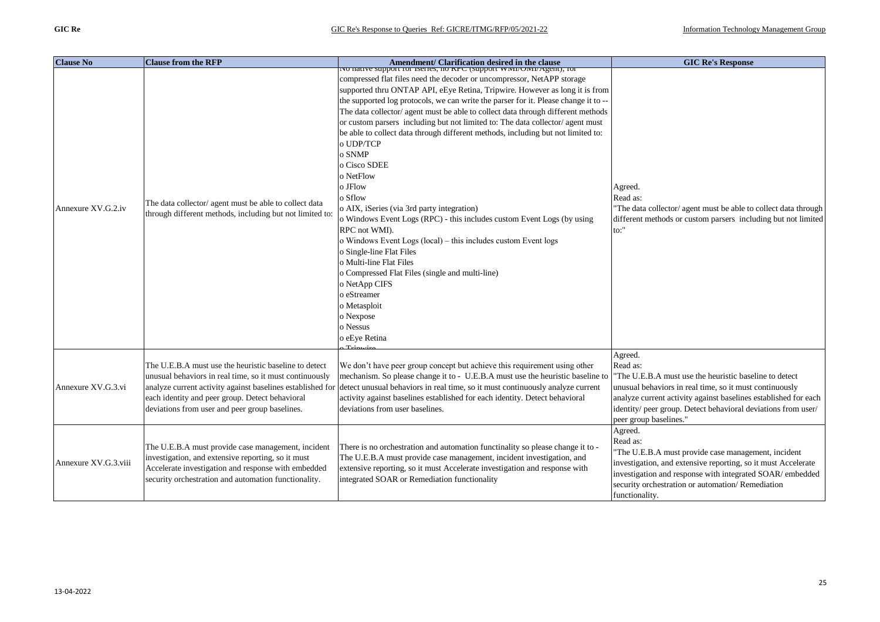| <b>Clause No</b>     | <b>Clause from the RFP</b>                                                                                                                                                                                              | Amendment/ Clarification desired in the clause<br>No nauve support for isenes, no KPC (support WMI/OMI/Agent), for                                                                                                                                                                                                                                                                                                                                                                                                                                                                                                                                                                                                                                                                                                                                                                                                                                                                             | <b>GIC Re's Response</b>                                                                                                                                                                                                                                                                               |
|----------------------|-------------------------------------------------------------------------------------------------------------------------------------------------------------------------------------------------------------------------|------------------------------------------------------------------------------------------------------------------------------------------------------------------------------------------------------------------------------------------------------------------------------------------------------------------------------------------------------------------------------------------------------------------------------------------------------------------------------------------------------------------------------------------------------------------------------------------------------------------------------------------------------------------------------------------------------------------------------------------------------------------------------------------------------------------------------------------------------------------------------------------------------------------------------------------------------------------------------------------------|--------------------------------------------------------------------------------------------------------------------------------------------------------------------------------------------------------------------------------------------------------------------------------------------------------|
| Annexure XV.G.2.iv   | The data collector/ agent must be able to collect data<br>through different methods, including but not limited to:                                                                                                      | compressed flat files need the decoder or uncompressor, NetAPP storage<br>supported thru ONTAP API, eEye Retina, Tripwire. However as long it is from<br>the supported log protocols, we can write the parser for it. Please change it to --<br>The data collector/ agent must be able to collect data through different methods<br>or custom parsers including but not limited to: The data collector/ agent must<br>be able to collect data through different methods, including but not limited to:<br>o UDP/TCP<br>o SNMP<br>o Cisco SDEE<br>o NetFlow<br>o JFlow<br>o Sflow<br>o AIX, iSeries (via 3rd party integration)<br>o Windows Event Logs (RPC) - this includes custom Event Logs (by using<br>RPC not WMD.<br>o Windows Event Logs (local) – this includes custom Event logs<br>o Single-line Flat Files<br>o Multi-line Flat Files<br>o Compressed Flat Files (single and multi-line)<br>o NetApp CIFS<br>o eStreamer<br>o Metasploit<br>o Nexpose<br>o Nessus<br>o eEye Retina | Agreed.<br>Read as:<br>"The data collector/ agent must be able to collect data through<br>different methods or custom parsers including but not limited<br>to:"                                                                                                                                        |
| Annexure XV.G.3.vi   | The U.E.B.A must use the heuristic baseline to detect<br>unusual behaviors in real time, so it must continuously<br>each identity and peer group. Detect behavioral<br>deviations from user and peer group baselines.   | We don't have peer group concept but achieve this requirement using other<br>mechanism. So please change it to - U.E.B.A must use the heuristic baseline to<br>analyze current activity against baselines established for detect unusual behaviors in real time, so it must continuously analyze current<br>activity against baselines established for each identity. Detect behavioral<br>deviations from user baselines.                                                                                                                                                                                                                                                                                                                                                                                                                                                                                                                                                                     | Agreed.<br>Read as:<br>"The U.E.B.A must use the heuristic baseline to detect<br>unusual behaviors in real time, so it must continuously<br>analyze current activity against baselines established for each<br>identity/ peer group. Detect behavioral deviations from user/<br>peer group baselines." |
| Annexure XV.G.3.viii | The U.E.B.A must provide case management, incident<br>investigation, and extensive reporting, so it must<br>Accelerate investigation and response with embedded<br>security orchestration and automation functionality. | There is no orchestration and automation functinality so please change it to -<br>The U.E.B.A must provide case management, incident investigation, and<br>extensive reporting, so it must Accelerate investigation and response with<br>integrated SOAR or Remediation functionality                                                                                                                                                                                                                                                                                                                                                                                                                                                                                                                                                                                                                                                                                                          | Agreed.<br>Read as:<br>"The U.E.B.A must provide case management, incident<br>investigation, and extensive reporting, so it must Accelerate<br>investigation and response with integrated SOAR/ embedded<br>security orchestration or automation/Remediation<br>functionality.                         |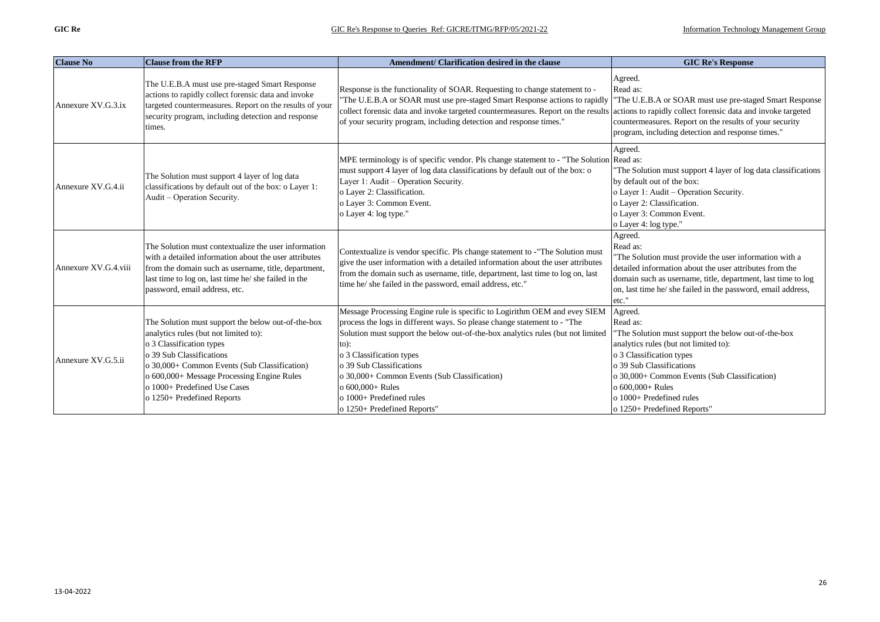| <b>Clause No</b>     | <b>Clause from the RFP</b>                                                                                                                                                                                                                                                                                      | Amendment/ Clarification desired in the clause                                                                                                                                                                                                                                                                                                                                                                                             | <b>GIC Re's Response</b>                                                                                                                                                                                                                                                                                  |
|----------------------|-----------------------------------------------------------------------------------------------------------------------------------------------------------------------------------------------------------------------------------------------------------------------------------------------------------------|--------------------------------------------------------------------------------------------------------------------------------------------------------------------------------------------------------------------------------------------------------------------------------------------------------------------------------------------------------------------------------------------------------------------------------------------|-----------------------------------------------------------------------------------------------------------------------------------------------------------------------------------------------------------------------------------------------------------------------------------------------------------|
| Annexure XV.G.3.ix   | The U.E.B.A must use pre-staged Smart Response<br>actions to rapidly collect forensic data and invoke<br>targeted countermeasures. Report on the results of your<br>security program, including detection and response<br>times.                                                                                | Response is the functionality of SOAR. Requesting to change statement to -<br>"The U.E.B.A or SOAR must use pre-staged Smart Response actions to rapidly<br>collect forensic data and invoke targeted countermeasures. Report on the results actions to rapidly collect forensic data and invoke targeted<br>of your security program, including detection and response times."                                                            | Agreed.<br>Read as:<br>"The U.E.B.A or SOAR must use pre-staged Smart Response<br>countermeasures. Report on the results of your security<br>program, including detection and response times."                                                                                                            |
| Annexure XV.G.4.ii   | The Solution must support 4 layer of log data<br>classifications by default out of the box: o Layer 1:<br>Audit - Operation Security.                                                                                                                                                                           | MPE terminology is of specific vendor. Pls change statement to - "The Solution Read as:<br>must support 4 layer of log data classifications by default out of the box: o<br>Layer 1: Audit - Operation Security.<br>o Layer 2: Classification.<br>o Layer 3: Common Event.<br>o Layer 4: log type."                                                                                                                                        | Agreed.<br>The Solution must support 4 layer of log data classifications<br>by default out of the box:<br>o Layer 1: Audit - Operation Security.<br>o Layer 2: Classification.<br>o Layer 3: Common Event.<br>o Layer 4: log type."                                                                       |
| Annexure XV.G.4.viii | The Solution must contextualize the user information<br>with a detailed information about the user attributes<br>from the domain such as username, title, department,<br>last time to log on, last time he/ she failed in the<br>password, email address, etc.                                                  | Contextualize is vendor specific. Pls change statement to -"The Solution must<br>give the user information with a detailed information about the user attributes<br>from the domain such as username, title, department, last time to log on, last<br>time he/ she failed in the password, email address, etc."                                                                                                                            | Agreed.<br>Read as:<br>"The Solution must provide the user information with a<br>detailed information about the user attributes from the<br>domain such as username, title, department, last time to log<br>on, last time he/ she failed in the password, email address,<br>etc.                          |
| Annexure XV.G.5.ii   | The Solution must support the below out-of-the-box<br>analytics rules (but not limited to):<br>o 3 Classification types<br>o 39 Sub Classifications<br>o 30,000+ Common Events (Sub Classification)<br>o 600,000+ Message Processing Engine Rules<br>o 1000+ Predefined Use Cases<br>o 1250+ Predefined Reports | Message Processing Engine rule is specific to Logirithm OEM and evey SIEM<br>process the logs in different ways. So please change statement to - "The<br>Solution must support the below out-of-the-box analytics rules (but not limited<br>$to)$ :<br>o 3 Classification types<br>o 39 Sub Classifications<br>o 30,000+ Common Events (Sub Classification)<br>o 600,000+ Rules<br>o 1000+ Predefined rules<br>o 1250+ Predefined Reports" | Agreed.<br>Read as:<br>The Solution must support the below out-of-the-box<br>analytics rules (but not limited to):<br>o 3 Classification types<br>o 39 Sub Classifications<br>o 30,000+ Common Events (Sub Classification)<br>o 600,000+ Rules<br>o 1000+ Predefined rules<br>o 1250+ Predefined Reports" |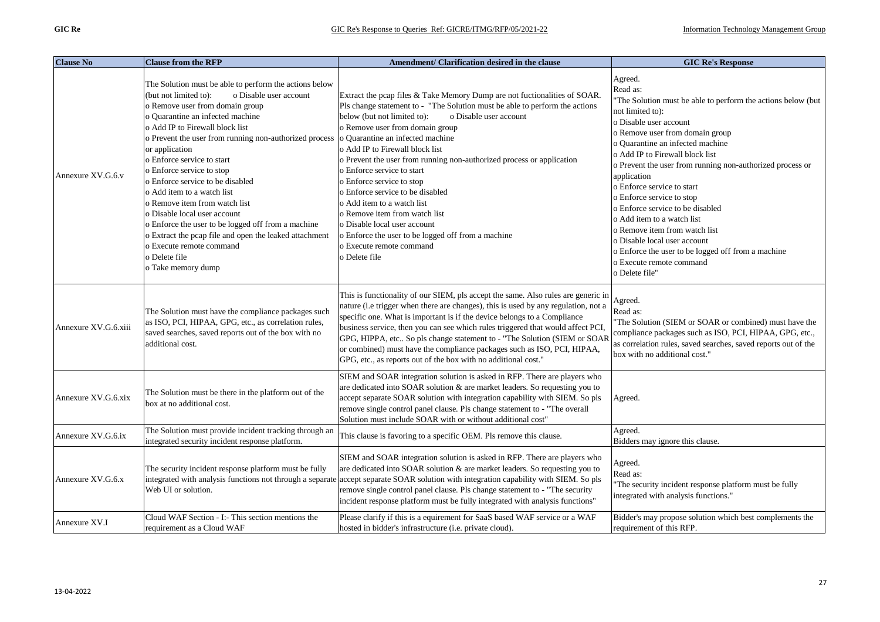| <b>Clause No</b>     | <b>Clause from the RFP</b>                                                                                                                                                                                                                                                                                                                                                                                                                                                                                                                                                                                                                                                       | Amendment/ Clarification desired in the clause                                                                                                                                                                                                                                                                                                                                                                                                                                                                                                                                                                                                                                                        | <b>GIC Re's Response</b>                                                                                                                                                                                                                                                                                                                                                                                                                                                                                                                                                                                                  |
|----------------------|----------------------------------------------------------------------------------------------------------------------------------------------------------------------------------------------------------------------------------------------------------------------------------------------------------------------------------------------------------------------------------------------------------------------------------------------------------------------------------------------------------------------------------------------------------------------------------------------------------------------------------------------------------------------------------|-------------------------------------------------------------------------------------------------------------------------------------------------------------------------------------------------------------------------------------------------------------------------------------------------------------------------------------------------------------------------------------------------------------------------------------------------------------------------------------------------------------------------------------------------------------------------------------------------------------------------------------------------------------------------------------------------------|---------------------------------------------------------------------------------------------------------------------------------------------------------------------------------------------------------------------------------------------------------------------------------------------------------------------------------------------------------------------------------------------------------------------------------------------------------------------------------------------------------------------------------------------------------------------------------------------------------------------------|
| Annexure XV.G.6.y    | The Solution must be able to perform the actions below<br>o Disable user account<br>(but not limited to):<br>o Remove user from domain group<br>o Quarantine an infected machine<br>o Add IP to Firewall block list<br>o Prevent the user from running non-authorized process<br>or application<br>o Enforce service to start<br>o Enforce service to stop<br>o Enforce service to be disabled<br>o Add item to a watch list<br>o Remove item from watch list<br>o Disable local user account<br>o Enforce the user to be logged off from a machine<br>o Extract the pcap file and open the leaked attachment<br>o Execute remote command<br>o Delete file<br>o Take memory dump | Extract the pcap files & Take Memory Dump are not fuctionalities of SOAR.<br>Pls change statement to - "The Solution must be able to perform the actions<br>below (but not limited to):<br>o Disable user account<br>o Remove user from domain group<br>o Quarantine an infected machine<br>o Add IP to Firewall block list<br>o Prevent the user from running non-authorized process or application<br>o Enforce service to start<br>o Enforce service to stop<br>o Enforce service to be disabled<br>o Add item to a watch list<br>o Remove item from watch list<br>o Disable local user account<br>o Enforce the user to be logged off from a machine<br>o Execute remote command<br>o Delete file | Agreed.<br>Read as:<br>'The Solution must be able to perform the actions below (but<br>not limited to):<br>o Disable user account<br>o Remove user from domain group<br>o Quarantine an infected machine<br>o Add IP to Firewall block list<br>o Prevent the user from running non-authorized process or<br>application<br>o Enforce service to start<br>o Enforce service to stop<br>o Enforce service to be disabled<br>o Add item to a watch list<br>o Remove item from watch list<br>o Disable local user account<br>o Enforce the user to be logged off from a machine<br>o Execute remote command<br>o Delete file" |
| Annexure XV.G.6.xiii | The Solution must have the compliance packages such<br>as ISO, PCI, HIPAA, GPG, etc., as correlation rules,<br>saved searches, saved reports out of the box with no<br>additional cost.                                                                                                                                                                                                                                                                                                                                                                                                                                                                                          | This is functionality of our SIEM, pls accept the same. Also rules are generic in<br>nature (i.e trigger when there are changes), this is used by any regulation, not a<br>specific one. What is important is if the device belongs to a Compliance<br>business service, then you can see which rules triggered that would affect PCI,<br>GPG, HIPPA, etc So pls change statement to - "The Solution (SIEM or SOAR<br>or combined) must have the compliance packages such as ISO, PCI, HIPAA,<br>GPG, etc., as reports out of the box with no additional cost."                                                                                                                                       | Agreed.<br>Read as:<br>The Solution (SIEM or SOAR or combined) must have the<br>compliance packages such as ISO, PCI, HIPAA, GPG, etc.,<br>as correlation rules, saved searches, saved reports out of the<br>box with no additional cost."                                                                                                                                                                                                                                                                                                                                                                                |
| Annexure XV.G.6.xix  | The Solution must be there in the platform out of the<br>box at no additional cost.                                                                                                                                                                                                                                                                                                                                                                                                                                                                                                                                                                                              | SIEM and SOAR integration solution is asked in RFP. There are players who<br>are dedicated into SOAR solution & are market leaders. So requesting you to<br>accept separate SOAR solution with integration capability with SIEM. So pls<br>remove single control panel clause. Pls change statement to - "The overall<br>Solution must include SOAR with or without additional cost"                                                                                                                                                                                                                                                                                                                  | Agreed.                                                                                                                                                                                                                                                                                                                                                                                                                                                                                                                                                                                                                   |
| Annexure XV.G.6.ix   | The Solution must provide incident tracking through an<br>integrated security incident response platform.                                                                                                                                                                                                                                                                                                                                                                                                                                                                                                                                                                        | This clause is favoring to a specific OEM. Pls remove this clause.                                                                                                                                                                                                                                                                                                                                                                                                                                                                                                                                                                                                                                    | Agreed.<br>Bidders may ignore this clause.                                                                                                                                                                                                                                                                                                                                                                                                                                                                                                                                                                                |
| Annexure XV.G.6.x    | The security incident response platform must be fully<br>integrated with analysis functions not through a separate<br>Web UI or solution.                                                                                                                                                                                                                                                                                                                                                                                                                                                                                                                                        | SIEM and SOAR integration solution is asked in RFP. There are players who<br>are dedicated into SOAR solution & are market leaders. So requesting you to<br>accept separate SOAR solution with integration capability with SIEM. So pls<br>remove single control panel clause. Pls change statement to - "The security<br>incident response platform must be fully integrated with analysis functions"                                                                                                                                                                                                                                                                                                | Agreed.<br>Read as:<br>"The security incident response platform must be fully<br>integrated with analysis functions."                                                                                                                                                                                                                                                                                                                                                                                                                                                                                                     |
| Annexure XV.I        | Cloud WAF Section - I:- This section mentions the<br>requirement as a Cloud WAF                                                                                                                                                                                                                                                                                                                                                                                                                                                                                                                                                                                                  | Please clarify if this is a equirement for SaaS based WAF service or a WAF<br>hosted in bidder's infrastructure (i.e. private cloud).                                                                                                                                                                                                                                                                                                                                                                                                                                                                                                                                                                 | Bidder's may propose solution which best complements the<br>requirement of this RFP.                                                                                                                                                                                                                                                                                                                                                                                                                                                                                                                                      |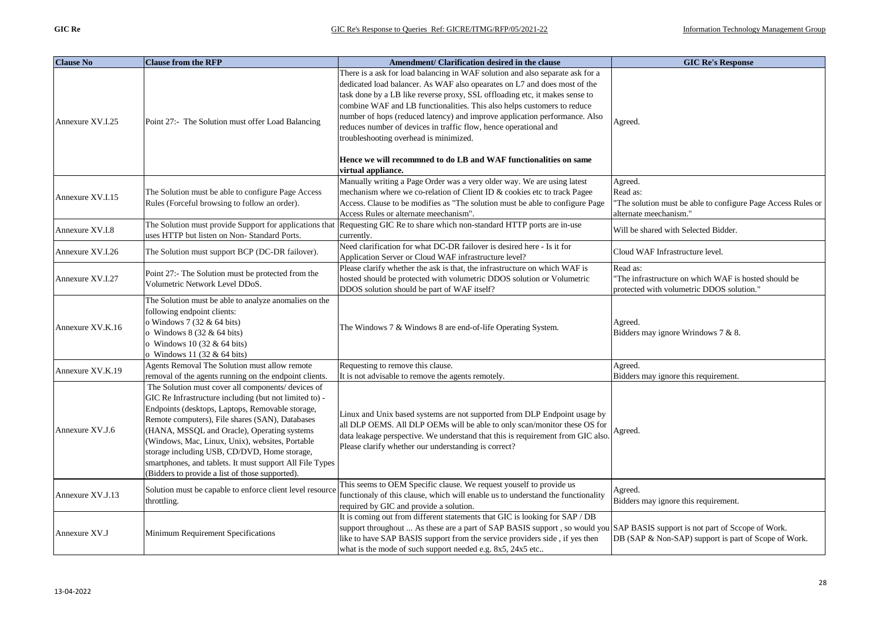| <b>Clause No</b> | <b>Clause from the RFP</b>                                                                                                                                                                                                                                                                                                                                                                                                                                                           | Amendment/ Clarification desired in the clause                                                                                                                                                                                                                                                                                                                                                                                                                                                                                                                                                             | <b>GIC Re's Response</b>                                                                                     |
|------------------|--------------------------------------------------------------------------------------------------------------------------------------------------------------------------------------------------------------------------------------------------------------------------------------------------------------------------------------------------------------------------------------------------------------------------------------------------------------------------------------|------------------------------------------------------------------------------------------------------------------------------------------------------------------------------------------------------------------------------------------------------------------------------------------------------------------------------------------------------------------------------------------------------------------------------------------------------------------------------------------------------------------------------------------------------------------------------------------------------------|--------------------------------------------------------------------------------------------------------------|
| Annexure XV.I.25 | Point 27:- The Solution must offer Load Balancing                                                                                                                                                                                                                                                                                                                                                                                                                                    | There is a ask for load balancing in WAF solution and also separate ask for a<br>dedicated load balancer. As WAF also opearates on L7 and does most of the<br>task done by a LB like reverse proxy, SSL offloading etc, it makes sense to<br>combine WAF and LB functionalities. This also helps customers to reduce<br>number of hops (reduced latency) and improve application performance. Also<br>reduces number of devices in traffic flow, hence operational and<br>troubleshooting overhead is minimized.<br>Hence we will recommned to do LB and WAF functionalities on same<br>virtual appliance. | Agreed.                                                                                                      |
| Annexure XV.I.15 | The Solution must be able to configure Page Access<br>Rules (Forceful browsing to follow an order).                                                                                                                                                                                                                                                                                                                                                                                  | Manually writing a Page Order was a very older way. We are using latest<br>mechanism where we co-relation of Client ID & cookies etc to track Pagee<br>Access. Clause to be modifies as "The solution must be able to configure Page<br>Access Rules or alternate meechanism".                                                                                                                                                                                                                                                                                                                             | Agreed.<br>Read as:<br>The solution must be able to configure Page Access Rules or<br>alternate meechanism." |
| Annexure XV.I.8  | The Solution must provide Support for applications that<br>uses HTTP but listen on Non-Standard Ports.                                                                                                                                                                                                                                                                                                                                                                               | Requesting GIC Re to share which non-standard HTTP ports are in-use<br>currently.                                                                                                                                                                                                                                                                                                                                                                                                                                                                                                                          | Will be shared with Selected Bidder.                                                                         |
| Annexure XV.I.26 | The Solution must support BCP (DC-DR failover).                                                                                                                                                                                                                                                                                                                                                                                                                                      | Need clarification for what DC-DR failover is desired here - Is it for<br>Application Server or Cloud WAF infrastructure level?                                                                                                                                                                                                                                                                                                                                                                                                                                                                            | Cloud WAF Infrastructure level.                                                                              |
| Annexure XV.I.27 | Point 27:- The Solution must be protected from the<br>Volumetric Network Level DDoS.                                                                                                                                                                                                                                                                                                                                                                                                 | Please clarify whether the ask is that, the infrastructure on which WAF is<br>hosted should be protected with volumetric DDOS solution or Volumetric<br>DDOS solution should be part of WAF itself?                                                                                                                                                                                                                                                                                                                                                                                                        | Read as:<br>The infrastructure on which WAF is hosted should be<br>protected with volumetric DDOS solution." |
| Annexure XV.K.16 | The Solution must be able to analyze anomalies on the<br>following endpoint clients:<br>o Windows 7 (32 & 64 bits)<br>o Windows $8(32 \& 64 \text{ bits})$<br>o Windows 10 $(32 \& 64 \text{ bits})$<br>o Windows 11 (32 & 64 bits)                                                                                                                                                                                                                                                  | The Windows 7 & Windows 8 are end-of-life Operating System.                                                                                                                                                                                                                                                                                                                                                                                                                                                                                                                                                | Agreed.<br>Bidders may ignore Wrindows 7 & 8.                                                                |
| Annexure XV.K.19 | Agents Removal The Solution must allow remote<br>removal of the agents running on the endpoint clients.                                                                                                                                                                                                                                                                                                                                                                              | Requesting to remove this clause.<br>It is not advisable to remove the agents remotely.                                                                                                                                                                                                                                                                                                                                                                                                                                                                                                                    | Agreed.<br>Bidders may ignore this requirement.                                                              |
| Annexure XV.J.6  | The Solution must cover all components/ devices of<br>GIC Re Infrastructure including (but not limited to) -<br>Endpoints (desktops, Laptops, Removable storage,<br>Remote computers), File shares (SAN), Databases<br>(HANA, MSSQL and Oracle), Operating systems<br>(Windows, Mac, Linux, Unix), websites, Portable<br>storage including USB, CD/DVD, Home storage,<br>smartphones, and tablets. It must support All File Types<br>(Bidders to provide a list of those supported). | Linux and Unix based systems are not supported from DLP Endpoint usage by<br>all DLP OEMS. All DLP OEMs will be able to only scan/monitor these OS for<br>data leakage perspective. We understand that this is requirement from GIC also.<br>Please clarify whether our understanding is correct?                                                                                                                                                                                                                                                                                                          | Agreed.                                                                                                      |
| Annexure XV.J.13 | Solution must be capable to enforce client level resource<br>throttling.                                                                                                                                                                                                                                                                                                                                                                                                             | This seems to OEM Specific clause. We request youself to provide us<br>functionaly of this clause, which will enable us to understand the functionality<br>required by GIC and provide a solution.                                                                                                                                                                                                                                                                                                                                                                                                         | Agreed.<br>Bidders may ignore this requirement.                                                              |
| Annexure XV.J    | Minimum Requirement Specifications                                                                                                                                                                                                                                                                                                                                                                                                                                                   | It is coming out from different statements that GIC is looking for SAP / DB<br>support throughout  As these are a part of SAP BASIS support, so would you SAP BASIS support is not part of Sccope of Work.<br>like to have SAP BASIS support from the service providers side, if yes then<br>what is the mode of such support needed e.g. 8x5, 24x5 etc                                                                                                                                                                                                                                                    | DB (SAP & Non-SAP) support is part of Scope of Work.                                                         |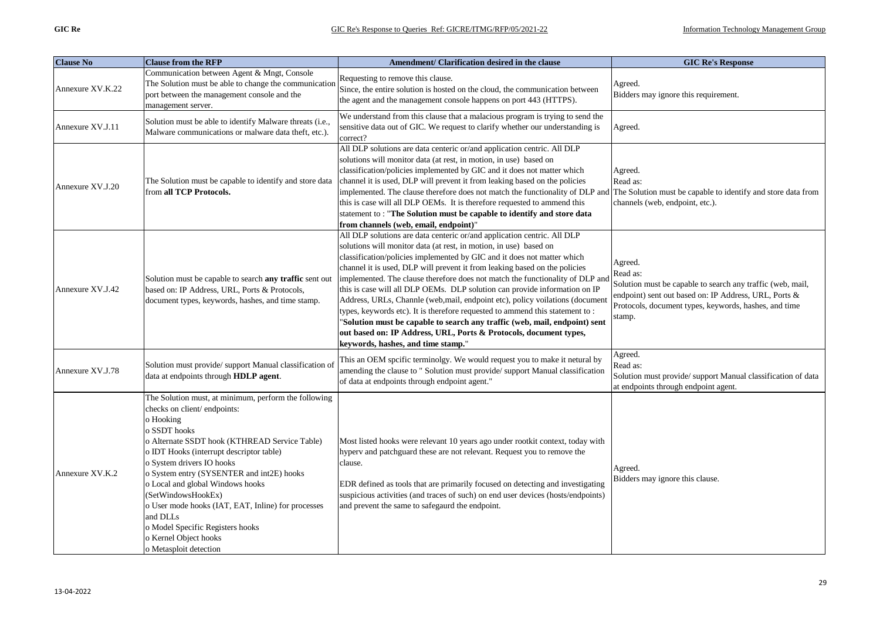| <b>Clause No</b> | <b>Clause from the RFP</b>                                                                                                                                                                                                                                                                                                                                                                                                                                                                                 | Amendment/ Clarification desired in the clause                                                                                                                                                                                                                                                                                                                                                                                                                                                                                                                                                                                                                                                                                                                                                                                 | <b>GIC Re's Response</b>                                                                                                                                                                                      |
|------------------|------------------------------------------------------------------------------------------------------------------------------------------------------------------------------------------------------------------------------------------------------------------------------------------------------------------------------------------------------------------------------------------------------------------------------------------------------------------------------------------------------------|--------------------------------------------------------------------------------------------------------------------------------------------------------------------------------------------------------------------------------------------------------------------------------------------------------------------------------------------------------------------------------------------------------------------------------------------------------------------------------------------------------------------------------------------------------------------------------------------------------------------------------------------------------------------------------------------------------------------------------------------------------------------------------------------------------------------------------|---------------------------------------------------------------------------------------------------------------------------------------------------------------------------------------------------------------|
| Annexure XV.K.22 | Communication between Agent & Mngt, Console<br>The Solution must be able to change the communication<br>port between the management console and the<br>management server.                                                                                                                                                                                                                                                                                                                                  | Requesting to remove this clause.<br>Since, the entire solution is hosted on the cloud, the communication between<br>the agent and the management console happens on port 443 (HTTPS).                                                                                                                                                                                                                                                                                                                                                                                                                                                                                                                                                                                                                                         | Agreed.<br>Bidders may ignore this requirement.                                                                                                                                                               |
| Annexure XV.J.11 | Solution must be able to identify Malware threats (i.e.,<br>Malware communications or malware data theft, etc.).                                                                                                                                                                                                                                                                                                                                                                                           | We understand from this clause that a malacious program is trying to send the<br>sensitive data out of GIC. We request to clarify whether our understanding is<br>correct?                                                                                                                                                                                                                                                                                                                                                                                                                                                                                                                                                                                                                                                     | Agreed.                                                                                                                                                                                                       |
| Annexure XV.J.20 | The Solution must be capable to identify and store data<br>from all TCP Protocols.                                                                                                                                                                                                                                                                                                                                                                                                                         | All DLP solutions are data centeric or/and application centric. All DLP<br>solutions will monitor data (at rest, in motion, in use) based on<br>classification/policies implemented by GIC and it does not matter which<br>channel it is used, DLP will prevent it from leaking based on the policies<br>implemented. The clause therefore does not match the functionality of DLP and<br>this is case will all DLP OEMs. It is therefore requested to ammend this<br>statement to: "The Solution must be capable to identify and store data<br>from channels (web, email, endpoint)"                                                                                                                                                                                                                                          | Agreed.<br>Read as:<br>The Solution must be capable to identify and store data from<br>channels (web, endpoint, etc.).                                                                                        |
| Annexure XV.J.42 | Solution must be capable to search any traffic sent out<br>based on: IP Address, URL, Ports & Protocols,<br>document types, keywords, hashes, and time stamp.                                                                                                                                                                                                                                                                                                                                              | All DLP solutions are data centeric or/and application centric. All DLP<br>solutions will monitor data (at rest, in motion, in use) based on<br>classification/policies implemented by GIC and it does not matter which<br>channel it is used, DLP will prevent it from leaking based on the policies<br>implemented. The clause therefore does not match the functionality of DLP and<br>this is case will all DLP OEMs. DLP solution can provide information on IP<br>Address, URLs, Channle (web,mail, endpoint etc), policy voilations (document<br>types, keywords etc). It is therefore requested to ammend this statement to :<br>"Solution must be capable to search any traffic (web, mail, endpoint) sent<br>out based on: IP Address, URL, Ports & Protocols, document types,<br>keywords, hashes, and time stamp." | Agreed.<br>Read as:<br>Solution must be capable to search any traffic (web, mail,<br>endpoint) sent out based on: IP Address, URL, Ports &<br>Protocols, document types, keywords, hashes, and time<br>stamp. |
| Annexure XV.J.78 | Solution must provide/ support Manual classification of<br>data at endpoints through HDLP agent.                                                                                                                                                                                                                                                                                                                                                                                                           | This an OEM spcific terminolgy. We would request you to make it netural by<br>amending the clause to " Solution must provide/ support Manual classification<br>of data at endpoints through endpoint agent."                                                                                                                                                                                                                                                                                                                                                                                                                                                                                                                                                                                                                   | Agreed.<br>Read as:<br>Solution must provide/ support Manual classification of data<br>at endpoints through endpoint agent.                                                                                   |
| Annexure XV.K.2  | The Solution must, at minimum, perform the following<br>checks on client/endpoints:<br>o Hooking<br>o SSDT hooks<br>o Alternate SSDT hook (KTHREAD Service Table)<br>o IDT Hooks (interrupt descriptor table)<br>o System drivers IO hooks<br>o System entry (SYSENTER and int2E) hooks<br>o Local and global Windows hooks<br>(SetWindowsHookEx)<br>o User mode hooks (IAT, EAT, Inline) for processes<br>and DLLs<br>o Model Specific Registers hooks<br>o Kernel Object hooks<br>o Metasploit detection | Most listed hooks were relevant 10 years ago under rootkit context, today with<br>hyperv and patchguard these are not relevant. Request you to remove the<br>clause.<br>EDR defined as tools that are primarily focused on detecting and investigating<br>suspicious activities (and traces of such) on end user devices (hosts/endpoints)<br>and prevent the same to safegaurd the endpoint.                                                                                                                                                                                                                                                                                                                                                                                                                                  | Agreed.<br>Bidders may ignore this clause.                                                                                                                                                                    |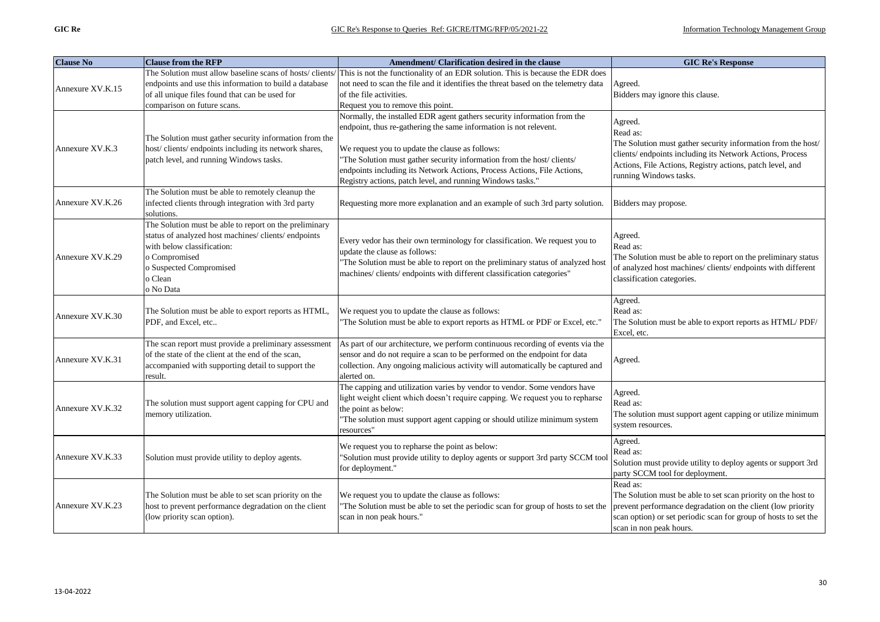| <b>Clause No</b> | <b>Clause from the RFP</b>                                                                                                                                                                                     | Amendment/ Clarification desired in the clause                                                                                                                                                                                                                               | <b>GIC Re's Response</b>                                                                                                                                                                                                               |
|------------------|----------------------------------------------------------------------------------------------------------------------------------------------------------------------------------------------------------------|------------------------------------------------------------------------------------------------------------------------------------------------------------------------------------------------------------------------------------------------------------------------------|----------------------------------------------------------------------------------------------------------------------------------------------------------------------------------------------------------------------------------------|
|                  | The Solution must allow baseline scans of hosts/clients                                                                                                                                                        | This is not the functionality of an EDR solution. This is because the EDR does                                                                                                                                                                                               |                                                                                                                                                                                                                                        |
| Annexure XV.K.15 | endpoints and use this information to build a database                                                                                                                                                         | not need to scan the file and it identifies the threat based on the telemetry data                                                                                                                                                                                           | Agreed.                                                                                                                                                                                                                                |
|                  | of all unique files found that can be used for                                                                                                                                                                 | of the file activities.                                                                                                                                                                                                                                                      | Bidders may ignore this clause.                                                                                                                                                                                                        |
|                  | comparison on future scans.                                                                                                                                                                                    | Request you to remove this point.                                                                                                                                                                                                                                            |                                                                                                                                                                                                                                        |
| Annexure XV.K.3  | The Solution must gather security information from the<br>host/clients/endpoints including its network shares,                                                                                                 | Normally, the installed EDR agent gathers security information from the<br>endpoint, thus re-gathering the same information is not relevent.<br>We request you to update the clause as follows:                                                                              | Agreed.<br>Read as:<br>The Solution must gather security information from the host/<br>clients/ endpoints including its Network Actions, Process                                                                                       |
|                  | patch level, and running Windows tasks.                                                                                                                                                                        | 'The Solution must gather security information from the host/clients/<br>endpoints including its Network Actions, Process Actions, File Actions,<br>Registry actions, patch level, and running Windows tasks."                                                               | Actions, File Actions, Registry actions, patch level, and<br>running Windows tasks.                                                                                                                                                    |
| Annexure XV.K.26 | The Solution must be able to remotely cleanup the<br>infected clients through integration with 3rd party<br>solutions.                                                                                         | Requesting more more explanation and an example of such 3rd party solution.                                                                                                                                                                                                  | Bidders may propose.                                                                                                                                                                                                                   |
| Annexure XV.K.29 | The Solution must be able to report on the preliminary<br>status of analyzed host machines/clients/endpoints<br>with below classification:<br>o Compromised<br>o Suspected Compromised<br>o Clean<br>o No Data | Every vedor has their own terminology for classification. We request you to<br>update the clause as follows:<br>'The Solution must be able to report on the preliminary status of analyzed host<br>machines/ clients/ endpoints with different classification categories"    | Agreed.<br>Read as:<br>The Solution must be able to report on the preliminary status<br>of analyzed host machines/ clients/ endpoints with different<br>classification categories.                                                     |
| Annexure XV.K.30 | The Solution must be able to export reports as HTML,<br>PDF, and Excel, etc                                                                                                                                    | We request you to update the clause as follows:<br>The Solution must be able to export reports as HTML or PDF or Excel, etc."                                                                                                                                                | Agreed.<br>Read as:<br>The Solution must be able to export reports as HTML/PDF/<br>Excel, etc.                                                                                                                                         |
| Annexure XV.K.31 | The scan report must provide a preliminary assessment<br>of the state of the client at the end of the scan,<br>accompanied with supporting detail to support the<br>result.                                    | As part of our architecture, we perform continuous recording of events via the<br>sensor and do not require a scan to be performed on the endpoint for data<br>collection. Any ongoing malicious activity will automatically be captured and<br>alerted on.                  | Agreed.                                                                                                                                                                                                                                |
| Annexure XV.K.32 | The solution must support agent capping for CPU and<br>memory utilization.                                                                                                                                     | The capping and utilization varies by vendor to vendor. Some vendors have<br>light weight client which doesn't require capping. We request you to repharse<br>the point as below:<br>"The solution must support agent capping or should utilize minimum system<br>resources' | Agreed.<br>Read as:<br>The solution must support agent capping or utilize minimum<br>system resources.                                                                                                                                 |
| Annexure XV.K.33 | Solution must provide utility to deploy agents.                                                                                                                                                                | We request you to repharse the point as below:<br>"Solution must provide utility to deploy agents or support 3rd party SCCM tool<br>for deployment."                                                                                                                         | Agreed.<br>Read as:<br>Solution must provide utility to deploy agents or support 3rd<br>party SCCM tool for deployment.                                                                                                                |
| Annexure XV.K.23 | The Solution must be able to set scan priority on the<br>host to prevent performance degradation on the client<br>(low priority scan option).                                                                  | We request you to update the clause as follows:<br>'The Solution must be able to set the periodic scan for group of hosts to set the<br>scan in non peak hours."                                                                                                             | Read as:<br>The Solution must be able to set scan priority on the host to<br>prevent performance degradation on the client (low priority<br>scan option) or set periodic scan for group of hosts to set the<br>scan in non peak hours. |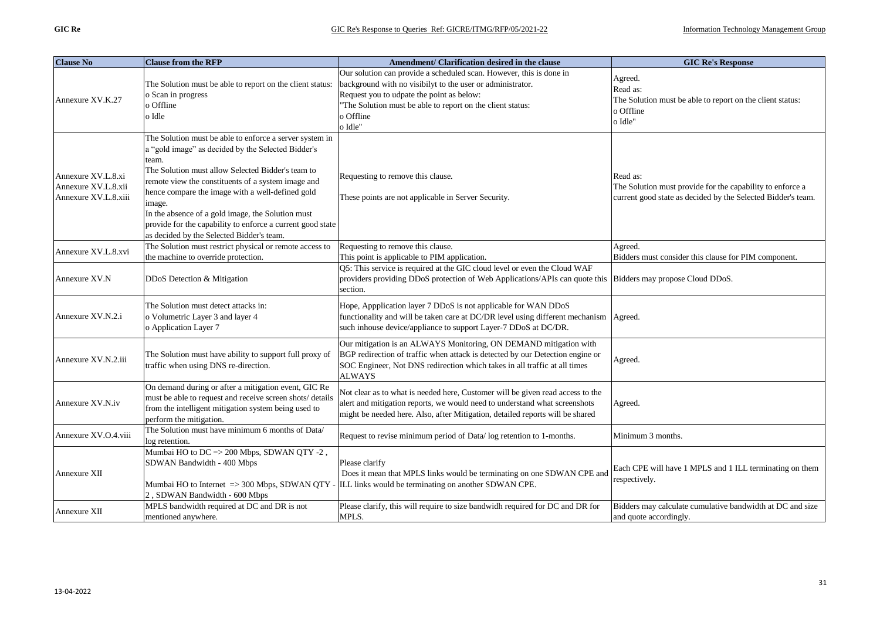| <b>Clause No</b>                                                  | <b>Clause from the RFP</b>                                                                                                                                                                                                                                                                                                                                                                                                                                      | Amendment/ Clarification desired in the clause                                                                                                                                                                                                                      | <b>GIC Re's Response</b>                                                                                                              |
|-------------------------------------------------------------------|-----------------------------------------------------------------------------------------------------------------------------------------------------------------------------------------------------------------------------------------------------------------------------------------------------------------------------------------------------------------------------------------------------------------------------------------------------------------|---------------------------------------------------------------------------------------------------------------------------------------------------------------------------------------------------------------------------------------------------------------------|---------------------------------------------------------------------------------------------------------------------------------------|
| Annexure XV.K.27                                                  | The Solution must be able to report on the client status:<br>o Scan in progress<br>o Offline<br>o Idle                                                                                                                                                                                                                                                                                                                                                          | Our solution can provide a scheduled scan. However, this is done in<br>background with no visibilyt to the user or administrator.<br>Request you to udpate the point as below:<br>The Solution must be able to report on the client status:<br>o Offline<br>o Idle" | Agreed.<br>Read as:<br>The Solution must be able to report on the client status:<br>o Offline<br>o Idle"                              |
| Annexure XV.L.8.xi<br>Annexure XV.L.8.xii<br>Annexure XV.L.8.xiii | The Solution must be able to enforce a server system in<br>a "gold image" as decided by the Selected Bidder's<br>team.<br>The Solution must allow Selected Bidder's team to<br>remote view the constituents of a system image and<br>hence compare the image with a well-defined gold<br>image.<br>In the absence of a gold image, the Solution must<br>provide for the capability to enforce a current good state<br>as decided by the Selected Bidder's team. | Requesting to remove this clause.<br>These points are not applicable in Server Security.                                                                                                                                                                            | Read as:<br>The Solution must provide for the capability to enforce a<br>current good state as decided by the Selected Bidder's team. |
| Annexure XV.L.8.xvi                                               | The Solution must restrict physical or remote access to<br>the machine to override protection.                                                                                                                                                                                                                                                                                                                                                                  | Requesting to remove this clause.<br>This point is applicable to PIM application.                                                                                                                                                                                   | Agreed.<br>Bidders must consider this clause for PIM component.                                                                       |
| Annexure XV.N                                                     | DDoS Detection & Mitigation                                                                                                                                                                                                                                                                                                                                                                                                                                     | Q5: This service is required at the GIC cloud level or even the Cloud WAF<br>providers providing DDoS protection of Web Applications/APIs can quote this<br>section.                                                                                                | Bidders may propose Cloud DDoS.                                                                                                       |
| Annexure XV.N.2.i                                                 | The Solution must detect attacks in:<br>o Volumetric Layer 3 and layer 4<br>o Application Layer 7                                                                                                                                                                                                                                                                                                                                                               | Hope, Appplication layer 7 DDoS is not applicable for WAN DDoS<br>functionality and will be taken care at DC/DR level using different mechanism Agreed.<br>such inhouse device/appliance to support Layer-7 DDoS at DC/DR.                                          |                                                                                                                                       |
| Annexure XV.N.2.iii                                               | The Solution must have ability to support full proxy of<br>traffic when using DNS re-direction.                                                                                                                                                                                                                                                                                                                                                                 | Our mitigation is an ALWAYS Monitoring, ON DEMAND mitigation with<br>BGP redirection of traffic when attack is detected by our Detection engine or<br>SOC Engineer, Not DNS redirection which takes in all traffic at all times<br><b>ALWAYS</b>                    | Agreed.                                                                                                                               |
| Annexure XV.N.iv                                                  | On demand during or after a mitigation event, GIC Re<br>must be able to request and receive screen shots/ details<br>from the intelligent mitigation system being used to<br>perform the mitigation.                                                                                                                                                                                                                                                            | Not clear as to what is needed here, Customer will be given read access to the<br>alert and mitigation reports, we would need to understand what screenshots<br>might be needed here. Also, after Mitigation, detailed reports will be shared                       | Agreed.                                                                                                                               |
| Annexure XV.O.4.viii                                              | The Solution must have minimum 6 months of Data/<br>log retention.                                                                                                                                                                                                                                                                                                                                                                                              | Request to revise minimum period of Data/log retention to 1-months.                                                                                                                                                                                                 | Minimum 3 months.                                                                                                                     |
| Annexure XII                                                      | Mumbai HO to DC => 200 Mbps, SDWAN QTY -2,<br>SDWAN Bandwidth - 400 Mbps<br>2, SDWAN Bandwidth - 600 Mbps                                                                                                                                                                                                                                                                                                                                                       | Please clarify<br>Does it mean that MPLS links would be terminating on one SDWAN CPE and<br>Mumbai HO to Internet $\Rightarrow$ 300 Mbps, SDWAN QTY - ILL links would be terminating on another SDWAN CPE.                                                          | Each CPE will have 1 MPLS and 1 ILL terminating on them<br>respectively.                                                              |
| Annexure XII                                                      | MPLS bandwidth required at DC and DR is not<br>mentioned anywhere.                                                                                                                                                                                                                                                                                                                                                                                              | Please clarify, this will require to size bandwidh required for DC and DR for<br>MPLS.                                                                                                                                                                              | Bidders may calculate cumulative bandwidth at DC and size<br>and quote accordingly.                                                   |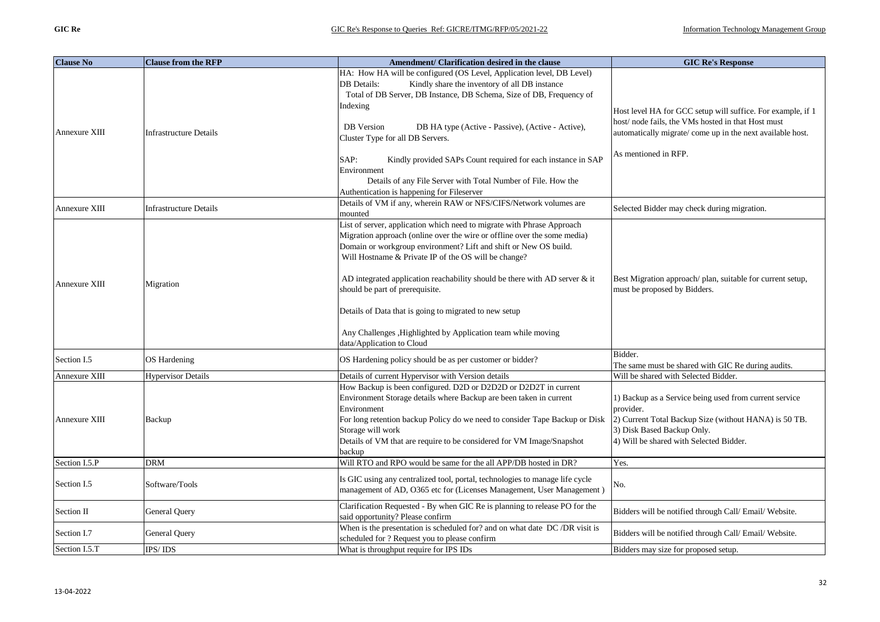| <b>Clause No</b> | <b>Clause from the RFP</b>    | Amendment/ Clarification desired in the clause                                                                                                                                                                                                                                 | <b>GIC Re's Response</b>                                                                                                                                                      |
|------------------|-------------------------------|--------------------------------------------------------------------------------------------------------------------------------------------------------------------------------------------------------------------------------------------------------------------------------|-------------------------------------------------------------------------------------------------------------------------------------------------------------------------------|
|                  |                               | HA: How HA will be configured (OS Level, Application level, DB Level)<br>Kindly share the inventory of all DB instance<br>DB Details:<br>Total of DB Server, DB Instance, DB Schema, Size of DB, Frequency of                                                                  |                                                                                                                                                                               |
| Annexure XIII    | <b>Infrastructure Details</b> | Indexing<br><b>DB</b> Version<br>DB HA type (Active - Passive), (Active - Active),<br>Cluster Type for all DB Servers.                                                                                                                                                         | Host level HA for GCC setup will suffice. For example, if 1<br>host/node fails, the VMs hosted in that Host must<br>automatically migrate/come up in the next available host. |
|                  |                               | SAP:<br>Kindly provided SAPs Count required for each instance in SAP<br>Environment                                                                                                                                                                                            | As mentioned in RFP.                                                                                                                                                          |
|                  |                               | Details of any File Server with Total Number of File. How the<br>Authentication is happening for Fileserver                                                                                                                                                                    |                                                                                                                                                                               |
| Annexure XIII    | <b>Infrastructure Details</b> | Details of VM if any, wherein RAW or NFS/CIFS/Network volumes are<br>mounted                                                                                                                                                                                                   | Selected Bidder may check during migration.                                                                                                                                   |
|                  |                               | List of server, application which need to migrate with Phrase Approach<br>Migration approach (online over the wire or offline over the some media)<br>Domain or workgroup environment? Lift and shift or New OS build.<br>Will Hostname & Private IP of the OS will be change? |                                                                                                                                                                               |
| Annexure XIII    | Migration                     | AD integrated application reachability should be there with AD server $\&$ it<br>should be part of prerequisite.                                                                                                                                                               | Best Migration approach/plan, suitable for current setup,<br>must be proposed by Bidders.                                                                                     |
|                  |                               | Details of Data that is going to migrated to new setup                                                                                                                                                                                                                         |                                                                                                                                                                               |
|                  |                               | Any Challenges , Highlighted by Application team while moving<br>data/Application to Cloud                                                                                                                                                                                     |                                                                                                                                                                               |
| Section I.5      | OS Hardening                  | OS Hardening policy should be as per customer or bidder?                                                                                                                                                                                                                       | Bidder.<br>The same must be shared with GIC Re during audits.                                                                                                                 |
| Annexure XIII    | <b>Hypervisor Details</b>     | Details of current Hypervisor with Version details                                                                                                                                                                                                                             | Will be shared with Selected Bidder.                                                                                                                                          |
|                  |                               | How Backup is been configured. D2D or D2D2D or D2D2T in current<br>Environment Storage details where Backup are been taken in current<br>Environment                                                                                                                           | 1) Backup as a Service being used from current service<br>provider.                                                                                                           |
| Annexure XIII    | Backup                        | For long retention backup Policy do we need to consider Tape Backup or Disk<br>Storage will work<br>Details of VM that are require to be considered for VM Image/Snapshot<br>backup                                                                                            | 2) Current Total Backup Size (without HANA) is 50 TB.<br>3) Disk Based Backup Only.<br>4) Will be shared with Selected Bidder.                                                |
| Section I.5.P    | <b>DRM</b>                    | Will RTO and RPO would be same for the all APP/DB hosted in DR?                                                                                                                                                                                                                | Yes.                                                                                                                                                                          |
| Section I.5      | Software/Tools                | Is GIC using any centralized tool, portal, technologies to manage life cycle<br>management of AD, O365 etc for (Licenses Management, User Management)                                                                                                                          | No.                                                                                                                                                                           |
| Section II       | General Query                 | Clarification Requested - By when GIC Re is planning to release PO for the<br>said opportunity? Please confirm                                                                                                                                                                 | Bidders will be notified through Call/ Email/ Website.                                                                                                                        |
| Section I.7      | General Query                 | When is the presentation is scheduled for? and on what date DC/DR visit is<br>scheduled for ? Request you to please confirm                                                                                                                                                    | Bidders will be notified through Call/ Email/ Website.                                                                                                                        |
| Section I.5.T    | IPS/IDS                       | What is throughput require for IPS IDs                                                                                                                                                                                                                                         | Bidders may size for proposed setup.                                                                                                                                          |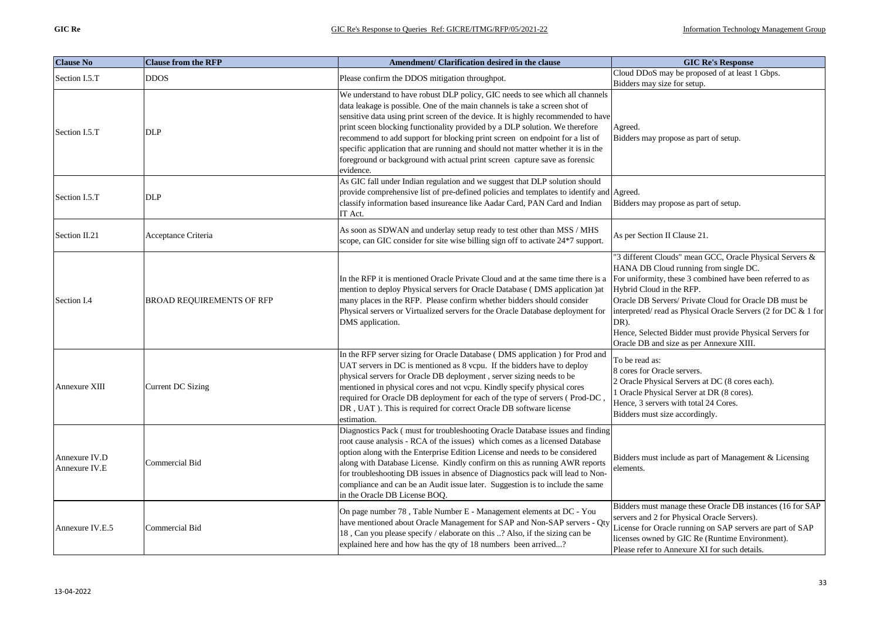| <b>Clause No</b>               | <b>Clause from the RFP</b> | Amendment/ Clarification desired in the clause                                                                                                                                                                                                                                                                                                                                                                                                                                                                                                                                                 | <b>GIC Re's Response</b>                                                                                                                                                                                                                                                                                                                                                                                                              |
|--------------------------------|----------------------------|------------------------------------------------------------------------------------------------------------------------------------------------------------------------------------------------------------------------------------------------------------------------------------------------------------------------------------------------------------------------------------------------------------------------------------------------------------------------------------------------------------------------------------------------------------------------------------------------|---------------------------------------------------------------------------------------------------------------------------------------------------------------------------------------------------------------------------------------------------------------------------------------------------------------------------------------------------------------------------------------------------------------------------------------|
| Section I.5.T                  | <b>DDOS</b>                | Please confirm the DDOS mitigation throughpot.                                                                                                                                                                                                                                                                                                                                                                                                                                                                                                                                                 | Cloud DDoS may be proposed of at least 1 Gbps.<br>Bidders may size for setup.                                                                                                                                                                                                                                                                                                                                                         |
| Section I.5.T                  | DLP                        | We understand to have robust DLP policy, GIC needs to see which all channels<br>data leakage is possible. One of the main channels is take a screen shot of<br>sensitive data using print screen of the device. It is highly recommended to have<br>print sceen blocking functionality provided by a DLP solution. We therefore<br>recommend to add support for blocking print screen on endpoint for a list of<br>specific application that are running and should not matter whether it is in the<br>foreground or background with actual print screen capture save as forensic<br>evidence. | Agreed.<br>Bidders may propose as part of setup.                                                                                                                                                                                                                                                                                                                                                                                      |
| Section I.5.T                  | DLP                        | As GIC fall under Indian regulation and we suggest that DLP solution should<br>provide comprehensive list of pre-defined policies and templates to identify and Agreed.<br>classify information based insureance like Aadar Card, PAN Card and Indian<br>IT Act.                                                                                                                                                                                                                                                                                                                               | Bidders may propose as part of setup.                                                                                                                                                                                                                                                                                                                                                                                                 |
| Section II.21                  | Acceptance Criteria        | As soon as SDWAN and underlay setup ready to test other than MSS / MHS<br>scope, can GIC consider for site wise billing sign off to activate 24*7 support.                                                                                                                                                                                                                                                                                                                                                                                                                                     | As per Section II Clause 21.                                                                                                                                                                                                                                                                                                                                                                                                          |
| Section I.4                    | BROAD REQUIREMENTS OF RFP  | In the RFP it is mentioned Oracle Private Cloud and at the same time there is a<br>mention to deploy Physical servers for Oracle Database (DMS application ) at<br>many places in the RFP. Please confirm whether bidders should consider<br>Physical servers or Virtualized servers for the Oracle Database deployment for<br>DMS application.                                                                                                                                                                                                                                                | "3 different Clouds" mean GCC, Oracle Physical Servers &<br>HANA DB Cloud running from single DC.<br>For uniformity, these 3 combined have been referred to as<br>Hybrid Cloud in the RFP.<br>Oracle DB Servers/ Private Cloud for Oracle DB must be<br>interpreted/read as Physical Oracle Servers (2 for DC & 1 for<br>DR).<br>Hence, Selected Bidder must provide Physical Servers for<br>Oracle DB and size as per Annexure XIII. |
| Annexure XIII                  | Current DC Sizing          | In the RFP server sizing for Oracle Database (DMS application ) for Prod and<br>UAT servers in DC is mentioned as 8 vcpu. If the bidders have to deploy<br>physical servers for Oracle DB deployment, server sizing needs to be<br>mentioned in physical cores and not vcpu. Kindly specify physical cores<br>required for Oracle DB deployment for each of the type of servers (Prod-DC<br>DR, UAT). This is required for correct Oracle DB software license<br>estimation.                                                                                                                   | To be read as:<br>8 cores for Oracle servers.<br>2 Oracle Physical Servers at DC (8 cores each).<br>1 Oracle Physical Server at DR (8 cores).<br>Hence, 3 servers with total 24 Cores.<br>Bidders must size accordingly.                                                                                                                                                                                                              |
| Annexure IV.D<br>Annexure IV.E | Commercial Bid             | Diagnostics Pack (must for troubleshooting Oracle Database issues and finding<br>root cause analysis - RCA of the issues) which comes as a licensed Database<br>option along with the Enterprise Edition License and needs to be considered<br>along with Database License. Kindly confirm on this as running AWR reports<br>for troubleshooting DB issues in absence of Diagnostics pack will lead to Non-<br>compliance and can be an Audit issue later. Suggestion is to include the same<br>in the Oracle DB License BOQ.                                                                  | Bidders must include as part of Management & Licensing<br>elements.                                                                                                                                                                                                                                                                                                                                                                   |
| Annexure IV.E.5                | Commercial Bid             | On page number 78, Table Number E - Management elements at DC - You<br>have mentioned about Oracle Management for SAP and Non-SAP servers - Qty<br>18, Can you please specify / elaborate on this ? Also, if the sizing can be<br>explained here and how has the qty of 18 numbers been arrived?                                                                                                                                                                                                                                                                                               | Bidders must manage these Oracle DB instances (16 for SAP<br>servers and 2 for Physical Oracle Servers).<br>License for Oracle running on SAP servers are part of SAP<br>licenses owned by GIC Re (Runtime Environment).<br>Please refer to Annexure XI for such details.                                                                                                                                                             |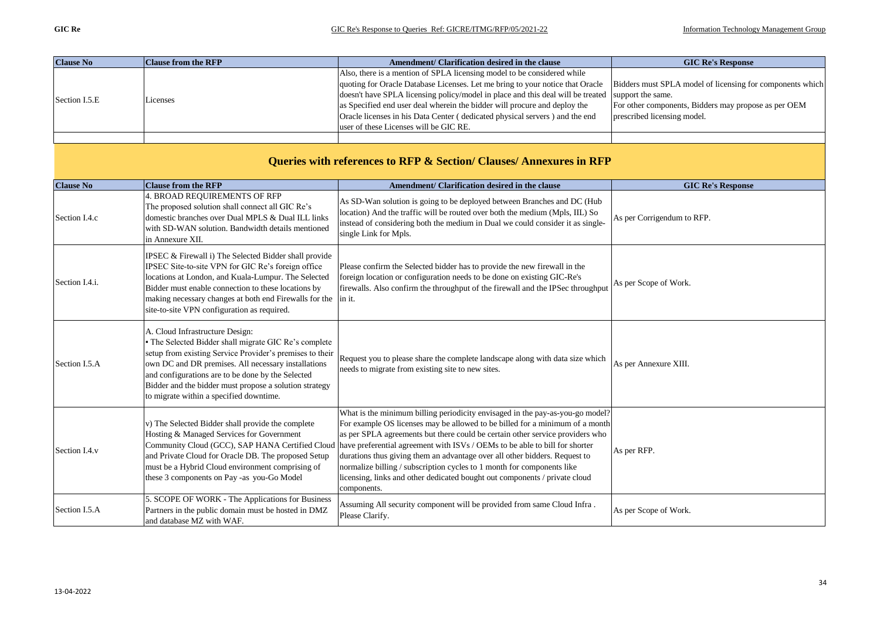|               | <b>Clause No</b> | <b>Clause from the RFP</b> | Amendment/ Clarification desired in the clause                                                                                          | <b>GIC Re's Response</b>                             |
|---------------|------------------|----------------------------|-----------------------------------------------------------------------------------------------------------------------------------------|------------------------------------------------------|
|               |                  | Licenses                   | Also, there is a mention of SPLA licensing model to be considered while                                                                 |                                                      |
|               |                  |                            | quoting for Oracle Database Licenses. Let me bring to your notice that Oracle Bidders must SPLA model of licensing for components which |                                                      |
|               |                  |                            | doesn't have SPLA licensing policy/model in place and this deal will be treated support the same.                                       |                                                      |
| Section I.5.E |                  |                            | as Specified end user deal wherein the bidder will procure and deploy the                                                               | For other components, Bidders may propose as per OEM |
|               |                  |                            | Oracle licenses in his Data Center (dedicated physical servers) and the end                                                             | prescribed licensing model.                          |
|               |                  |                            | user of these Licenses will be GIC RE.                                                                                                  |                                                      |
|               |                  |                            |                                                                                                                                         |                                                      |

| Queries with references to RFP & Section/ Clauses/ Annexures in RFP |                                                                                                                                                                                                                                                                                                                                                                     |                                                                                                                                                                                                                                                                                                                                                                                                                                                                                                                                                                                    |                            |  |
|---------------------------------------------------------------------|---------------------------------------------------------------------------------------------------------------------------------------------------------------------------------------------------------------------------------------------------------------------------------------------------------------------------------------------------------------------|------------------------------------------------------------------------------------------------------------------------------------------------------------------------------------------------------------------------------------------------------------------------------------------------------------------------------------------------------------------------------------------------------------------------------------------------------------------------------------------------------------------------------------------------------------------------------------|----------------------------|--|
| <b>Clause No</b>                                                    | <b>Clause from the RFP</b>                                                                                                                                                                                                                                                                                                                                          | Amendment/ Clarification desired in the clause                                                                                                                                                                                                                                                                                                                                                                                                                                                                                                                                     | <b>GIC Re's Response</b>   |  |
| Section I.4.c                                                       | 4. BROAD REQUIREMENTS OF RFP<br>The proposed solution shall connect all GIC Re's<br>domestic branches over Dual MPLS & Dual ILL links<br>with SD-WAN solution. Bandwidth details mentioned<br>in Annexure XII.                                                                                                                                                      | As SD-Wan solution is going to be deployed between Branches and DC (Hub<br>location) And the traffic will be routed over both the medium (Mpls, IIL) So<br>instead of considering both the medium in Dual we could consider it as single-<br>single Link for Mpls.                                                                                                                                                                                                                                                                                                                 | As per Corrigendum to RFP. |  |
| Section I.4.i.                                                      | IPSEC & Firewall i) The Selected Bidder shall provide<br>IPSEC Site-to-site VPN for GIC Re's foreign office<br>locations at London, and Kuala-Lumpur. The Selected<br>Bidder must enable connection to these locations by<br>making necessary changes at both end Firewalls for the<br>site-to-site VPN configuration as required.                                  | Please confirm the Selected bidder has to provide the new firewall in the<br>foreign location or configuration needs to be done on existing GIC-Re's<br>firewalls. Also confirm the throughput of the firewall and the IPSec throughput<br>in it.                                                                                                                                                                                                                                                                                                                                  | As per Scope of Work.      |  |
| Section I.5.A                                                       | A. Cloud Infrastructure Design:<br>The Selected Bidder shall migrate GIC Re's complete<br>setup from existing Service Provider's premises to their<br>own DC and DR premises. All necessary installations<br>and configurations are to be done by the Selected<br>Bidder and the bidder must propose a solution strategy<br>to migrate within a specified downtime. | Request you to please share the complete landscape along with data size which<br>needs to migrate from existing site to new sites.                                                                                                                                                                                                                                                                                                                                                                                                                                                 | As per Annexure XIII.      |  |
| Section I.4.v                                                       | v) The Selected Bidder shall provide the complete<br>Hosting & Managed Services for Government<br>Community Cloud (GCC), SAP HANA Certified Cloud<br>and Private Cloud for Oracle DB. The proposed Setup<br>must be a Hybrid Cloud environment comprising of<br>these 3 components on Pay -as you-Go Model                                                          | What is the minimum billing periodicity envisaged in the pay-as-you-go model?<br>For example OS licenses may be allowed to be billed for a minimum of a month<br>as per SPLA agreements but there could be certain other service providers who<br>have preferential agreement with ISVs / OEMs to be able to bill for shorter<br>durations thus giving them an advantage over all other bidders. Request to<br>normalize billing / subscription cycles to 1 month for components like<br>licensing, links and other dedicated bought out components / private cloud<br>components. | As per RFP.                |  |
| Section I.5.A                                                       | 5. SCOPE OF WORK - The Applications for Business<br>Partners in the public domain must be hosted in DMZ<br>and database MZ with WAF.                                                                                                                                                                                                                                | Assuming All security component will be provided from same Cloud Infra.<br>Please Clarify.                                                                                                                                                                                                                                                                                                                                                                                                                                                                                         | As per Scope of Work.      |  |

## **Queries with references to RFP & Section/ Clauses/ Annexures in RFP**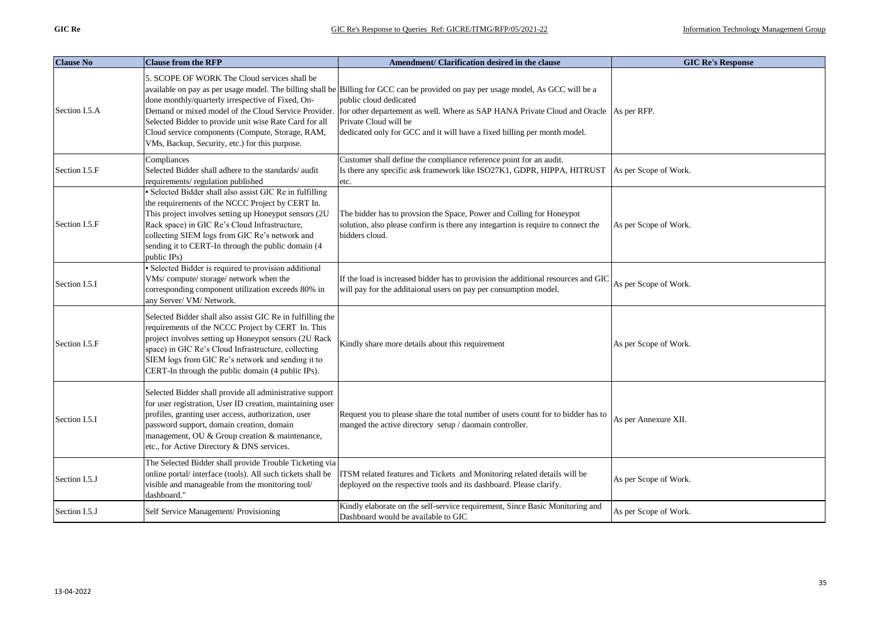| <b>Clause No</b> | <b>Clause from the RFP</b>                                                                                                                                                                                                                                                                                                                    | Amendment/ Clarification desired in the clause                                                                                                                                                                                                                                                                                                                                                                  | <b>GIC Re's Response</b> |
|------------------|-----------------------------------------------------------------------------------------------------------------------------------------------------------------------------------------------------------------------------------------------------------------------------------------------------------------------------------------------|-----------------------------------------------------------------------------------------------------------------------------------------------------------------------------------------------------------------------------------------------------------------------------------------------------------------------------------------------------------------------------------------------------------------|--------------------------|
| Section I.5.A    | 5. SCOPE OF WORK The Cloud services shall be<br>done monthly/quarterly irrespective of Fixed, On-<br>Selected Bidder to provide unit wise Rate Card for all<br>Cloud service components (Compute, Storage, RAM,<br>VMs, Backup, Security, etc.) for this purpose.                                                                             | available on pay as per usage model. The billing shall be Billing for GCC can be provided on pay per usage model, As GCC will be a<br>public cloud dedicated<br>Demand or mixed model of the Cloud Service Provider. for other departement as well. Where as SAP HANA Private Cloud and Oracle As per RFP.<br>Private Cloud will be<br>dedicated only for GCC and it will have a fixed billing per month model. |                          |
| Section I.5.F    | Compliances<br>Selected Bidder shall adhere to the standards/audit<br>requirements/regulation published                                                                                                                                                                                                                                       | Customer shall define the compliance reference point for an audit.<br>Is there any specific ask framework like ISO27K1, GDPR, HIPPA, HITRUST<br>etc.                                                                                                                                                                                                                                                            | As per Scope of Work.    |
| Section I.5.F    | · Selected Bidder shall also assist GIC Re in fulfilling<br>the requirements of the NCCC Project by CERT In.<br>This project involves setting up Honeypot sensors (2U<br>Rack space) in GIC Re's Cloud Infrastructure,<br>collecting SIEM logs from GIC Re's network and<br>sending it to CERT-In through the public domain (4<br>public IPs) | The bidder has to provsion the Space, Power and Colling for Honeypot<br>solution, also please confirm is there any integartion is require to connect the<br>bidders cloud.                                                                                                                                                                                                                                      | As per Scope of Work.    |
| Section I.5.I    | · Selected Bidder is required to provision additional<br>VMs/compute/storage/network when the<br>corresponding component utilization exceeds 80% in<br>any Server/ VM/ Network.                                                                                                                                                               | If the load is increased bidder has to provision the additional resources and GIC<br>will pay for the additaional users on pay per consumption model.                                                                                                                                                                                                                                                           | As per Scope of Work.    |
| Section I.5.F    | Selected Bidder shall also assist GIC Re in fulfilling the<br>requirements of the NCCC Project by CERT In. This<br>project involves setting up Honeypot sensors (2U Rack<br>space) in GIC Re's Cloud Infrastructure, collecting<br>SIEM logs from GIC Re's network and sending it to<br>CERT-In through the public domain (4 public IPs).     | Kindly share more details about this requirement                                                                                                                                                                                                                                                                                                                                                                | As per Scope of Work.    |
| Section I.5.I    | Selected Bidder shall provide all administrative support<br>for user registration, User ID creation, maintaining user<br>profiles, granting user access, authorization, user<br>password support, domain creation, domain<br>management, OU & Group creation & maintenance,<br>etc., for Active Directory & DNS services.                     | Request you to please share the total number of users count for to bidder has to<br>manged the active directory setup / daomain controller.                                                                                                                                                                                                                                                                     | As per Annexure XII.     |
| Section I.5.J    | The Selected Bidder shall provide Trouble Ticketing via<br>online portal/interface (tools). All such tickets shall be<br>visible and manageable from the monitoring tool/<br>dashboard."                                                                                                                                                      | ITSM related features and Tickets and Monitoring related details will be<br>deployed on the respective tools and its dashboard. Please clarify.                                                                                                                                                                                                                                                                 | As per Scope of Work.    |
| Section I.5.J    | Self Service Management/ Provisioning                                                                                                                                                                                                                                                                                                         | Kindly elaborate on the self-service requirement, Since Basic Monitoring and<br>Dashboard would be available to GIC                                                                                                                                                                                                                                                                                             | As per Scope of Work.    |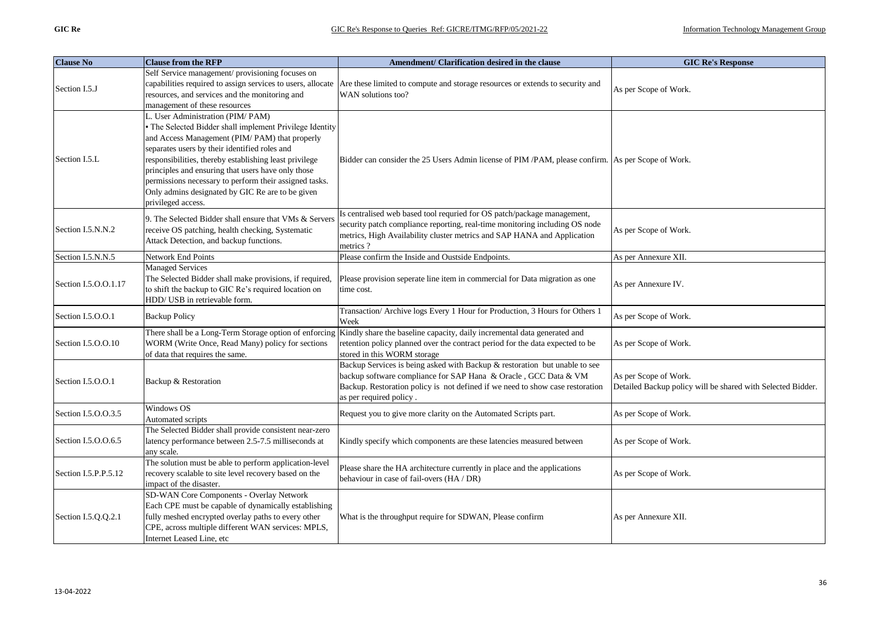| <b>Clause No</b>     | <b>Clause from the RFP</b>                                                                                                                                                                                                                                                                                                                                                                                                                       | Amendment/ Clarification desired in the clause                                                                                                                                                                                                            | <b>GIC Re's Response</b>                                                             |
|----------------------|--------------------------------------------------------------------------------------------------------------------------------------------------------------------------------------------------------------------------------------------------------------------------------------------------------------------------------------------------------------------------------------------------------------------------------------------------|-----------------------------------------------------------------------------------------------------------------------------------------------------------------------------------------------------------------------------------------------------------|--------------------------------------------------------------------------------------|
| Section I.5.J        | Self Service management/ provisioning focuses on<br>capabilities required to assign services to users, allocate<br>resources, and services and the monitoring and<br>management of these resources                                                                                                                                                                                                                                               | Are these limited to compute and storage resources or extends to security and<br>WAN solutions too?                                                                                                                                                       | As per Scope of Work.                                                                |
| Section I.5.L        | L. User Administration (PIM/PAM)<br>The Selected Bidder shall implement Privilege Identity<br>and Access Management (PIM/PAM) that properly<br>separates users by their identified roles and<br>responsibilities, thereby establishing least privilege<br>principles and ensuring that users have only those<br>permissions necessary to perform their assigned tasks.<br>Only admins designated by GIC Re are to be given<br>privileged access. | Bidder can consider the 25 Users Admin license of PIM /PAM, please confirm. As per Scope of Work.                                                                                                                                                         |                                                                                      |
| Section I.5.N.N.2    | 9. The Selected Bidder shall ensure that VMs & Servers<br>receive OS patching, health checking, Systematic<br>Attack Detection, and backup functions.                                                                                                                                                                                                                                                                                            | Is centralised web based tool requried for OS patch/package management,<br>security patch compliance reporting, real-time monitoring including OS node<br>metrics, High Availability cluster metrics and SAP HANA and Application<br>metrics?             | As per Scope of Work.                                                                |
| Section I.5.N.N.5    | Network End Points                                                                                                                                                                                                                                                                                                                                                                                                                               | Please confirm the Inside and Oustside Endpoints.                                                                                                                                                                                                         | As per Annexure XII.                                                                 |
| Section I.5.O.O.1.17 | <b>Managed Services</b><br>The Selected Bidder shall make provisions, if required,<br>to shift the backup to GIC Re's required location on<br>HDD/ USB in retrievable form.                                                                                                                                                                                                                                                                      | Please provision seperate line item in commercial for Data migration as one<br>time cost.                                                                                                                                                                 | As per Annexure IV.                                                                  |
| Section I.5.O.O.1    | <b>Backup Policy</b>                                                                                                                                                                                                                                                                                                                                                                                                                             | Transaction/ Archive logs Every 1 Hour for Production, 3 Hours for Others 1<br>Week                                                                                                                                                                       | As per Scope of Work.                                                                |
| Section I.5.O.O.10   | There shall be a Long-Term Storage option of enforcing<br>WORM (Write Once, Read Many) policy for sections<br>of data that requires the same.                                                                                                                                                                                                                                                                                                    | Kindly share the baseline capacity, daily incremental data generated and<br>retention policy planned over the contract period for the data expected to be<br>stored in this WORM storage                                                                  | As per Scope of Work.                                                                |
| Section I.5.O.O.1    | Backup & Restoration                                                                                                                                                                                                                                                                                                                                                                                                                             | Backup Services is being asked with Backup & restoration but unable to see<br>backup software compliance for SAP Hana & Oracle, GCC Data & VM<br>Backup. Restoration policy is not defined if we need to show case restoration<br>as per required policy. | As per Scope of Work.<br>Detailed Backup policy will be shared with Selected Bidder. |
| Section I.5.O.O.3.5  | Windows OS<br>Automated scripts                                                                                                                                                                                                                                                                                                                                                                                                                  | Request you to give more clarity on the Automated Scripts part.                                                                                                                                                                                           | As per Scope of Work.                                                                |
| Section I.5.O.O.6.5  | The Selected Bidder shall provide consistent near-zero<br>latency performance between 2.5-7.5 milliseconds at<br>any scale.                                                                                                                                                                                                                                                                                                                      | Kindly specify which components are these latencies measured between                                                                                                                                                                                      | As per Scope of Work.                                                                |
| Section I.5.P.P.5.12 | The solution must be able to perform application-level<br>recovery scalable to site level recovery based on the<br>impact of the disaster.                                                                                                                                                                                                                                                                                                       | Please share the HA architecture currently in place and the applications<br>behaviour in case of fail-overs (HA / DR)                                                                                                                                     | As per Scope of Work.                                                                |
| Section I.5.Q.Q.2.1  | SD-WAN Core Components - Overlay Network<br>Each CPE must be capable of dynamically establishing<br>fully meshed encrypted overlay paths to every other<br>CPE, across multiple different WAN services: MPLS,<br>Internet Leased Line, etc                                                                                                                                                                                                       | What is the throughput require for SDWAN, Please confirm                                                                                                                                                                                                  | As per Annexure XII.                                                                 |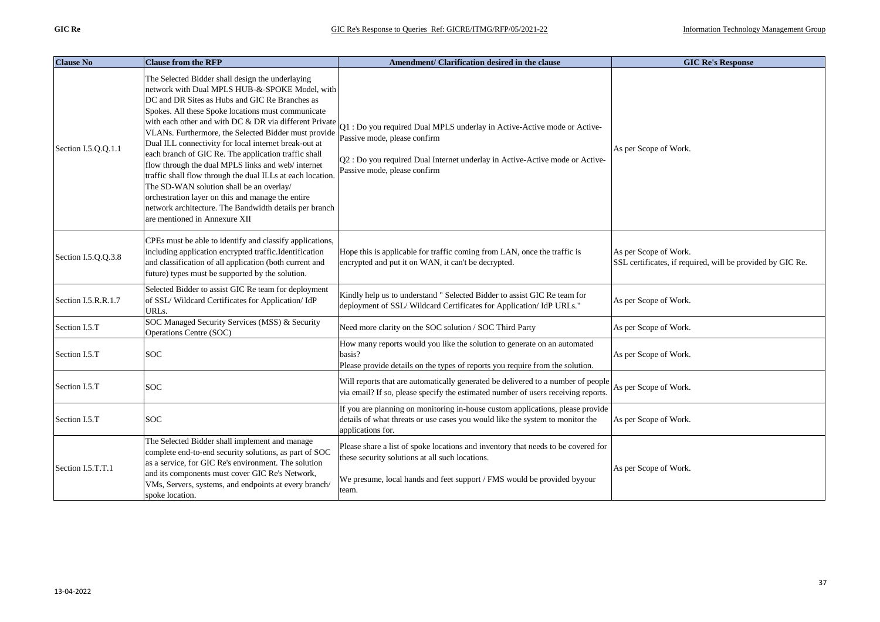| <b>Clause No</b>    | <b>Clause from the RFP</b>                                                                                                                                                                                                                                                                                                                                                                                                                                                                                                                                                                                                                                                                                                                                   | Amendment/ Clarification desired in the clause                                                                                                                                                                           | <b>GIC Re's Response</b>                                                            |
|---------------------|--------------------------------------------------------------------------------------------------------------------------------------------------------------------------------------------------------------------------------------------------------------------------------------------------------------------------------------------------------------------------------------------------------------------------------------------------------------------------------------------------------------------------------------------------------------------------------------------------------------------------------------------------------------------------------------------------------------------------------------------------------------|--------------------------------------------------------------------------------------------------------------------------------------------------------------------------------------------------------------------------|-------------------------------------------------------------------------------------|
| Section I.5.O.O.1.1 | The Selected Bidder shall design the underlaying<br>network with Dual MPLS HUB-&-SPOKE Model, with<br>DC and DR Sites as Hubs and GIC Re Branches as<br>Spokes. All these Spoke locations must communicate<br>with each other and with DC & DR via different Private<br>VLANs. Furthermore, the Selected Bidder must provide<br>Dual ILL connectivity for local internet break-out at<br>each branch of GIC Re. The application traffic shall<br>flow through the dual MPLS links and web/internet<br>traffic shall flow through the dual ILLs at each location.<br>The SD-WAN solution shall be an overlay/<br>orchestration layer on this and manage the entire<br>network architecture. The Bandwidth details per branch<br>are mentioned in Annexure XII | Q1 : Do you required Dual MPLS underlay in Active-Active mode or Active-<br>Passive mode, please confirm<br>Q2 : Do you required Dual Internet underlay in Active-Active mode or Active-<br>Passive mode, please confirm | As per Scope of Work.                                                               |
| Section I.5.Q.Q.3.8 | CPEs must be able to identify and classify applications,<br>including application encrypted traffic.Identification<br>and classification of all application (both current and<br>future) types must be supported by the solution.                                                                                                                                                                                                                                                                                                                                                                                                                                                                                                                            | Hope this is applicable for traffic coming from LAN, once the traffic is<br>encrypted and put it on WAN, it can't be decrypted.                                                                                          | As per Scope of Work.<br>SSL certificates, if required, will be provided by GIC Re. |
| Section I.5.R.R.1.7 | Selected Bidder to assist GIC Re team for deployment<br>of SSL/Wildcard Certificates for Application/IdP<br>URLs.                                                                                                                                                                                                                                                                                                                                                                                                                                                                                                                                                                                                                                            | Kindly help us to understand " Selected Bidder to assist GIC Re team for<br>deployment of SSL/Wildcard Certificates for Application/IdP URLs."                                                                           | As per Scope of Work.                                                               |
| Section I.5.T       | SOC Managed Security Services (MSS) & Security<br>Operations Centre (SOC)                                                                                                                                                                                                                                                                                                                                                                                                                                                                                                                                                                                                                                                                                    | Need more clarity on the SOC solution / SOC Third Party                                                                                                                                                                  | As per Scope of Work.                                                               |
| Section I.5.T       | <b>SOC</b>                                                                                                                                                                                                                                                                                                                                                                                                                                                                                                                                                                                                                                                                                                                                                   | How many reports would you like the solution to generate on an automated<br>basis?<br>Please provide details on the types of reports you require from the solution.                                                      | As per Scope of Work.                                                               |
| Section I.5.T       | <b>SOC</b>                                                                                                                                                                                                                                                                                                                                                                                                                                                                                                                                                                                                                                                                                                                                                   | Will reports that are automatically generated be delivered to a number of people<br>via email? If so, please specify the estimated number of users receiving reports.                                                    | As per Scope of Work.                                                               |
| Section I.5.T       | <b>SOC</b>                                                                                                                                                                                                                                                                                                                                                                                                                                                                                                                                                                                                                                                                                                                                                   | If you are planning on monitoring in-house custom applications, please provide<br>details of what threats or use cases you would like the system to monitor the<br>applications for.                                     | As per Scope of Work.                                                               |
| Section I.5.T.T.1   | The Selected Bidder shall implement and manage<br>complete end-to-end security solutions, as part of SOC<br>as a service, for GIC Re's environment. The solution<br>and its components must cover GIC Re's Network,<br>VMs, Servers, systems, and endpoints at every branch/<br>spoke location.                                                                                                                                                                                                                                                                                                                                                                                                                                                              | Please share a list of spoke locations and inventory that needs to be covered for<br>these security solutions at all such locations.<br>We presume, local hands and feet support / FMS would be provided byyour<br>team. | As per Scope of Work.                                                               |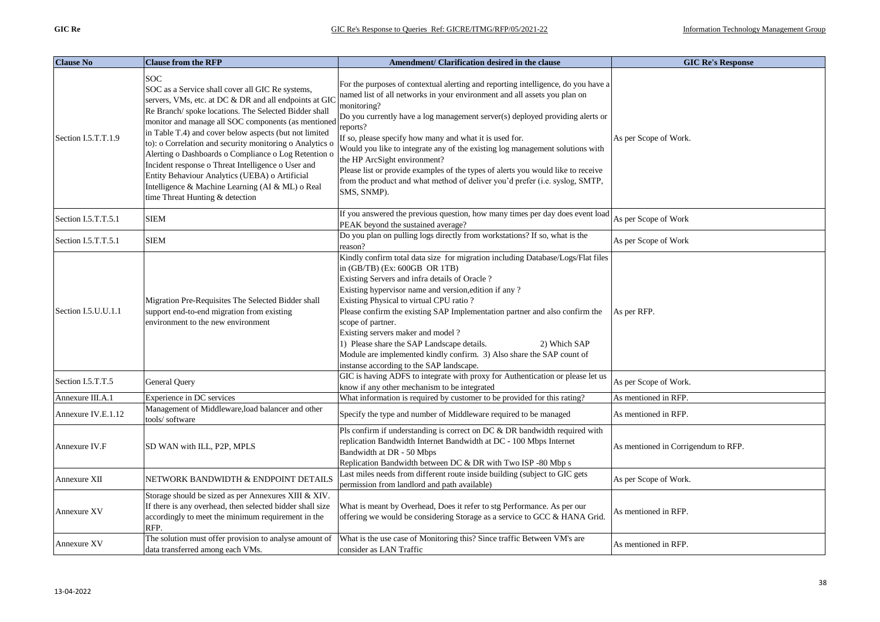| <b>Clause No</b>    | <b>Clause from the RFP</b>                                                                                                                                                                                                                                                                                                                                                                                                                                                                                                                                                                                            | Amendment/ Clarification desired in the clause                                                                                                                                                                                                                                                                                                                                                                                                                                                                                                                                                                                            | <b>GIC Re's Response</b>            |
|---------------------|-----------------------------------------------------------------------------------------------------------------------------------------------------------------------------------------------------------------------------------------------------------------------------------------------------------------------------------------------------------------------------------------------------------------------------------------------------------------------------------------------------------------------------------------------------------------------------------------------------------------------|-------------------------------------------------------------------------------------------------------------------------------------------------------------------------------------------------------------------------------------------------------------------------------------------------------------------------------------------------------------------------------------------------------------------------------------------------------------------------------------------------------------------------------------------------------------------------------------------------------------------------------------------|-------------------------------------|
| Section I.5.T.T.1.9 | <b>SOC</b><br>SOC as a Service shall cover all GIC Re systems,<br>servers, VMs, etc. at DC & DR and all endpoints at GIO<br>Re Branch/ spoke locations. The Selected Bidder shall<br>monitor and manage all SOC components (as mentioned<br>in Table T.4) and cover below aspects (but not limited<br>to): o Correlation and security monitoring o Analytics o<br>Alerting o Dashboards o Compliance o Log Retention o<br>Incident response o Threat Intelligence o User and<br>Entity Behaviour Analytics (UEBA) o Artificial<br>Intelligence & Machine Learning (AI & ML) o Real<br>time Threat Hunting & detection | For the purposes of contextual alerting and reporting intelligence, do you have a<br>named list of all networks in your environment and all assets you plan on<br>monitoring?<br>Do you currently have a log management server(s) deployed providing alerts or<br>reports?<br>If so, please specify how many and what it is used for.<br>Would you like to integrate any of the existing log management solutions with<br>the HP ArcSight environment?<br>Please list or provide examples of the types of alerts you would like to receive<br>from the product and what method of deliver you'd prefer (i.e. syslog, SMTP,<br>SMS, SNMP). | As per Scope of Work.               |
| Section I.5.T.T.5.1 | <b>SIEM</b>                                                                                                                                                                                                                                                                                                                                                                                                                                                                                                                                                                                                           | If you answered the previous question, how many times per day does event load<br>PEAK beyond the sustained average?                                                                                                                                                                                                                                                                                                                                                                                                                                                                                                                       | As per Scope of Work                |
| Section I.5.T.T.5.1 | <b>SIEM</b>                                                                                                                                                                                                                                                                                                                                                                                                                                                                                                                                                                                                           | Do you plan on pulling logs directly from workstations? If so, what is the<br>reason?                                                                                                                                                                                                                                                                                                                                                                                                                                                                                                                                                     | As per Scope of Work                |
| Section I.5.U.U.1.1 | Migration Pre-Requisites The Selected Bidder shall<br>support end-to-end migration from existing<br>environment to the new environment                                                                                                                                                                                                                                                                                                                                                                                                                                                                                | Kindly confirm total data size for migration including Database/Logs/Flat files<br>in (GB/TB) (Ex: 600GB OR 1TB)<br>Existing Servers and infra details of Oracle?<br>Existing hypervisor name and version, edition if any?<br>Existing Physical to virtual CPU ratio ?<br>Please confirm the existing SAP Implementation partner and also confirm the<br>scope of partner.<br>Existing servers maker and model?<br>1) Please share the SAP Landscape details.<br>2) Which SAP<br>Module are implemented kindly confirm. 3) Also share the SAP count of<br>instanse according to the SAP landscape.                                        | As per RFP.                         |
| Section I.5.T.T.5   | General Query                                                                                                                                                                                                                                                                                                                                                                                                                                                                                                                                                                                                         | GIC is having ADFS to integrate with proxy for Authentication or please let us<br>know if any other mechanism to be integrated                                                                                                                                                                                                                                                                                                                                                                                                                                                                                                            | As per Scope of Work.               |
| Annexure III.A.1    | Experience in DC services                                                                                                                                                                                                                                                                                                                                                                                                                                                                                                                                                                                             | What information is required by customer to be provided for this rating?                                                                                                                                                                                                                                                                                                                                                                                                                                                                                                                                                                  | As mentioned in RFP.                |
| Annexure IV.E.1.12  | Management of Middleware, load balancer and other<br>tools/software                                                                                                                                                                                                                                                                                                                                                                                                                                                                                                                                                   | Specify the type and number of Middleware required to be managed                                                                                                                                                                                                                                                                                                                                                                                                                                                                                                                                                                          | As mentioned in RFP.                |
| Annexure IV.F       | SD WAN with ILL, P2P, MPLS                                                                                                                                                                                                                                                                                                                                                                                                                                                                                                                                                                                            | Pls confirm if understanding is correct on DC & DR bandwidth required with<br>replication Bandwidth Internet Bandwidth at DC - 100 Mbps Internet<br>Bandwidth at DR - 50 Mbps<br>Replication Bandwidth between DC & DR with Two ISP -80 Mbp s                                                                                                                                                                                                                                                                                                                                                                                             | As mentioned in Corrigendum to RFP. |
| Annexure XII        | NETWORK BANDWIDTH & ENDPOINT DETAILS                                                                                                                                                                                                                                                                                                                                                                                                                                                                                                                                                                                  | Last miles needs from different route inside building (subject to GIC gets<br>permission from landlord and path available)                                                                                                                                                                                                                                                                                                                                                                                                                                                                                                                | As per Scope of Work.               |
| Annexure XV         | Storage should be sized as per Annexures XIII & XIV.<br>If there is any overhead, then selected bidder shall size<br>accordingly to meet the minimum requirement in the<br>RFP.                                                                                                                                                                                                                                                                                                                                                                                                                                       | What is meant by Overhead, Does it refer to stg Performance. As per our<br>offering we would be considering Storage as a service to GCC & HANA Grid.                                                                                                                                                                                                                                                                                                                                                                                                                                                                                      | As mentioned in RFP.                |
| Annexure XV         | The solution must offer provision to analyse amount of<br>data transferred among each VMs.                                                                                                                                                                                                                                                                                                                                                                                                                                                                                                                            | What is the use case of Monitoring this? Since traffic Between VM's are<br>consider as LAN Traffic                                                                                                                                                                                                                                                                                                                                                                                                                                                                                                                                        | As mentioned in RFP.                |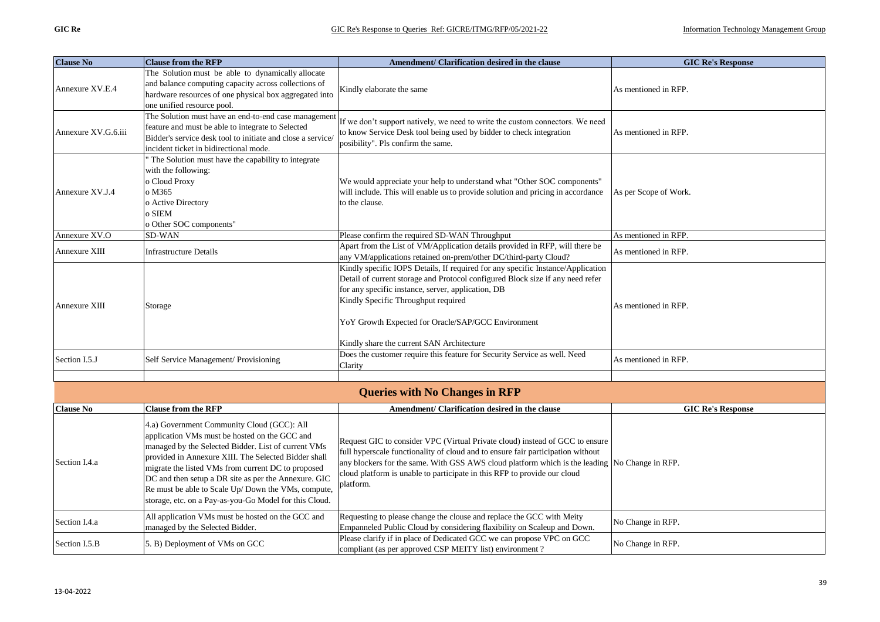| <b>Clause No</b>    | <b>Clause from the RFP</b>                                  | Amendment/ Clarification desired in the clause                                                                                                   | <b>GIC Re's Response</b> |
|---------------------|-------------------------------------------------------------|--------------------------------------------------------------------------------------------------------------------------------------------------|--------------------------|
|                     | The Solution must be able to dynamically allocate           |                                                                                                                                                  |                          |
| Annexure XV.E.4     | and balance computing capacity across collections of        | Kindly elaborate the same                                                                                                                        | As mentioned in RFP.     |
|                     | hardware resources of one physical box aggregated into      |                                                                                                                                                  |                          |
|                     | one unified resource pool.                                  |                                                                                                                                                  |                          |
|                     | The Solution must have an end-to-end case management        | If we don't support natively, we need to write the custom connectors. We need                                                                    |                          |
| Annexure XV.G.6.iii | feature and must be able to integrate to Selected           | to know Service Desk tool being used by bidder to check integration                                                                              | As mentioned in RFP.     |
|                     | Bidder's service desk tool to initiate and close a service/ | posibility". Pls confirm the same.                                                                                                               |                          |
|                     | incident ticket in bidirectional mode.                      |                                                                                                                                                  |                          |
|                     | The Solution must have the capability to integrate          |                                                                                                                                                  |                          |
|                     | with the following:                                         |                                                                                                                                                  |                          |
|                     | o Cloud Proxy                                               | We would appreciate your help to understand what "Other SOC components"                                                                          |                          |
| Annexure XV.J.4     | o M365                                                      | will include. This will enable us to provide solution and pricing in accordance                                                                  | As per Scope of Work.    |
|                     | o Active Directory                                          | to the clause.                                                                                                                                   |                          |
|                     | o SIEM                                                      |                                                                                                                                                  |                          |
| Annexure XV.O       | o Other SOC components"                                     |                                                                                                                                                  |                          |
|                     | SD-WAN                                                      | Please confirm the required SD-WAN Throughput<br>Apart from the List of VM/Application details provided in RFP, will there be                    | As mentioned in RFP.     |
| Annexure XIII       | <b>Infrastructure Details</b>                               | any VM/applications retained on-prem/other DC/third-party Cloud?                                                                                 | As mentioned in RFP.     |
|                     |                                                             | Kindly specific IOPS Details, If required for any specific Instance/Application                                                                  |                          |
|                     |                                                             | Detail of current storage and Protocol configured Block size if any need refer                                                                   |                          |
|                     |                                                             | for any specific instance, server, application, DB                                                                                               |                          |
|                     | Storage                                                     | Kindly Specific Throughput required                                                                                                              |                          |
| Annexure XIII       |                                                             |                                                                                                                                                  | As mentioned in RFP.     |
|                     |                                                             | YoY Growth Expected for Oracle/SAP/GCC Environment                                                                                               |                          |
|                     |                                                             |                                                                                                                                                  |                          |
|                     |                                                             | Kindly share the current SAN Architecture                                                                                                        |                          |
|                     |                                                             | Does the customer require this feature for Security Service as well. Need                                                                        |                          |
| Section I.5.J       | Self Service Management/ Provisioning                       | Clarity                                                                                                                                          | As mentioned in RFP.     |
|                     |                                                             |                                                                                                                                                  |                          |
|                     |                                                             | <b>Queries with No Changes in RFP</b>                                                                                                            |                          |
| <b>Clause No</b>    | <b>Clause from the RFP</b>                                  | Amendment/ Clarification desired in the clause                                                                                                   | <b>GIC Re's Response</b> |
|                     | 4.a) Government Community Cloud (GCC): All                  |                                                                                                                                                  |                          |
|                     | application VMs must be hosted on the GCC and               |                                                                                                                                                  |                          |
|                     | managed by the Selected Bidder. List of current VMs         | Request GIC to consider VPC (Virtual Private cloud) instead of GCC to ensure                                                                     |                          |
|                     | provided in Annexure XIII. The Selected Bidder shall        | full hyperscale functionality of cloud and to ensure fair participation without                                                                  |                          |
| Section I.4.a       | migrate the listed VMs from current DC to proposed          | any blockers for the same. With GSS AWS cloud platform which is the leading                                                                      | No Change in RFP.        |
|                     | DC and then setup a DR site as per the Annexure. GIC        | cloud platform is unable to participate in this RFP to provide our cloud                                                                         |                          |
|                     | Re must be able to Scale Up/ Down the VMs, compute,         | platform.                                                                                                                                        |                          |
|                     | storage, etc. on a Pay-as-you-Go Model for this Cloud.      |                                                                                                                                                  |                          |
|                     |                                                             |                                                                                                                                                  |                          |
| Section I.4.a       | All application VMs must be hosted on the GCC and           | Requesting to please change the clouse and replace the GCC with Meity                                                                            | No Change in RFP.        |
|                     | managed by the Selected Bidder.                             | Empanneled Public Cloud by considering flaxibility on Scaleup and Down.<br>Please clarify if in place of Dedicated GCC we can propose VPC on GCC |                          |
| Section I.5.B       | 5. B) Deployment of VMs on GCC                              | compliant (as per approved CSP MEITY list) environment?                                                                                          | No Change in RFP.        |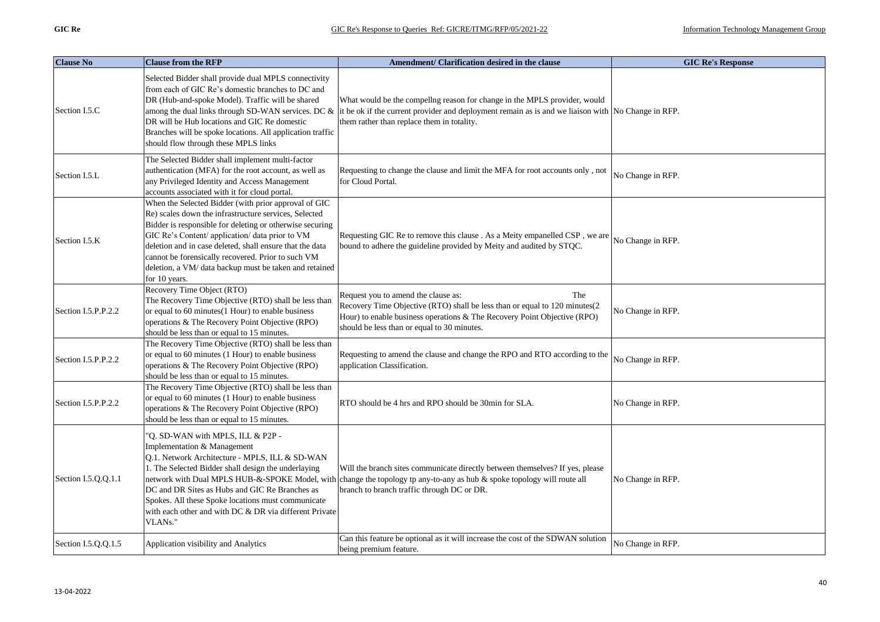| <b>Clause No</b>    | <b>Clause from the RFP</b>                                                                                                                                                                                                                                                                                                                                                                                                | Amendment/ Clarification desired in the clause                                                                                                                                                                                                      | <b>GIC Re's Response</b> |
|---------------------|---------------------------------------------------------------------------------------------------------------------------------------------------------------------------------------------------------------------------------------------------------------------------------------------------------------------------------------------------------------------------------------------------------------------------|-----------------------------------------------------------------------------------------------------------------------------------------------------------------------------------------------------------------------------------------------------|--------------------------|
| Section I.5.C       | Selected Bidder shall provide dual MPLS connectivity<br>from each of GIC Re's domestic branches to DC and<br>DR (Hub-and-spoke Model). Traffic will be shared<br>among the dual links through SD-WAN services. DC &<br>DR will be Hub locations and GIC Re domestic<br>Branches will be spoke locations. All application traffic<br>should flow through these MPLS links                                                  | What would be the compellng reason for change in the MPLS provider, would<br>it be ok if the current provider and deployment remain as is and we liaison with No Change in RFP.<br>them rather than replace them in totality.                       |                          |
| Section I.5.L       | The Selected Bidder shall implement multi-factor<br>authentication (MFA) for the root account, as well as<br>any Privileged Identity and Access Management<br>accounts associated with it for cloud portal.                                                                                                                                                                                                               | Requesting to change the clause and limit the MFA for root accounts only, not<br>for Cloud Portal.                                                                                                                                                  | No Change in RFP.        |
| Section I.5.K       | When the Selected Bidder (with prior approval of GIC<br>Re) scales down the infrastructure services, Selected<br>Bidder is responsible for deleting or otherwise securing<br>GIC Re's Content/ application/ data prior to VM<br>deletion and in case deleted, shall ensure that the data<br>cannot be forensically recovered. Prior to such VM<br>deletion, a VM/ data backup must be taken and retained<br>for 10 years. | Requesting GIC Re to remove this clause . As a Meity empanelled CSP, we are<br>bound to adhere the guideline provided by Meity and audited by STQC.                                                                                                 | No Change in RFP.        |
| Section I.5.P.P.2.2 | Recovery Time Object (RTO)<br>The Recovery Time Objective (RTO) shall be less than<br>or equal to 60 minutes(1 Hour) to enable business<br>operations & The Recovery Point Objective (RPO)<br>should be less than or equal to 15 minutes.                                                                                                                                                                                 | Request you to amend the clause as:<br>The<br>Recovery Time Objective (RTO) shall be less than or equal to 120 minutes(2<br>Hour) to enable business operations & The Recovery Point Objective (RPO)<br>should be less than or equal to 30 minutes. | No Change in RFP.        |
| Section I.5.P.P.2.2 | The Recovery Time Objective (RTO) shall be less than<br>or equal to 60 minutes (1 Hour) to enable business<br>operations & The Recovery Point Objective (RPO)<br>should be less than or equal to 15 minutes.                                                                                                                                                                                                              | Requesting to amend the clause and change the RPO and RTO according to the<br>application Classification.                                                                                                                                           | No Change in RFP.        |
| Section I.5.P.P.2.2 | The Recovery Time Objective (RTO) shall be less than<br>or equal to 60 minutes (1 Hour) to enable business<br>operations & The Recovery Point Objective (RPO)<br>should be less than or equal to 15 minutes.                                                                                                                                                                                                              | RTO should be 4 hrs and RPO should be 30min for SLA.                                                                                                                                                                                                | No Change in RFP.        |
| Section I.5.O.O.1.1 | "Q. SD-WAN with MPLS, ILL & P2P -<br>Implementation & Management<br>Q.1. Network Architecture - MPLS, ILL & SD-WAN<br>1. The Selected Bidder shall design the underlaying<br>network with Dual MPLS HUB-&-SPOKE Model, with<br>DC and DR Sites as Hubs and GIC Re Branches as<br>Spokes. All these Spoke locations must communicate<br>with each other and with DC & DR via different Private<br>VLANs."                  | Will the branch sites communicate directly between themselves? If yes, please<br>change the topology tp any-to-any as hub & spoke topology will route all<br>branch to branch traffic through DC or DR.                                             | No Change in RFP.        |
| Section I.5.Q.Q.1.5 | Application visibility and Analytics                                                                                                                                                                                                                                                                                                                                                                                      | Can this feature be optional as it will increase the cost of the SDWAN solution<br>being premium feature.                                                                                                                                           | No Change in RFP.        |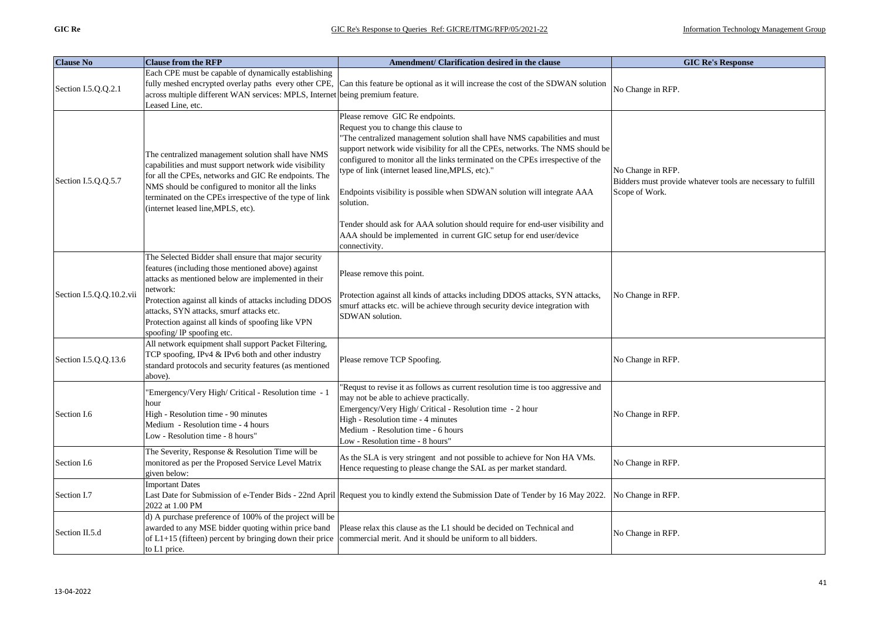| <b>Clause No</b>         | <b>Clause from the RFP</b>                                                                                                                                                                                                                                                                                                                                             | Amendment/ Clarification desired in the clause                                                                                                                                                                                                                                                                                                                                                                                                                                                                                                       | <b>GIC Re's Response</b>                                                                            |
|--------------------------|------------------------------------------------------------------------------------------------------------------------------------------------------------------------------------------------------------------------------------------------------------------------------------------------------------------------------------------------------------------------|------------------------------------------------------------------------------------------------------------------------------------------------------------------------------------------------------------------------------------------------------------------------------------------------------------------------------------------------------------------------------------------------------------------------------------------------------------------------------------------------------------------------------------------------------|-----------------------------------------------------------------------------------------------------|
| Section I.5.Q.Q.2.1      | Each CPE must be capable of dynamically establishing<br>fully meshed encrypted overlay paths every other CPE,<br>across multiple different WAN services: MPLS, Internet being premium feature.<br>Leased Line, etc.                                                                                                                                                    | Can this feature be optional as it will increase the cost of the SDWAN solution                                                                                                                                                                                                                                                                                                                                                                                                                                                                      | No Change in RFP.                                                                                   |
| Section I.5.Q.Q.5.7      | The centralized management solution shall have NMS<br>capabilities and must support network wide visibility<br>for all the CPEs, networks and GIC Re endpoints. The<br>NMS should be configured to monitor all the links<br>terminated on the CPEs irrespective of the type of link<br>(internet leased line, MPLS, etc).                                              | Please remove GIC Re endpoints.<br>Request you to change this clause to<br>"The centralized management solution shall have NMS capabilities and must<br>support network wide visibility for all the CPEs, networks. The NMS should be<br>configured to monitor all the links terminated on the CPEs irrespective of the<br>type of link (internet leased line, MPLS, etc)."<br>Endpoints visibility is possible when SDWAN solution will integrate AAA<br>solution.<br>Tender should ask for AAA solution should require for end-user visibility and | No Change in RFP.<br>Bidders must provide whatever tools are necessary to fulfill<br>Scope of Work. |
|                          |                                                                                                                                                                                                                                                                                                                                                                        | AAA should be implemented in current GIC setup for end user/device<br>connectivity.                                                                                                                                                                                                                                                                                                                                                                                                                                                                  |                                                                                                     |
| Section I.5.Q.Q.10.2.vii | The Selected Bidder shall ensure that major security<br>features (including those mentioned above) against<br>attacks as mentioned below are implemented in their<br>network:<br>Protection against all kinds of attacks including DDOS<br>attacks, SYN attacks, smurf attacks etc.<br>Protection against all kinds of spoofing like VPN<br>spoofing/ IP spoofing etc. | Please remove this point.<br>Protection against all kinds of attacks including DDOS attacks, SYN attacks,<br>smurf attacks etc. will be achieve through security device integration with<br>SDWAN solution.                                                                                                                                                                                                                                                                                                                                          | No Change in RFP.                                                                                   |
| Section I.5.Q.Q.13.6     | All network equipment shall support Packet Filtering,<br>TCP spoofing, IPv4 & IPv6 both and other industry<br>standard protocols and security features (as mentioned<br>above).                                                                                                                                                                                        | Please remove TCP Spoofing.                                                                                                                                                                                                                                                                                                                                                                                                                                                                                                                          | No Change in RFP.                                                                                   |
| Section I.6              | "Emergency/Very High/ Critical - Resolution time - 1<br>hour<br>High - Resolution time - 90 minutes<br>Medium - Resolution time - 4 hours<br>Low - Resolution time - 8 hours"                                                                                                                                                                                          | "Requst to revise it as follows as current resolution time is too aggressive and<br>may not be able to achieve practically.<br>Emergency/Very High/ Critical - Resolution time - 2 hour<br>High - Resolution time - 4 minutes<br>Medium - Resolution time - 6 hours<br>Low - Resolution time - 8 hours'                                                                                                                                                                                                                                              | No Change in RFP.                                                                                   |
| Section I.6              | The Severity, Response & Resolution Time will be<br>monitored as per the Proposed Service Level Matrix<br>given below:                                                                                                                                                                                                                                                 | As the SLA is very stringent and not possible to achieve for Non HA VMs.<br>Hence requesting to please change the SAL as per market standard.                                                                                                                                                                                                                                                                                                                                                                                                        | No Change in RFP.                                                                                   |
| Section I.7              | <b>Important Dates</b><br>2022 at 1.00 PM                                                                                                                                                                                                                                                                                                                              | Last Date for Submission of e-Tender Bids - 22nd April Request you to kindly extend the Submission Date of Tender by 16 May 2022.                                                                                                                                                                                                                                                                                                                                                                                                                    | No Change in RFP.                                                                                   |
| Section II.5.d           | d) A purchase preference of 100% of the project will be<br>awarded to any MSE bidder quoting within price band<br>of $L1+15$ (fifteen) percent by bringing down their price<br>to L1 price.                                                                                                                                                                            | Please relax this clause as the L1 should be decided on Technical and<br>commercial merit. And it should be uniform to all bidders.                                                                                                                                                                                                                                                                                                                                                                                                                  | No Change in RFP.                                                                                   |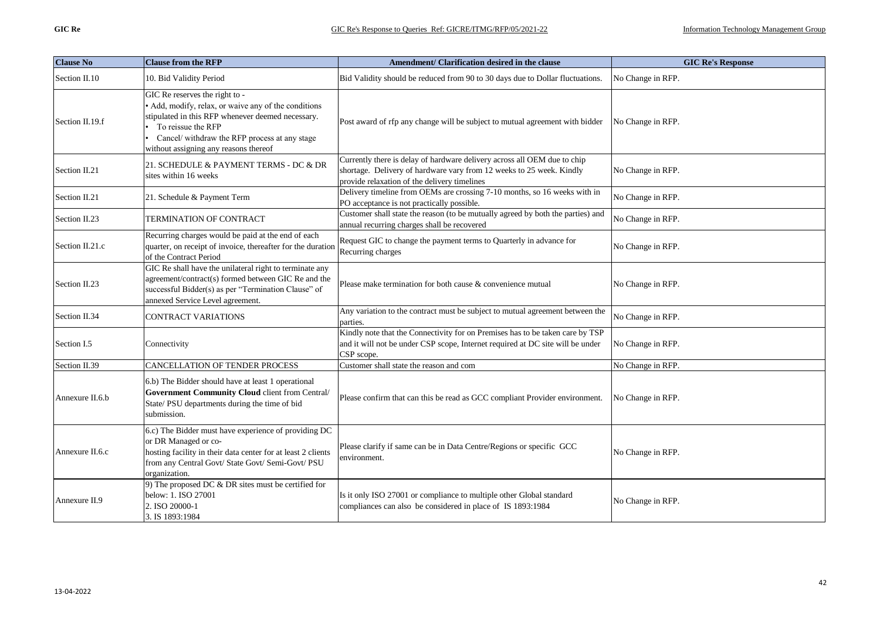| <b>Clause No</b> | <b>Clause from the RFP</b>                                                                                                                                                                                                                                  | Amendment/ Clarification desired in the clause                                                                                                                                                   | <b>GIC Re's Response</b> |
|------------------|-------------------------------------------------------------------------------------------------------------------------------------------------------------------------------------------------------------------------------------------------------------|--------------------------------------------------------------------------------------------------------------------------------------------------------------------------------------------------|--------------------------|
| Section II.10    | 10. Bid Validity Period                                                                                                                                                                                                                                     | Bid Validity should be reduced from 90 to 30 days due to Dollar fluctuations.                                                                                                                    | No Change in RFP.        |
| Section II.19.f  | GIC Re reserves the right to -<br>• Add, modify, relax, or waive any of the conditions<br>stipulated in this RFP whenever deemed necessary.<br>To reissue the RFP<br>Cancel/ withdraw the RFP process at any stage<br>without assigning any reasons thereof | Post award of rfp any change will be subject to mutual agreement with bidder                                                                                                                     | No Change in RFP.        |
| Section II.21    | 21. SCHEDULE & PAYMENT TERMS - DC & DR<br>sites within 16 weeks                                                                                                                                                                                             | Currently there is delay of hardware delivery across all OEM due to chip<br>shortage. Delivery of hardware vary from 12 weeks to 25 week. Kindly<br>provide relaxation of the delivery timelines | No Change in RFP.        |
| Section II.21    | 21. Schedule & Payment Term                                                                                                                                                                                                                                 | Delivery timeline from OEMs are crossing 7-10 months, so 16 weeks with in<br>PO acceptance is not practically possible.                                                                          | No Change in RFP.        |
| Section II.23    | TERMINATION OF CONTRACT                                                                                                                                                                                                                                     | Customer shall state the reason (to be mutually agreed by both the parties) and<br>annual recurring charges shall be recovered                                                                   | No Change in RFP.        |
| Section II.21.c  | Recurring charges would be paid at the end of each<br>quarter, on receipt of invoice, thereafter for the duration<br>of the Contract Period                                                                                                                 | Request GIC to change the payment terms to Quarterly in advance for<br>Recurring charges                                                                                                         | No Change in RFP.        |
| Section II.23    | GIC Re shall have the unilateral right to terminate any<br>agreement/contract(s) formed between GIC Re and the<br>successful Bidder(s) as per "Termination Clause" of<br>annexed Service Level agreement.                                                   | Please make termination for both cause & convenience mutual                                                                                                                                      | No Change in RFP.        |
| Section II.34    | <b>CONTRACT VARIATIONS</b>                                                                                                                                                                                                                                  | Any variation to the contract must be subject to mutual agreement between the<br>parties.                                                                                                        | No Change in RFP.        |
| Section I.5      | Connectivity                                                                                                                                                                                                                                                | Kindly note that the Connectivity for on Premises has to be taken care by TSP<br>and it will not be under CSP scope, Internet required at DC site will be under<br>CSP scope.                    | No Change in RFP.        |
| Section II.39    | <b>CANCELLATION OF TENDER PROCESS</b>                                                                                                                                                                                                                       | Customer shall state the reason and com                                                                                                                                                          | No Change in RFP.        |
| Annexure II.6.b  | 6.b) The Bidder should have at least 1 operational<br>Government Community Cloud client from Central/<br>State/ PSU departments during the time of bid<br>submission.                                                                                       | Please confirm that can this be read as GCC compliant Provider environment.                                                                                                                      | No Change in RFP.        |
| Annexure II.6.c  | 6.c) The Bidder must have experience of providing DC<br>or DR Managed or co-<br>hosting facility in their data center for at least 2 clients<br>from any Central Govt/ State Govt/ Semi-Govt/ PSU<br>organization.                                          | Please clarify if same can be in Data Centre/Regions or specific GCC<br>environment.                                                                                                             | No Change in RFP.        |
| Annexure II.9    | 9) The proposed DC $\&$ DR sites must be certified for<br>below: 1. ISO 27001<br>2. ISO 20000-1<br>3. IS 1893:1984                                                                                                                                          | Is it only ISO 27001 or compliance to multiple other Global standard<br>compliances can also be considered in place of IS 1893:1984                                                              | No Change in RFP.        |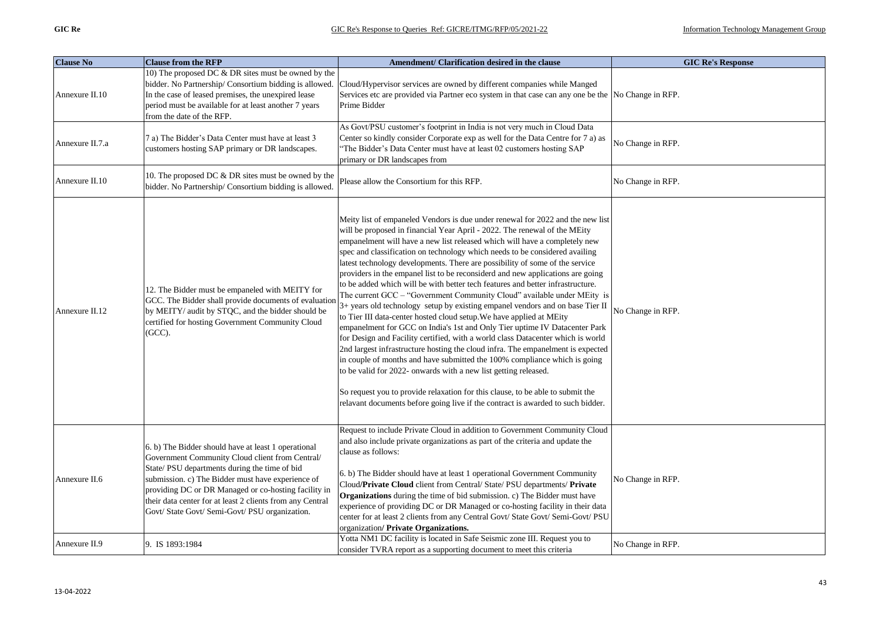| <b>Clause No</b> | <b>Clause from the RFP</b>                                                                                                                                                                                                                                                                                                                                                          | Amendment/ Clarification desired in the clause                                                                                                                                                                                                                                                                                                                                                                                                                                                                                                                                                                                                                                                                                                                                                                                                                                                                                                                                                                                                                                                                                                                                                                                                                                                                                                                                            | <b>GIC Re's Response</b> |
|------------------|-------------------------------------------------------------------------------------------------------------------------------------------------------------------------------------------------------------------------------------------------------------------------------------------------------------------------------------------------------------------------------------|-------------------------------------------------------------------------------------------------------------------------------------------------------------------------------------------------------------------------------------------------------------------------------------------------------------------------------------------------------------------------------------------------------------------------------------------------------------------------------------------------------------------------------------------------------------------------------------------------------------------------------------------------------------------------------------------------------------------------------------------------------------------------------------------------------------------------------------------------------------------------------------------------------------------------------------------------------------------------------------------------------------------------------------------------------------------------------------------------------------------------------------------------------------------------------------------------------------------------------------------------------------------------------------------------------------------------------------------------------------------------------------------|--------------------------|
| Annexure II.10   | 10) The proposed DC & DR sites must be owned by the<br>bidder. No Partnership/ Consortium bidding is allowed.<br>In the case of leased premises, the unexpired lease<br>period must be available for at least another 7 years<br>from the date of the RFP.                                                                                                                          | Cloud/Hypervisor services are owned by different companies while Manged<br>Services etc are provided via Partner eco system in that case can any one be the No Change in RFP.<br>Prime Bidder                                                                                                                                                                                                                                                                                                                                                                                                                                                                                                                                                                                                                                                                                                                                                                                                                                                                                                                                                                                                                                                                                                                                                                                             |                          |
| Annexure II.7.a  | 7 a) The Bidder's Data Center must have at least 3<br>customers hosting SAP primary or DR landscapes.                                                                                                                                                                                                                                                                               | As Govt/PSU customer's footprint in India is not very much in Cloud Data<br>Center so kindly consider Corporate exp as well for the Data Centre for 7 a) as<br>'The Bidder's Data Center must have at least 02 customers hosting SAP<br>primary or DR landscapes from                                                                                                                                                                                                                                                                                                                                                                                                                                                                                                                                                                                                                                                                                                                                                                                                                                                                                                                                                                                                                                                                                                                     | No Change in RFP.        |
| Annexure II.10   | 10. The proposed DC & DR sites must be owned by the<br>bidder. No Partnership/ Consortium bidding is allowed.                                                                                                                                                                                                                                                                       | Please allow the Consortium for this RFP.                                                                                                                                                                                                                                                                                                                                                                                                                                                                                                                                                                                                                                                                                                                                                                                                                                                                                                                                                                                                                                                                                                                                                                                                                                                                                                                                                 | No Change in RFP.        |
| Annexure II.12   | 12. The Bidder must be empaneled with MEITY for<br>GCC. The Bidder shall provide documents of evaluation<br>by MEITY/ audit by STQC, and the bidder should be<br>certified for hosting Government Community Cloud<br>(GCC).                                                                                                                                                         | Meity list of empaneled Vendors is due under renewal for 2022 and the new list<br>will be proposed in financial Year April - 2022. The renewal of the MEity<br>empanelment will have a new list released which will have a completely new<br>spec and classification on technology which needs to be considered availing<br>latest technology developments. There are possibility of some of the service<br>providers in the empanel list to be reconsiderd and new applications are going<br>to be added which will be with better tech features and better infrastructure.<br>The current GCC - "Government Community Cloud" available under MEity is<br>3+ years old technology setup by existing empanel vendors and on base Tier II<br>to Tier III data-center hosted cloud setup. We have applied at MEity<br>empanelment for GCC on India's 1st and Only Tier uptime IV Datacenter Park<br>for Design and Facility certified, with a world class Datacenter which is world<br>2nd largest infrastructure hosting the cloud infra. The empanelment is expected<br>in couple of months and have submitted the 100% compliance which is going<br>to be valid for 2022- onwards with a new list getting released.<br>So request you to provide relaxation for this clause, to be able to submit the<br>relavant documents before going live if the contract is awarded to such bidder. | No Change in RFP.        |
| Annexure II.6    | 6. b) The Bidder should have at least 1 operational<br>Government Community Cloud client from Central/<br>State/ PSU departments during the time of bid<br>submission. c) The Bidder must have experience of<br>providing DC or DR Managed or co-hosting facility in<br>their data center for at least 2 clients from any Central<br>Govt/ State Govt/ Semi-Govt/ PSU organization. | Request to include Private Cloud in addition to Government Community Cloud<br>and also include private organizations as part of the criteria and update the<br>clause as follows:<br>6. b) The Bidder should have at least 1 operational Government Community<br>Cloud/Private Cloud client from Central/ State/ PSU departments/ Private<br>Organizations during the time of bid submission. c) The Bidder must have<br>experience of providing DC or DR Managed or co-hosting facility in their data<br>center for at least 2 clients from any Central Govt/ State Govt/ Semi-Govt/ PSU<br>organization/Private Organizations.                                                                                                                                                                                                                                                                                                                                                                                                                                                                                                                                                                                                                                                                                                                                                          | No Change in RFP.        |
| Annexure II.9    | 9. IS 1893:1984                                                                                                                                                                                                                                                                                                                                                                     | Yotta NM1 DC facility is located in Safe Seismic zone III. Request you to<br>consider TVRA report as a supporting document to meet this criteria                                                                                                                                                                                                                                                                                                                                                                                                                                                                                                                                                                                                                                                                                                                                                                                                                                                                                                                                                                                                                                                                                                                                                                                                                                          | No Change in RFP.        |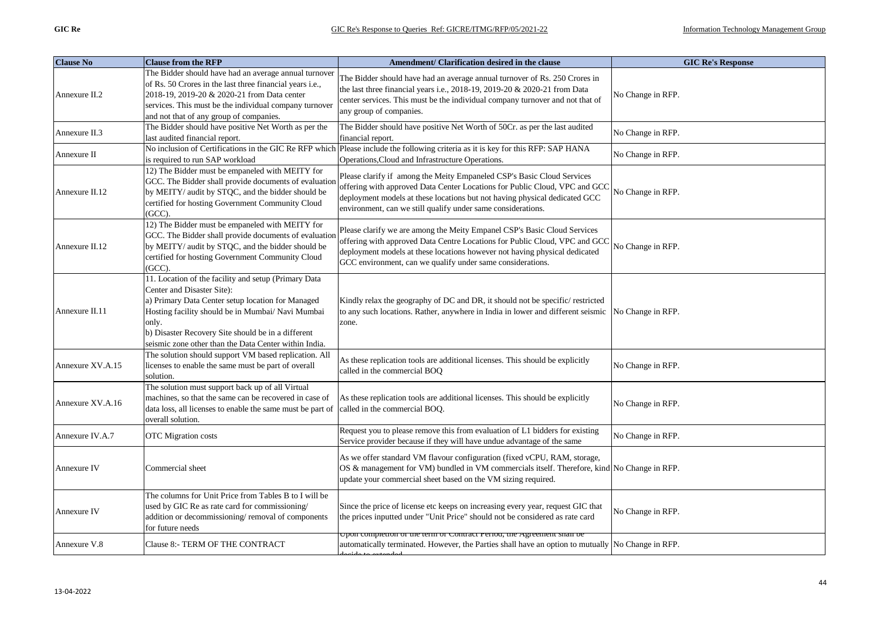| <b>Clause No</b> | <b>Clause from the RFP</b>                                                                                                                                                                                                                                                                                           | Amendment/ Clarification desired in the clause                                                                                                                                                                                                                                                     | <b>GIC Re's Response</b> |
|------------------|----------------------------------------------------------------------------------------------------------------------------------------------------------------------------------------------------------------------------------------------------------------------------------------------------------------------|----------------------------------------------------------------------------------------------------------------------------------------------------------------------------------------------------------------------------------------------------------------------------------------------------|--------------------------|
| Annexure II.2    | The Bidder should have had an average annual turnover<br>of Rs. 50 Crores in the last three financial years i.e.,<br>2018-19, 2019-20 & 2020-21 from Data center<br>services. This must be the individual company turnover<br>and not that of any group of companies.                                                | The Bidder should have had an average annual turnover of Rs. 250 Crores in<br>the last three financial years i.e., 2018-19, 2019-20 & 2020-21 from Data<br>center services. This must be the individual company turnover and not that of<br>any group of companies.                                | No Change in RFP.        |
| Annexure II.3    | The Bidder should have positive Net Worth as per the<br>last audited financial report.                                                                                                                                                                                                                               | The Bidder should have positive Net Worth of 50Cr. as per the last audited<br>financial report.                                                                                                                                                                                                    | No Change in RFP.        |
| Annexure II      | is required to run SAP workload                                                                                                                                                                                                                                                                                      | No inclusion of Certifications in the GIC Re RFP which Please include the following criteria as it is key for this RFP: SAP HANA<br>Operations, Cloud and Infrastructure Operations.                                                                                                               | No Change in RFP.        |
| Annexure II.12   | 12) The Bidder must be empaneled with MEITY for<br>GCC. The Bidder shall provide documents of evaluation<br>by MEITY/ audit by STQC, and the bidder should be<br>certified for hosting Government Community Cloud<br>$(GCC)$ .                                                                                       | Please clarify if among the Meity Empaneled CSP's Basic Cloud Services<br>offering with approved Data Center Locations for Public Cloud, VPC and GCC<br>deployment models at these locations but not having physical dedicated GCC<br>environment, can we still qualify under same considerations. | No Change in RFP.        |
| Annexure II.12   | 12) The Bidder must be empaneled with MEITY for<br>GCC. The Bidder shall provide documents of evaluation<br>by MEITY/ audit by STQC, and the bidder should be<br>certified for hosting Government Community Cloud<br>$(GCC)$ .                                                                                       | Please clarify we are among the Meity Empanel CSP's Basic Cloud Services<br>offering with approved Data Centre Locations for Public Cloud, VPC and GCC<br>deployment models at these locations however not having physical dedicated<br>GCC environment, can we qualify under same considerations. | No Change in RFP.        |
| Annexure II.11   | 11. Location of the facility and setup (Primary Data<br>Center and Disaster Site):<br>a) Primary Data Center setup location for Managed<br>Hosting facility should be in Mumbai/ Navi Mumbai<br>only.<br>b) Disaster Recovery Site should be in a different<br>seismic zone other than the Data Center within India. | Kindly relax the geography of DC and DR, it should not be specific/ restricted<br>to any such locations. Rather, anywhere in India in lower and different seismic<br>zone.                                                                                                                         | No Change in RFP.        |
| Annexure XV.A.15 | The solution should support VM based replication. All<br>licenses to enable the same must be part of overall<br>solution.                                                                                                                                                                                            | As these replication tools are additional licenses. This should be explicitly<br>called in the commercial BOQ                                                                                                                                                                                      | No Change in RFP.        |
| Annexure XV.A.16 | The solution must support back up of all Virtual<br>machines, so that the same can be recovered in case of<br>data loss, all licenses to enable the same must be part of<br>overall solution.                                                                                                                        | As these replication tools are additional licenses. This should be explicitly<br>called in the commercial BOQ.                                                                                                                                                                                     | No Change in RFP.        |
| Annexure IV.A.7  | <b>OTC</b> Migration costs                                                                                                                                                                                                                                                                                           | Request you to please remove this from evaluation of L1 bidders for existing<br>Service provider because if they will have undue advantage of the same                                                                                                                                             | No Change in RFP.        |
| Annexure IV      | Commercial sheet                                                                                                                                                                                                                                                                                                     | As we offer standard VM flavour configuration (fixed vCPU, RAM, storage,<br>OS & management for VM) bundled in VM commercials itself. Therefore, kind No Change in RFP.<br>update your commercial sheet based on the VM sizing required.                                                           |                          |
| Annexure IV      | The columns for Unit Price from Tables B to I will be<br>used by GIC Re as rate card for commissioning/<br>addition or decommissioning/removal of components<br>for future needs                                                                                                                                     | Since the price of license etc keeps on increasing every year, request GIC that<br>the prices inputted under "Unit Price" should not be considered as rate card                                                                                                                                    | No Change in RFP.        |
| Annexure V.8     | Clause 8:- TERM OF THE CONTRACT                                                                                                                                                                                                                                                                                      | opon completion of the term of Contract Feriou, the Agreement shan be<br>automatically terminated. However, the Parties shall have an option to mutually No Change in RFP.                                                                                                                         |                          |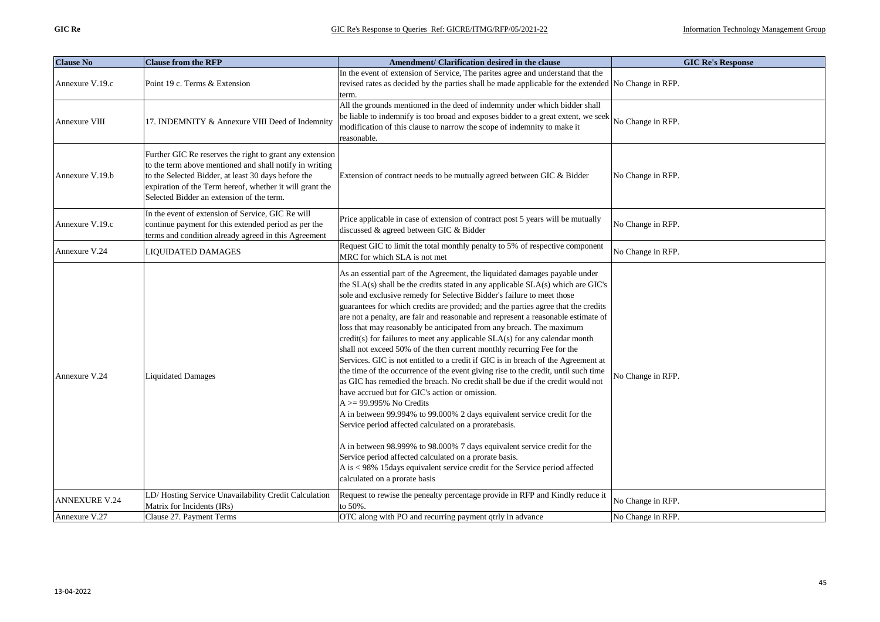| <b>Clause No</b>     | <b>Clause from the RFP</b>                                                                                                                                                                                                                                                          | Amendment/ Clarification desired in the clause                                                                                                                                                                                                                                                                                                                                                                                                                                                                                                                                                                                                                                                                                                                                                                                                                                                                                                                                                                                                                                                                                                                                                                                                                                                                                                                                               | <b>GIC Re's Response</b> |
|----------------------|-------------------------------------------------------------------------------------------------------------------------------------------------------------------------------------------------------------------------------------------------------------------------------------|----------------------------------------------------------------------------------------------------------------------------------------------------------------------------------------------------------------------------------------------------------------------------------------------------------------------------------------------------------------------------------------------------------------------------------------------------------------------------------------------------------------------------------------------------------------------------------------------------------------------------------------------------------------------------------------------------------------------------------------------------------------------------------------------------------------------------------------------------------------------------------------------------------------------------------------------------------------------------------------------------------------------------------------------------------------------------------------------------------------------------------------------------------------------------------------------------------------------------------------------------------------------------------------------------------------------------------------------------------------------------------------------|--------------------------|
| Annexure V.19.c      | Point 19 c. Terms & Extension                                                                                                                                                                                                                                                       | In the event of extension of Service, The parites agree and understand that the<br>revised rates as decided by the parties shall be made applicable for the extended No Change in RFP.<br>term.                                                                                                                                                                                                                                                                                                                                                                                                                                                                                                                                                                                                                                                                                                                                                                                                                                                                                                                                                                                                                                                                                                                                                                                              |                          |
| Annexure VIII        | 17. INDEMNITY & Annexure VIII Deed of Indemnity                                                                                                                                                                                                                                     | All the grounds mentioned in the deed of indemnity under which bidder shall<br>be liable to indemnify is too broad and exposes bidder to a great extent, we seek<br>modification of this clause to narrow the scope of indemnity to make it<br>reasonable.                                                                                                                                                                                                                                                                                                                                                                                                                                                                                                                                                                                                                                                                                                                                                                                                                                                                                                                                                                                                                                                                                                                                   | No Change in RFP.        |
| Annexure V.19.b      | Further GIC Re reserves the right to grant any extension<br>to the term above mentioned and shall notify in writing<br>to the Selected Bidder, at least 30 days before the<br>expiration of the Term hereof, whether it will grant the<br>Selected Bidder an extension of the term. | Extension of contract needs to be mutually agreed between GIC & Bidder                                                                                                                                                                                                                                                                                                                                                                                                                                                                                                                                                                                                                                                                                                                                                                                                                                                                                                                                                                                                                                                                                                                                                                                                                                                                                                                       | No Change in RFP.        |
| Annexure V.19.c      | In the event of extension of Service, GIC Re will<br>continue payment for this extended period as per the<br>terms and condition already agreed in this Agreement                                                                                                                   | Price applicable in case of extension of contract post 5 years will be mutually<br>discussed & agreed between GIC & Bidder                                                                                                                                                                                                                                                                                                                                                                                                                                                                                                                                                                                                                                                                                                                                                                                                                                                                                                                                                                                                                                                                                                                                                                                                                                                                   | No Change in RFP.        |
| Annexure V.24        | <b>LIQUIDATED DAMAGES</b>                                                                                                                                                                                                                                                           | Request GIC to limit the total monthly penalty to 5% of respective component<br>MRC for which SLA is not met                                                                                                                                                                                                                                                                                                                                                                                                                                                                                                                                                                                                                                                                                                                                                                                                                                                                                                                                                                                                                                                                                                                                                                                                                                                                                 | No Change in RFP.        |
| Annexure V.24        | <b>Liquidated Damages</b>                                                                                                                                                                                                                                                           | As an essential part of the Agreement, the liquidated damages payable under<br>the SLA(s) shall be the credits stated in any applicable SLA(s) which are GIC's<br>sole and exclusive remedy for Selective Bidder's failure to meet those<br>guarantees for which credits are provided; and the parties agree that the credits<br>are not a penalty, are fair and reasonable and represent a reasonable estimate of<br>loss that may reasonably be anticipated from any breach. The maximum<br>credit(s) for failures to meet any applicable SLA(s) for any calendar month<br>shall not exceed 50% of the then current monthly recurring Fee for the<br>Services. GIC is not entitled to a credit if GIC is in breach of the Agreement at<br>the time of the occurrence of the event giving rise to the credit, until such time<br>as GIC has remedied the breach. No credit shall be due if the credit would not<br>have accrued but for GIC's action or omission.<br>$A > = 99.995\%$ No Credits<br>A in between 99.994% to 99.000% 2 days equivalent service credit for the<br>Service period affected calculated on a proratebasis.<br>A in between 98.999% to 98.000% 7 days equivalent service credit for the<br>Service period affected calculated on a prorate basis.<br>A is < 98% 15days equivalent service credit for the Service period affected<br>calculated on a prorate basis | No Change in RFP.        |
| <b>ANNEXURE V.24</b> | LD/Hosting Service Unavailability Credit Calculation<br>Matrix for Incidents (IRs)                                                                                                                                                                                                  | Request to rewise the penealty percentage provide in RFP and Kindly reduce it<br>to 50%.                                                                                                                                                                                                                                                                                                                                                                                                                                                                                                                                                                                                                                                                                                                                                                                                                                                                                                                                                                                                                                                                                                                                                                                                                                                                                                     | No Change in RFP.        |
| Annexure V.27        | Clause 27. Payment Terms                                                                                                                                                                                                                                                            | OTC along with PO and recurring payment qtrly in advance                                                                                                                                                                                                                                                                                                                                                                                                                                                                                                                                                                                                                                                                                                                                                                                                                                                                                                                                                                                                                                                                                                                                                                                                                                                                                                                                     | No Change in RFP.        |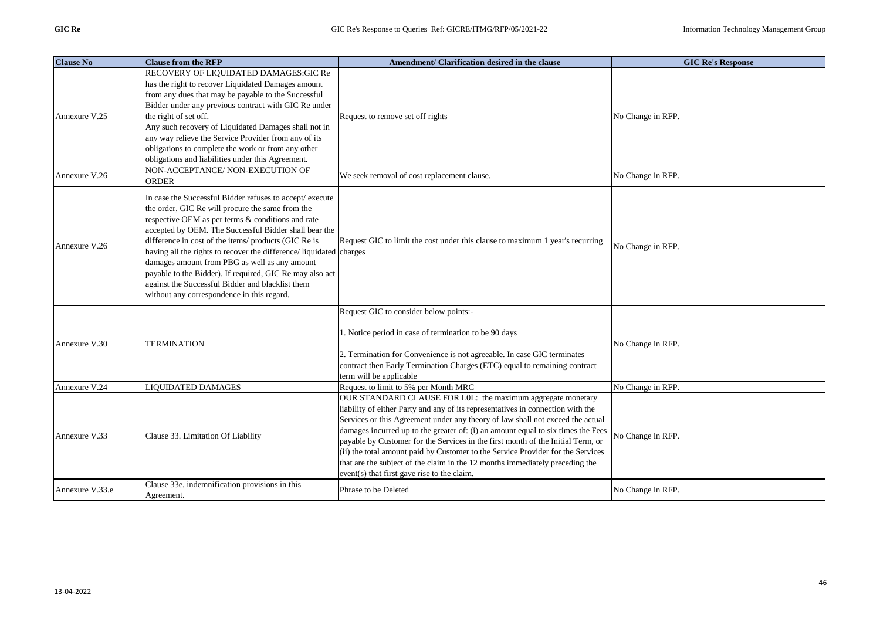| <b>Clause No</b> | <b>Clause from the RFP</b>                                                                                                                                                                                                                                                                                                                                                                                                                                                                                                                                              | Amendment/ Clarification desired in the clause                                                                                                                                                                                                                                                                                                                                                                                                                                                                                                                                                                            | <b>GIC Re's Response</b> |
|------------------|-------------------------------------------------------------------------------------------------------------------------------------------------------------------------------------------------------------------------------------------------------------------------------------------------------------------------------------------------------------------------------------------------------------------------------------------------------------------------------------------------------------------------------------------------------------------------|---------------------------------------------------------------------------------------------------------------------------------------------------------------------------------------------------------------------------------------------------------------------------------------------------------------------------------------------------------------------------------------------------------------------------------------------------------------------------------------------------------------------------------------------------------------------------------------------------------------------------|--------------------------|
| Annexure V.25    | RECOVERY OF LIQUIDATED DAMAGES:GIC Re<br>has the right to recover Liquidated Damages amount<br>from any dues that may be payable to the Successful<br>Bidder under any previous contract with GIC Re under<br>the right of set off.<br>Any such recovery of Liquidated Damages shall not in<br>any way relieve the Service Provider from any of its<br>obligations to complete the work or from any other<br>obligations and liabilities under this Agreement.                                                                                                          | Request to remove set off rights                                                                                                                                                                                                                                                                                                                                                                                                                                                                                                                                                                                          | No Change in RFP.        |
| Annexure V.26    | NON-ACCEPTANCE/ NON-EXECUTION OF<br><b>ORDER</b>                                                                                                                                                                                                                                                                                                                                                                                                                                                                                                                        | We seek removal of cost replacement clause.                                                                                                                                                                                                                                                                                                                                                                                                                                                                                                                                                                               | No Change in RFP.        |
| Annexure V.26    | In case the Successful Bidder refuses to accept/ execute<br>the order, GIC Re will procure the same from the<br>respective OEM as per terms & conditions and rate<br>accepted by OEM. The Successful Bidder shall bear the<br>difference in cost of the items/ products (GIC Re is<br>having all the rights to recover the difference/liquidated charges<br>damages amount from PBG as well as any amount<br>payable to the Bidder). If required, GIC Re may also act<br>against the Successful Bidder and blacklist them<br>without any correspondence in this regard. | Request GIC to limit the cost under this clause to maximum 1 year's recurring                                                                                                                                                                                                                                                                                                                                                                                                                                                                                                                                             | No Change in RFP.        |
| Annexure V.30    | <b>TERMINATION</b>                                                                                                                                                                                                                                                                                                                                                                                                                                                                                                                                                      | Request GIC to consider below points:-<br>1. Notice period in case of termination to be 90 days<br>2. Termination for Convenience is not agreeable. In case GIC terminates<br>contract then Early Termination Charges (ETC) equal to remaining contract<br>term will be applicable                                                                                                                                                                                                                                                                                                                                        | No Change in RFP.        |
| Annexure V.24    | <b>LIQUIDATED DAMAGES</b>                                                                                                                                                                                                                                                                                                                                                                                                                                                                                                                                               | Request to limit to 5% per Month MRC                                                                                                                                                                                                                                                                                                                                                                                                                                                                                                                                                                                      | No Change in RFP.        |
| Annexure V.33    | Clause 33. Limitation Of Liability                                                                                                                                                                                                                                                                                                                                                                                                                                                                                                                                      | OUR STANDARD CLAUSE FOR L0L: the maximum aggregate monetary<br>liability of either Party and any of its representatives in connection with the<br>Services or this Agreement under any theory of law shall not exceed the actual<br>damages incurred up to the greater of: (i) an amount equal to six times the Fees<br>payable by Customer for the Services in the first month of the Initial Term, or<br>(ii) the total amount paid by Customer to the Service Provider for the Services<br>that are the subject of the claim in the 12 months immediately preceding the<br>event(s) that first gave rise to the claim. | No Change in RFP.        |
| Annexure V.33.e  | Clause 33e. indemnification provisions in this<br>Agreement.                                                                                                                                                                                                                                                                                                                                                                                                                                                                                                            | Phrase to be Deleted                                                                                                                                                                                                                                                                                                                                                                                                                                                                                                                                                                                                      | No Change in RFP.        |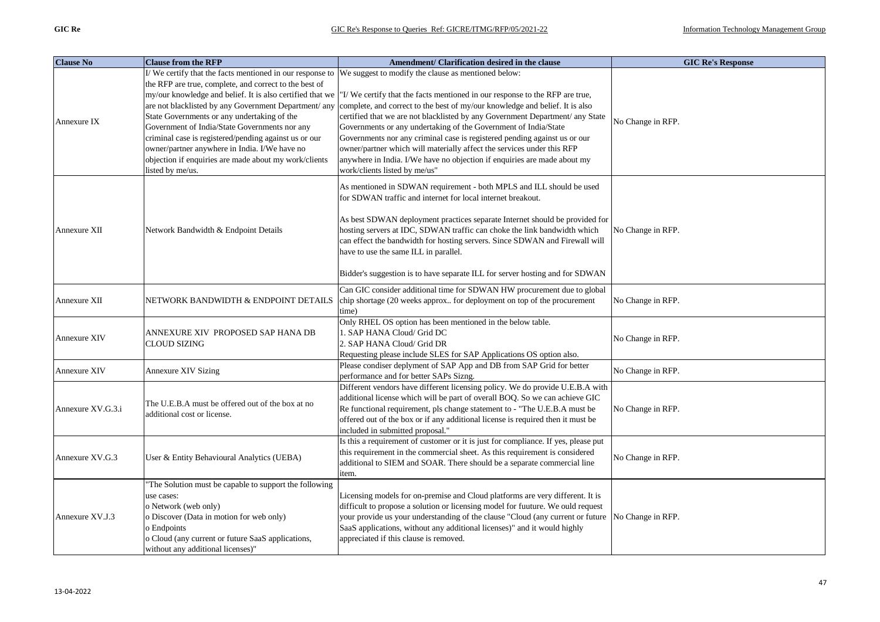| <b>Clause No</b>  | <b>Clause from the RFP</b>                                                | Amendment/ Clarification desired in the clause                                                            | <b>GIC Re's Response</b> |
|-------------------|---------------------------------------------------------------------------|-----------------------------------------------------------------------------------------------------------|--------------------------|
|                   | I/We certify that the facts mentioned in our response to                  | We suggest to modify the clause as mentioned below:                                                       |                          |
|                   | the RFP are true, complete, and correct to the best of                    |                                                                                                           |                          |
|                   | my/our knowledge and belief. It is also certified that we                 | "I/We certify that the facts mentioned in our response to the RFP are true,                               |                          |
|                   | are not blacklisted by any Government Department/ any                     | complete, and correct to the best of my/our knowledge and belief. It is also                              |                          |
| Annexure IX       | State Governments or any undertaking of the                               | certified that we are not blacklisted by any Government Department/ any State                             | No Change in RFP.        |
|                   | Government of India/State Governments nor any                             | Governments or any undertaking of the Government of India/State                                           |                          |
|                   | criminal case is registered/pending against us or our                     | Governments nor any criminal case is registered pending against us or our                                 |                          |
|                   | owner/partner anywhere in India. I/We have no                             | owner/partner which will materially affect the services under this RFP                                    |                          |
|                   | objection if enquiries are made about my work/clients<br>listed by me/us. | anywhere in India. I/We have no objection if enquiries are made about my<br>work/clients listed by me/us" |                          |
|                   |                                                                           |                                                                                                           |                          |
|                   |                                                                           | As mentioned in SDWAN requirement - both MPLS and ILL should be used                                      |                          |
|                   |                                                                           | for SDWAN traffic and internet for local internet breakout.                                               |                          |
|                   |                                                                           |                                                                                                           |                          |
|                   |                                                                           | As best SDWAN deployment practices separate Internet should be provided for                               |                          |
| Annexure XII      | Network Bandwidth & Endpoint Details                                      | hosting servers at IDC, SDWAN traffic can choke the link bandwidth which                                  | No Change in RFP.        |
|                   |                                                                           | can effect the bandwidth for hosting servers. Since SDWAN and Firewall will                               |                          |
|                   |                                                                           | have to use the same ILL in parallel.                                                                     |                          |
|                   |                                                                           | Bidder's suggestion is to have separate ILL for server hosting and for SDWAN                              |                          |
|                   |                                                                           |                                                                                                           |                          |
|                   |                                                                           | Can GIC consider additional time for SDWAN HW procurement due to global                                   |                          |
| Annexure XII      | NETWORK BANDWIDTH & ENDPOINT DETAILS                                      | chip shortage (20 weeks approx for deployment on top of the procurement                                   | No Change in RFP.        |
|                   |                                                                           | time)<br>Only RHEL OS option has been mentioned in the below table.                                       |                          |
|                   | ANNEXURE XIV  PROPOSED SAP HANA DB                                        | 1. SAP HANA Cloud/ Grid DC                                                                                |                          |
| Annexure XIV      | CLOUD SIZING                                                              | 2. SAP HANA Cloud/ Grid DR                                                                                | No Change in RFP.        |
|                   |                                                                           | Requesting please include SLES for SAP Applications OS option also.                                       |                          |
|                   |                                                                           | Please condiser deplyment of SAP App and DB from SAP Grid for better                                      | No Change in RFP.        |
| Annexure XIV      | Annexure XIV Sizing                                                       | performance and for better SAPs Sizng.                                                                    |                          |
|                   |                                                                           | Different vendors have different licensing policy. We do provide U.E.B.A with                             |                          |
|                   | The U.E.B.A must be offered out of the box at no                          | additional license which will be part of overall BOQ. So we can achieve GIC                               |                          |
| Annexure XV.G.3.i | additional cost or license.                                               | Re functional requirement, pls change statement to - "The U.E.B.A must be                                 | No Change in RFP.        |
|                   |                                                                           | offered out of the box or if any additional license is required then it must be                           |                          |
|                   |                                                                           | included in submitted proposal."                                                                          |                          |
|                   |                                                                           | Is this a requirement of customer or it is just for compliance. If yes, please put                        |                          |
| Annexure XV.G.3   | User & Entity Behavioural Analytics (UEBA)                                | this requirement in the commercial sheet. As this requirement is considered                               | No Change in RFP.        |
|                   |                                                                           | additional to SIEM and SOAR. There should be a separate commercial line                                   |                          |
|                   | The Solution must be capable to support the following                     | item.                                                                                                     |                          |
|                   | use cases:                                                                | Licensing models for on-premise and Cloud platforms are very different. It is                             |                          |
|                   | o Network (web only)                                                      | difficult to propose a solution or licensing model for fuuture. We ould request                           |                          |
| Annexure XV.J.3   | o Discover (Data in motion for web only)                                  | your provide us your understanding of the clause "Cloud (any current or future No Change in RFP.          |                          |
|                   | o Endpoints                                                               | SaaS applications, without any additional licenses)" and it would highly                                  |                          |
|                   | o Cloud (any current or future SaaS applications,                         | appreciated if this clause is removed.                                                                    |                          |
|                   | without any additional licenses)"                                         |                                                                                                           |                          |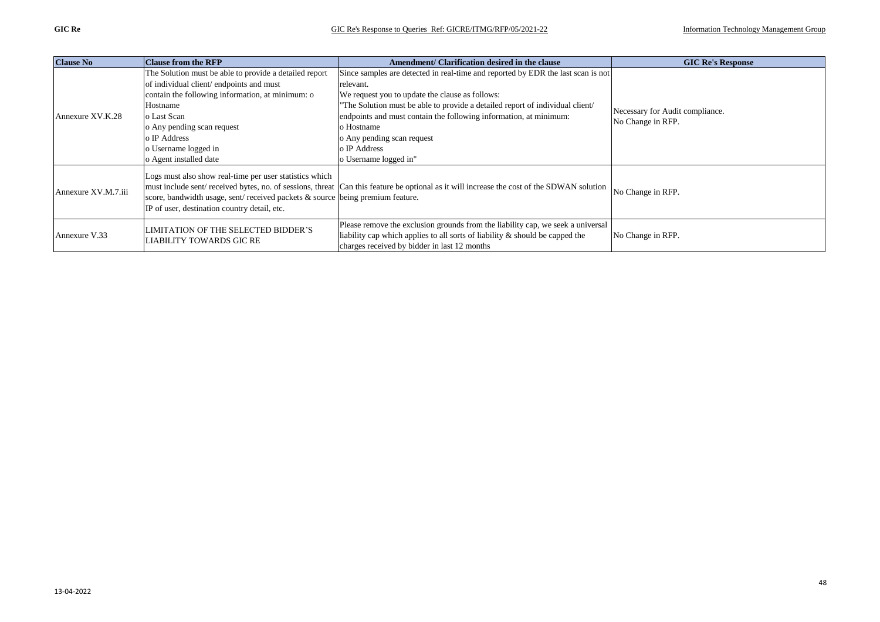| <b>Clause No</b>    | <b>Clause from the RFP</b>                                                                                                                                                               | Amendment/ Clarification desired in the clause                                                                                                                                                                     | <b>GIC Re's Response</b>                             |
|---------------------|------------------------------------------------------------------------------------------------------------------------------------------------------------------------------------------|--------------------------------------------------------------------------------------------------------------------------------------------------------------------------------------------------------------------|------------------------------------------------------|
| Annexure XV.K.28    | The Solution must be able to provide a detailed report                                                                                                                                   | Since samples are detected in real-time and reported by EDR the last scan is not                                                                                                                                   | Necessary for Audit compliance.<br>No Change in RFP. |
|                     | of individual client/endpoints and must                                                                                                                                                  | relevant.                                                                                                                                                                                                          |                                                      |
|                     | contain the following information, at minimum: o                                                                                                                                         | We request you to update the clause as follows:                                                                                                                                                                    |                                                      |
|                     | Hostname                                                                                                                                                                                 | "The Solution must be able to provide a detailed report of individual client/                                                                                                                                      |                                                      |
|                     | o Last Scan                                                                                                                                                                              | endpoints and must contain the following information, at minimum:                                                                                                                                                  |                                                      |
|                     | o Any pending scan request                                                                                                                                                               | o Hostname                                                                                                                                                                                                         |                                                      |
|                     | o IP Address                                                                                                                                                                             | o Any pending scan request                                                                                                                                                                                         |                                                      |
|                     | o Username logged in                                                                                                                                                                     | o IP Address                                                                                                                                                                                                       |                                                      |
|                     | o Agent installed date                                                                                                                                                                   | o Username logged in"                                                                                                                                                                                              |                                                      |
| Annexure XV.M.7.iii | Logs must also show real-time per user statistics which<br>score, bandwidth usage, sent/received packets & source being premium feature.<br>IP of user, destination country detail, etc. | must include sent/ received bytes, no. of sessions, threat Can this feature be optional as it will increase the cost of the SDWAN solution                                                                         | No Change in RFP.                                    |
| Annexure V.33       | LIMITATION OF THE SELECTED BIDDER'S<br>LIABILITY TOWARDS GIC RE                                                                                                                          | Please remove the exclusion grounds from the liability cap, we seek a universal<br>liability cap which applies to all sorts of liability $\&$ should be capped the<br>charges received by bidder in last 12 months | No Change in RFP.                                    |